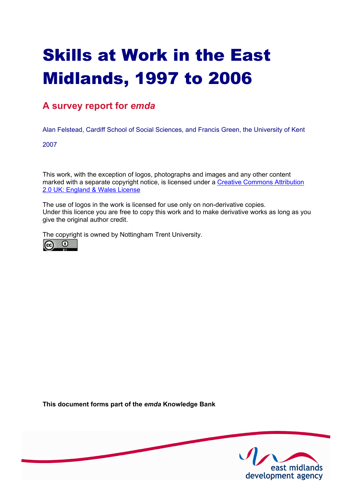# Skills at Work in the East Midlands, 1997 to 2006

### **A survey report for** *emda*

Alan Felstead, Cardiff School of Social Sciences, and Francis Green, the University of Kent

2007

This work, with the exception of logos, photographs and images and any other content [marked with a separate copyright notice, is licensed under a Creative Commons Attribution](http://creativecommons.org/licenses/by/2.0/uk) 2.0 UK: England & Wales License

The use of logos in the work is licensed for use only on non-derivative copies. Under this licence you are free to copy this work and to make derivative works as long as you give the original author credit.

The copyright is owned by Nottingham Trent University.



**This document forms part of the** *emda* **Knowledge Bank** 

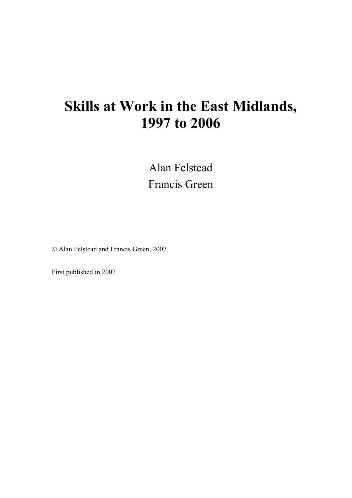## **Skills at Work in the East Midlands, 1997 to 2006**

Alan Felstead Francis Green

© Alan Felstead and Francis Green, 2007.

First published in 2007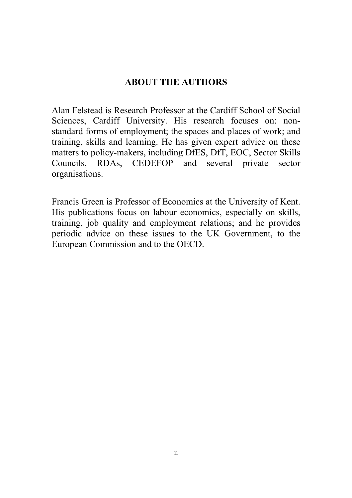### **ABOUT THE AUTHORS**

Alan Felstead is Research Professor at the Cardiff School of Social Sciences, Cardiff University. His research focuses on: nonstandard forms of employment; the spaces and places of work; and training, skills and learning. He has given expert advice on these matters to policy-makers, including DfES, DfT, EOC, Sector Skills Councils, RDAs, CEDEFOP and several private sector organisations.

Francis Green is Professor of Economics at the University of Kent. His publications focus on labour economics, especially on skills, training, job quality and employment relations; and he provides periodic advice on these issues to the UK Government, to the European Commission and to the OECD.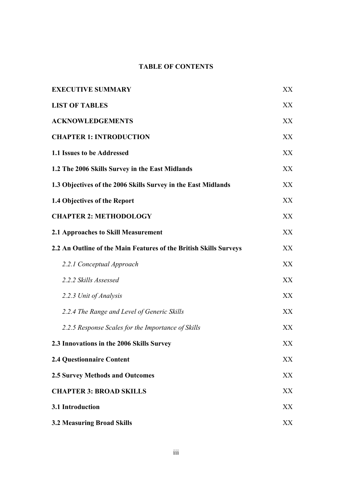### **TABLE OF CONTENTS**

| <b>EXECUTIVE SUMMARY</b>                                          |     |  |
|-------------------------------------------------------------------|-----|--|
| <b>LIST OF TABLES</b>                                             | XX  |  |
| <b>ACKNOWLEDGEMENTS</b>                                           | XX  |  |
| <b>CHAPTER 1: INTRODUCTION</b>                                    | XX  |  |
| 1.1 Issues to be Addressed                                        | XX  |  |
| 1.2 The 2006 Skills Survey in the East Midlands                   | XX  |  |
| 1.3 Objectives of the 2006 Skills Survey in the East Midlands     | XX  |  |
| 1.4 Objectives of the Report                                      | XX  |  |
| <b>CHAPTER 2: METHODOLOGY</b>                                     | XX. |  |
| 2.1 Approaches to Skill Measurement                               | XX  |  |
| 2.2 An Outline of the Main Features of the British Skills Surveys | XX  |  |
| 2.2.1 Conceptual Approach                                         | XX  |  |
| 2.2.2 Skills Assessed                                             | XX  |  |
| 2.2.3 Unit of Analysis                                            | XX. |  |
| 2.2.4 The Range and Level of Generic Skills                       | XX  |  |
| 2.2.5 Response Scales for the Importance of Skills                | XX  |  |
| 2.3 Innovations in the 2006 Skills Survey                         | XX  |  |
| <b>2.4 Questionnaire Content</b>                                  | XX  |  |
| <b>2.5 Survey Methods and Outcomes</b>                            | XX  |  |
| <b>CHAPTER 3: BROAD SKILLS</b>                                    | XX  |  |
| 3.1 Introduction                                                  | XX  |  |
| <b>3.2 Measuring Broad Skills</b>                                 | XX  |  |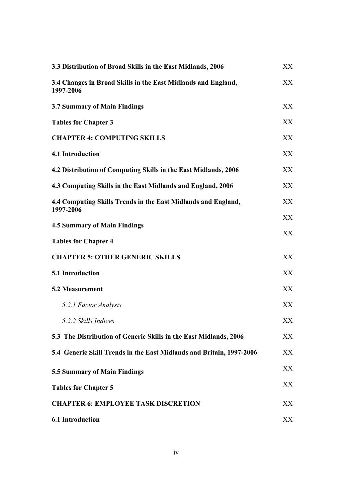| 3.3 Distribution of Broad Skills in the East Midlands, 2006                | XX  |
|----------------------------------------------------------------------------|-----|
| 3.4 Changes in Broad Skills in the East Midlands and England,<br>1997-2006 | XX  |
| 3.7 Summary of Main Findings                                               | XX  |
| <b>Tables for Chapter 3</b>                                                | XX  |
| <b>CHAPTER 4: COMPUTING SKILLS</b>                                         | XX  |
| 4.1 Introduction                                                           | XX  |
| 4.2 Distribution of Computing Skills in the East Midlands, 2006            | XX  |
| 4.3 Computing Skills in the East Midlands and England, 2006                | XX  |
| 4.4 Computing Skills Trends in the East Midlands and England,<br>1997-2006 | XX  |
| <b>4.5 Summary of Main Findings</b>                                        | XX  |
| <b>Tables for Chapter 4</b>                                                | XX  |
| <b>CHAPTER 5: OTHER GENERIC SKILLS</b>                                     | XX  |
| 5.1 Introduction                                                           | XX  |
| <b>5.2 Measurement</b>                                                     | XX  |
| 5.2.1 Factor Analysis                                                      | XX  |
| 5.2.2 Skills Indices                                                       | XX  |
| 5.3 The Distribution of Generic Skills in the East Midlands, 2006          | XX  |
| 5.4 Generic Skill Trends in the East Midlands and Britain, 1997-2006       | XX  |
| 5.5 Summary of Main Findings                                               | XX. |
| <b>Tables for Chapter 5</b>                                                | XX  |
| <b>CHAPTER 6: EMPLOYEE TASK DISCRETION</b>                                 | XX. |
| <b>6.1 Introduction</b>                                                    | XX  |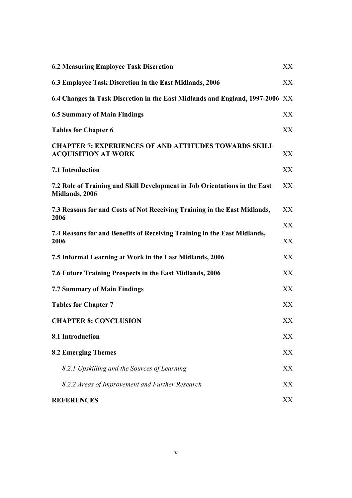| <b>6.2 Measuring Employee Task Discretion</b><br>XX                                          |          |  |  |
|----------------------------------------------------------------------------------------------|----------|--|--|
| 6.3 Employee Task Discretion in the East Midlands, 2006                                      | XX       |  |  |
| 6.4 Changes in Task Discretion in the East Midlands and England, 1997-2006 XX                |          |  |  |
| <b>6.5 Summary of Main Findings</b>                                                          | XX       |  |  |
| <b>Tables for Chapter 6</b>                                                                  | XX       |  |  |
| <b>CHAPTER 7: EXPERIENCES OF AND ATTITUDES TOWARDS SKILL</b><br><b>ACQUISITION AT WORK</b>   | XX       |  |  |
| 7.1 Introduction                                                                             | XX       |  |  |
| 7.2 Role of Training and Skill Development in Job Orientations in the East<br>Midlands, 2006 | XX       |  |  |
| 7.3 Reasons for and Costs of Not Receiving Training in the East Midlands,<br>2006            | XX       |  |  |
| 7.4 Reasons for and Benefits of Receiving Training in the East Midlands,<br>2006             | XX<br>XX |  |  |
| 7.5 Informal Learning at Work in the East Midlands, 2006                                     | XX       |  |  |
| 7.6 Future Training Prospects in the East Midlands, 2006                                     | XX       |  |  |
| <b>7.7 Summary of Main Findings</b>                                                          | XX       |  |  |
| <b>Tables for Chapter 7</b>                                                                  | XX       |  |  |
| <b>CHAPTER 8: CONCLUSION</b>                                                                 | XX       |  |  |
| 8.1 Introduction                                                                             | XX       |  |  |
| <b>8.2 Emerging Themes</b>                                                                   | XX       |  |  |
| 8.2.1 Upskilling and the Sources of Learning                                                 | XX       |  |  |
| 8.2.2 Areas of Improvement and Further Research                                              | XX       |  |  |
| <b>REFERENCES</b>                                                                            | XX       |  |  |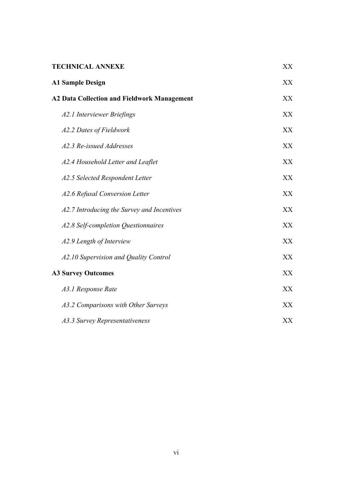| <b>TECHNICAL ANNEXE</b>                            | XX |
|----------------------------------------------------|----|
| <b>A1 Sample Design</b>                            | XX |
| <b>A2 Data Collection and Fieldwork Management</b> | XX |
| A2.1 Interviewer Briefings                         | XX |
| A2.2 Dates of Fieldwork                            | XX |
| A2.3 Re-issued Addresses                           | XX |
| A2.4 Household Letter and Leaflet                  | XX |
| A2.5 Selected Respondent Letter                    | XX |
| A2.6 Refusal Conversion Letter                     | XX |
| A2.7 Introducing the Survey and Incentives         | XX |
| A2.8 Self-completion Questionnaires                | XX |
| A2.9 Length of Interview                           | XX |
| A2.10 Supervision and Quality Control              | XX |
| <b>A3 Survey Outcomes</b>                          | XX |
| A3.1 Response Rate                                 | XX |
| A3.2 Comparisons with Other Surveys                | XX |
| A3.3 Survey Representativeness                     | XX |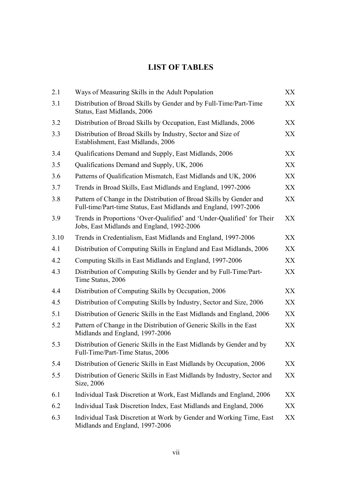### **LIST OF TABLES**

| 2.1  | Ways of Measuring Skills in the Adult Population                                                                                        |    |  |  |
|------|-----------------------------------------------------------------------------------------------------------------------------------------|----|--|--|
| 3.1  | Distribution of Broad Skills by Gender and by Full-Time/Part-Time<br>Status, East Midlands, 2006                                        |    |  |  |
| 3.2  | Distribution of Broad Skills by Occupation, East Midlands, 2006                                                                         | XX |  |  |
| 3.3  | Distribution of Broad Skills by Industry, Sector and Size of<br>Establishment, East Midlands, 2006                                      |    |  |  |
| 3.4  | Qualifications Demand and Supply, East Midlands, 2006                                                                                   |    |  |  |
| 3.5  | Qualifications Demand and Supply, UK, 2006                                                                                              |    |  |  |
| 3.6  | Patterns of Qualification Mismatch, East Midlands and UK, 2006                                                                          |    |  |  |
| 3.7  | Trends in Broad Skills, East Midlands and England, 1997-2006                                                                            |    |  |  |
| 3.8  | Pattern of Change in the Distribution of Broad Skills by Gender and<br>Full-time/Part-time Status, East Midlands and England, 1997-2006 |    |  |  |
| 3.9  | Trends in Proportions 'Over-Qualified' and 'Under-Qualified' for Their<br>Jobs, East Midlands and England, 1992-2006                    | XX |  |  |
| 3.10 | Trends in Credentialism, East Midlands and England, 1997-2006                                                                           | XX |  |  |
| 4.1  | Distribution of Computing Skills in England and East Midlands, 2006                                                                     | XX |  |  |
| 4.2  | Computing Skills in East Midlands and England, 1997-2006                                                                                | XX |  |  |
| 4.3  | Distribution of Computing Skills by Gender and by Full-Time/Part-<br>Time Status, 2006                                                  | XX |  |  |
| 4.4  | Distribution of Computing Skills by Occupation, 2006                                                                                    | XX |  |  |
| 4.5  | Distribution of Computing Skills by Industry, Sector and Size, 2006                                                                     | XX |  |  |
| 5.1  | Distribution of Generic Skills in the East Midlands and England, 2006                                                                   | XX |  |  |
| 5.2  | Pattern of Change in the Distribution of Generic Skills in the East<br>Midlands and England, 1997-2006                                  | XX |  |  |
| 5.3  | Distribution of Generic Skills in the East Midlands by Gender and by<br>Full-Time/Part-Time Status, 2006                                | XX |  |  |
| 5.4  | Distribution of Generic Skills in East Midlands by Occupation, 2006                                                                     | XX |  |  |
| 5.5  | Distribution of Generic Skills in East Midlands by Industry, Sector and<br>Size, 2006                                                   |    |  |  |
| 6.1  | Individual Task Discretion at Work, East Midlands and England, 2006                                                                     | XX |  |  |
| 6.2  | Individual Task Discretion Index, East Midlands and England, 2006                                                                       |    |  |  |
| 6.3  | Individual Task Discretion at Work by Gender and Working Time, East<br>Midlands and England, 1997-2006                                  | XX |  |  |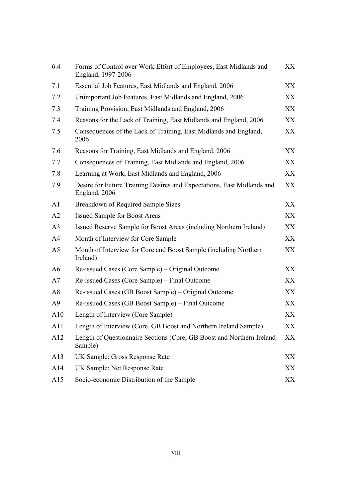| 6.4            | Forms of Control over Work Effort of Employees, East Midlands and<br>England, 1997-2006 |     |  |  |  |
|----------------|-----------------------------------------------------------------------------------------|-----|--|--|--|
| 7.1            | Essential Job Features, East Midlands and England, 2006                                 |     |  |  |  |
| 7.2            | Unimportant Job Features, East Midlands and England, 2006                               |     |  |  |  |
| 7.3            | Training Provision, East Midlands and England, 2006                                     |     |  |  |  |
| 7.4            | Reasons for the Lack of Training, East Midlands and England, 2006                       |     |  |  |  |
| 7.5            | Consequences of the Lack of Training, East Midlands and England,<br>2006                |     |  |  |  |
| 7.6            | Reasons for Training, East Midlands and England, 2006                                   |     |  |  |  |
| 7.7            | Consequences of Training, East Midlands and England, 2006                               | XX  |  |  |  |
| 7.8            | Learning at Work, East Midlands and England, 2006                                       | XX  |  |  |  |
| 7.9            | Desire for Future Training Desires and Expectations, East Midlands and<br>England, 2006 |     |  |  |  |
| A1             | Breakdown of Required Sample Sizes                                                      | XX  |  |  |  |
| A2             | <b>Issued Sample for Boost Areas</b>                                                    | XX  |  |  |  |
| A <sub>3</sub> | Issued Reserve Sample for Boost Areas (including Northern Ireland)                      | XX  |  |  |  |
| A4             | Month of Interview for Core Sample                                                      | XX  |  |  |  |
| A <sub>5</sub> | Month of Interview for Core and Boost Sample (including Northern<br>Ireland)            | XX  |  |  |  |
| A <sub>6</sub> | Re-issued Cases (Core Sample) – Original Outcome                                        | XX  |  |  |  |
| A7             | Re-issued Cases (Core Sample) – Final Outcome                                           | XX. |  |  |  |
| A8             | Re-issued Cases (GB Boost Sample) – Original Outcome                                    | XX  |  |  |  |
| A <sup>9</sup> | Re-issued Cases (GB Boost Sample) – Final Outcome                                       | XX  |  |  |  |
| A10            | Length of Interview (Core Sample)                                                       | XX  |  |  |  |
| A <sub>1</sub> | Length of Interview (Core, GB Boost and Northern Ireland Sample)                        | XX  |  |  |  |
| A12            | Length of Questionnaire Sections (Core, GB Boost and Northern Ireland<br>Sample)        | XX  |  |  |  |
| A13            | UK Sample: Gross Response Rate                                                          | XX  |  |  |  |
| A14            | UK Sample: Net Response Rate                                                            |     |  |  |  |
| A15            | Socio-economic Distribution of the Sample                                               | XX  |  |  |  |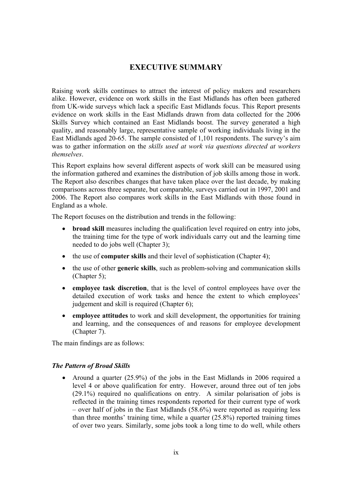### **EXECUTIVE SUMMARY**

Raising work skills continues to attract the interest of policy makers and researchers alike. However, evidence on work skills in the East Midlands has often been gathered from UK-wide surveys which lack a specific East Midlands focus. This Report presents evidence on work skills in the East Midlands drawn from data collected for the 2006 Skills Survey which contained an East Midlands boost. The survey generated a high quality, and reasonably large, representative sample of working individuals living in the East Midlands aged 20-65. The sample consisted of 1,101 respondents. The survey's aim was to gather information on the *skills used at work via questions directed at workers themselves*.

This Report explains how several different aspects of work skill can be measured using the information gathered and examines the distribution of job skills among those in work. The Report also describes changes that have taken place over the last decade, by making comparisons across three separate, but comparable, surveys carried out in 1997, 2001 and 2006. The Report also compares work skills in the East Midlands with those found in England as a whole.

The Report focuses on the distribution and trends in the following:

- **broad skill** measures including the qualification level required on entry into jobs, the training time for the type of work individuals carry out and the learning time needed to do jobs well (Chapter 3);
- the use of **computer skills** and their level of sophistication (Chapter 4);
- the use of other **generic skills**, such as problem-solving and communication skills (Chapter 5);
- **employee task discretion**, that is the level of control employees have over the detailed execution of work tasks and hence the extent to which employees' judgement and skill is required (Chapter 6);
- **employee attitudes** to work and skill development, the opportunities for training and learning, and the consequences of and reasons for employee development (Chapter 7).

The main findings are as follows:

### *The Pattern of Broad Skills*

• Around a quarter (25.9%) of the jobs in the East Midlands in 2006 required a level 4 or above qualification for entry. However, around three out of ten jobs (29.1%) required no qualifications on entry. A similar polarisation of jobs is reflected in the training times respondents reported for their current type of work – over half of jobs in the East Midlands (58.6%) were reported as requiring less than three months' training time, while a quarter (25.8%) reported training times of over two years. Similarly, some jobs took a long time to do well, while others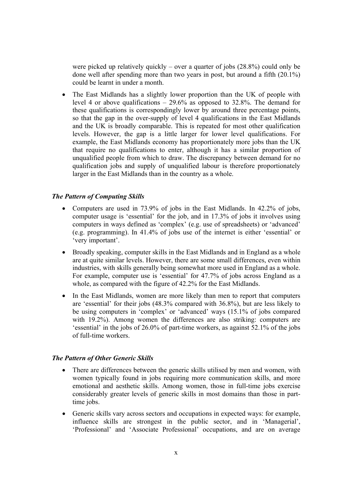were picked up relatively quickly – over a quarter of jobs  $(28.8\%)$  could only be done well after spending more than two years in post, but around a fifth (20.1%) could be learnt in under a month.

• The East Midlands has a slightly lower proportion than the UK of people with level 4 or above qualifications  $-29.6\%$  as opposed to 32.8%. The demand for these qualifications is correspondingly lower by around three percentage points, so that the gap in the over-supply of level 4 qualifications in the East Midlands and the UK is broadly comparable. This is repeated for most other qualification levels. However, the gap is a little larger for lower level qualifications. For example, the East Midlands economy has proportionately more jobs than the UK that require no qualifications to enter, although it has a similar proportion of unqualified people from which to draw. The discrepancy between demand for no qualification jobs and supply of unqualified labour is therefore proportionately larger in the East Midlands than in the country as a whole.

#### *The Pattern of Computing Skills*

- Computers are used in 73.9% of jobs in the East Midlands. In 42.2% of jobs, computer usage is 'essential' for the job, and in 17.3% of jobs it involves using computers in ways defined as 'complex' (e.g. use of spreadsheets) or 'advanced' (e.g. programming). In 41.4% of jobs use of the internet is either 'essential' or 'very important'.
- Broadly speaking, computer skills in the East Midlands and in England as a whole are at quite similar levels. However, there are some small differences, even within industries, with skills generally being somewhat more used in England as a whole. For example, computer use is 'essential' for 47.7% of jobs across England as a whole, as compared with the figure of 42.2% for the East Midlands.
- In the East Midlands, women are more likely than men to report that computers are 'essential' for their jobs (48.3% compared with 36.8%), but are less likely to be using computers in 'complex' or 'advanced' ways (15.1% of jobs compared with 19.2%). Among women the differences are also striking: computers are 'essential' in the jobs of 26.0% of part-time workers, as against 52.1% of the jobs of full-time workers.

#### *The Pattern of Other Generic Skills*

- There are differences between the generic skills utilised by men and women, with women typically found in jobs requiring more communication skills, and more emotional and aesthetic skills. Among women, those in full-time jobs exercise considerably greater levels of generic skills in most domains than those in parttime jobs.
- Generic skills vary across sectors and occupations in expected ways: for example, influence skills are strongest in the public sector, and in 'Managerial', 'Professional' and 'Associate Professional' occupations, and are on average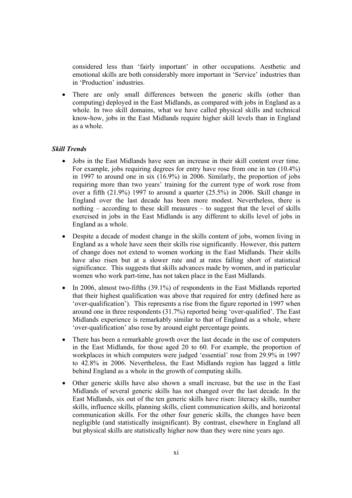considered less than 'fairly important' in other occupations. Aesthetic and emotional skills are both considerably more important in 'Service' industries than in 'Production' industries.

• There are only small differences between the generic skills (other than computing) deployed in the East Midlands, as compared with jobs in England as a whole. In two skill domains, what we have called physical skills and technical know-how, jobs in the East Midlands require higher skill levels than in England as a whole.

#### *Skill Trends*

- Jobs in the East Midlands have seen an increase in their skill content over time. For example, jobs requiring degrees for entry have rose from one in ten (10.4%) in 1997 to around one in six (16.9%) in 2006. Similarly, the proportion of jobs requiring more than two years' training for the current type of work rose from over a fifth (21.9%) 1997 to around a quarter (25.5%) in 2006. Skill change in England over the last decade has been more modest. Nevertheless, there is nothing – according to these skill measures – to suggest that the level of skills exercised in jobs in the East Midlands is any different to skills level of jobs in England as a whole.
- Despite a decade of modest change in the skills content of jobs, women living in England as a whole have seen their skills rise significantly. However, this pattern of change does not extend to women working in the East Midlands. Their skills have also risen but at a slower rate and at rates falling short of statistical significance. This suggests that skills advances made by women, and in particular women who work part-time, has not taken place in the East Midlands.
- In 2006, almost two-fifths (39.1%) of respondents in the East Midlands reported that their highest qualification was above that required for entry (defined here as 'over-qualification'). This represents a rise from the figure reported in 1997 when around one in three respondents (31.7%) reported being 'over-qualified'. The East Midlands experience is remarkably similar to that of England as a whole, where 'over-qualification' also rose by around eight percentage points.
- There has been a remarkable growth over the last decade in the use of computers in the East Midlands, for those aged 20 to 60. For example, the proportion of workplaces in which computers were judged 'essential' rose from 29.9% in 1997 to 42.8% in 2006. Nevertheless, the East Midlands region has lagged a little behind England as a whole in the growth of computing skills.
- Other generic skills have also shown a small increase, but the use in the East Midlands of several generic skills has not changed over the last decade. In the East Midlands, six out of the ten generic skills have risen: literacy skills, number skills, influence skills, planning skills, client communication skills, and horizontal communication skills. For the other four generic skills, the changes have been negligible (and statistically insignificant). By contrast, elsewhere in England all but physical skills are statistically higher now than they were nine years ago.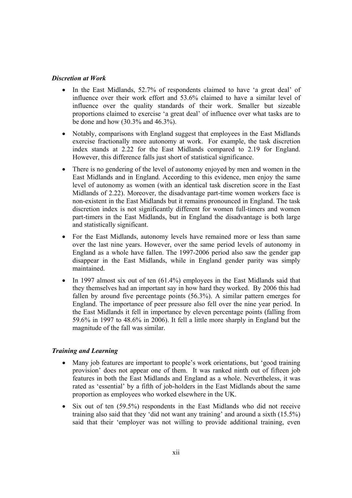#### *Discretion at Work*

- In the East Midlands, 52.7% of respondents claimed to have 'a great deal' of influence over their work effort and 53.6% claimed to have a similar level of influence over the quality standards of their work. Smaller but sizeable proportions claimed to exercise 'a great deal' of influence over what tasks are to be done and how (30.3% and 46.3%).
- Notably, comparisons with England suggest that employees in the East Midlands exercise fractionally more autonomy at work. For example, the task discretion index stands at 2.22 for the East Midlands compared to 2.19 for England. However, this difference falls just short of statistical significance.
- There is no gendering of the level of autonomy enjoyed by men and women in the East Midlands and in England. According to this evidence, men enjoy the same level of autonomy as women (with an identical task discretion score in the East Midlands of 2.22). Moreover, the disadvantage part-time women workers face is non-existent in the East Midlands but it remains pronounced in England. The task discretion index is not significantly different for women full-timers and women part-timers in the East Midlands, but in England the disadvantage is both large and statistically significant.
- For the East Midlands, autonomy levels have remained more or less than same over the last nine years. However, over the same period levels of autonomy in England as a whole have fallen. The 1997-2006 period also saw the gender gap disappear in the East Midlands, while in England gender parity was simply maintained.
- In 1997 almost six out of ten (61.4%) employees in the East Midlands said that they themselves had an important say in how hard they worked. By 2006 this had fallen by around five percentage points (56.3%). A similar pattern emerges for England. The importance of peer pressure also fell over the nine year period. In the East Midlands it fell in importance by eleven percentage points (falling from 59.6% in 1997 to 48.6% in 2006). It fell a little more sharply in England but the magnitude of the fall was similar.

### *Training and Learning*

- Many job features are important to people's work orientations, but 'good training provision' does not appear one of them. It was ranked ninth out of fifteen job features in both the East Midlands and England as a whole. Nevertheless, it was rated as 'essential' by a fifth of job-holders in the East Midlands about the same proportion as employees who worked elsewhere in the UK.
- Six out of ten (59.5%) respondents in the East Midlands who did not receive training also said that they 'did not want any training' and around a sixth (15.5%) said that their 'employer was not willing to provide additional training, even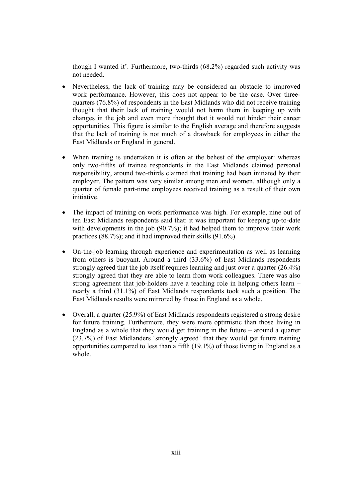though I wanted it'. Furthermore, two-thirds (68.2%) regarded such activity was not needed.

- Nevertheless, the lack of training may be considered an obstacle to improved work performance. However, this does not appear to be the case. Over threequarters (76.8%) of respondents in the East Midlands who did not receive training thought that their lack of training would not harm them in keeping up with changes in the job and even more thought that it would not hinder their career opportunities. This figure is similar to the English average and therefore suggests that the lack of training is not much of a drawback for employees in either the East Midlands or England in general.
- When training is undertaken it is often at the behest of the employer: whereas only two-fifths of trainee respondents in the East Midlands claimed personal responsibility, around two-thirds claimed that training had been initiated by their employer. The pattern was very similar among men and women, although only a quarter of female part-time employees received training as a result of their own initiative.
- The impact of training on work performance was high. For example, nine out of ten East Midlands respondents said that: it was important for keeping up-to-date with developments in the job (90.7%); it had helped them to improve their work practices (88.7%); and it had improved their skills (91.6%).
- On-the-job learning through experience and experimentation as well as learning from others is buoyant. Around a third (33.6%) of East Midlands respondents strongly agreed that the job itself requires learning and just over a quarter (26.4%) strongly agreed that they are able to learn from work colleagues. There was also strong agreement that job-holders have a teaching role in helping others learn – nearly a third (31.1%) of East Midlands respondents took such a position. The East Midlands results were mirrored by those in England as a whole.
- Overall, a quarter (25.9%) of East Midlands respondents registered a strong desire for future training. Furthermore, they were more optimistic than those living in England as a whole that they would get training in the future – around a quarter (23.7%) of East Midlanders 'strongly agreed' that they would get future training opportunities compared to less than a fifth (19.1%) of those living in England as a whole.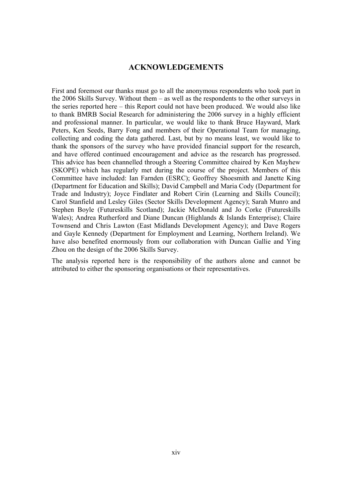### **ACKNOWLEDGEMENTS**

First and foremost our thanks must go to all the anonymous respondents who took part in the 2006 Skills Survey. Without them – as well as the respondents to the other surveys in the series reported here – this Report could not have been produced. We would also like to thank BMRB Social Research for administering the 2006 survey in a highly efficient and professional manner. In particular, we would like to thank Bruce Hayward, Mark Peters, Ken Seeds, Barry Fong and members of their Operational Team for managing, collecting and coding the data gathered. Last, but by no means least, we would like to thank the sponsors of the survey who have provided financial support for the research, and have offered continued encouragement and advice as the research has progressed. This advice has been channelled through a Steering Committee chaired by Ken Mayhew (SKOPE) which has regularly met during the course of the project. Members of this Committee have included: Ian Farnden (ESRC); Geoffrey Shoesmith and Janette King (Department for Education and Skills); David Campbell and Maria Cody (Department for Trade and Industry); Joyce Findlater and Robert Cirin (Learning and Skills Council); Carol Stanfield and Lesley Giles (Sector Skills Development Agency); Sarah Munro and Stephen Boyle (Futureskills Scotland); Jackie McDonald and Jo Corke (Futureskills Wales); Andrea Rutherford and Diane Duncan (Highlands & Islands Enterprise); Claire Townsend and Chris Lawton (East Midlands Development Agency); and Dave Rogers and Gayle Kennedy (Department for Employment and Learning, Northern Ireland). We have also benefited enormously from our collaboration with Duncan Gallie and Ying Zhou on the design of the 2006 Skills Survey.

The analysis reported here is the responsibility of the authors alone and cannot be attributed to either the sponsoring organisations or their representatives.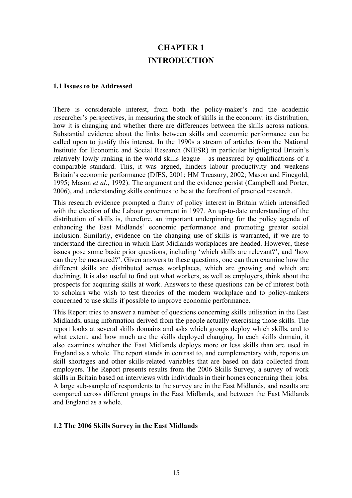### **CHAPTER 1 INTRODUCTION**

#### **1.1 Issues to be Addressed**

There is considerable interest, from both the policy-maker's and the academic researcher's perspectives, in measuring the stock of skills in the economy: its distribution, how it is changing and whether there are differences between the skills across nations. Substantial evidence about the links between skills and economic performance can be called upon to justify this interest. In the 1990s a stream of articles from the National Institute for Economic and Social Research (NIESR) in particular highlighted Britain's relatively lowly ranking in the world skills league – as measured by qualifications of a comparable standard. This, it was argued, hinders labour productivity and weakens Britain's economic performance (DfES, 2001; HM Treasury, 2002; Mason and Finegold, 1995; Mason *et al*., 1992). The argument and the evidence persist (Campbell and Porter, 2006), and understanding skills continues to be at the forefront of practical research.

This research evidence prompted a flurry of policy interest in Britain which intensified with the election of the Labour government in 1997. An up-to-date understanding of the distribution of skills is, therefore, an important underpinning for the policy agenda of enhancing the East Midlands' economic performance and promoting greater social inclusion. Similarly, evidence on the changing use of skills is warranted, if we are to understand the direction in which East Midlands workplaces are headed. However, these issues pose some basic prior questions, including 'which skills are relevant?', and 'how can they be measured?'. Given answers to these questions, one can then examine how the different skills are distributed across workplaces, which are growing and which are declining. It is also useful to find out what workers, as well as employers, think about the prospects for acquiring skills at work. Answers to these questions can be of interest both to scholars who wish to test theories of the modern workplace and to policy-makers concerned to use skills if possible to improve economic performance.

This Report tries to answer a number of questions concerning skills utilisation in the East Midlands, using information derived from the people actually exercising those skills. The report looks at several skills domains and asks which groups deploy which skills, and to what extent, and how much are the skills deployed changing. In each skills domain, it also examines whether the East Midlands deploys more or less skills than are used in England as a whole. The report stands in contrast to, and complementary with, reports on skill shortages and other skills-related variables that are based on data collected from employers. The Report presents results from the 2006 Skills Survey, a survey of work skills in Britain based on interviews with individuals in their homes concerning their jobs. A large sub-sample of respondents to the survey are in the East Midlands, and results are compared across different groups in the East Midlands, and between the East Midlands and England as a whole.

### **1.2 The 2006 Skills Survey in the East Midlands**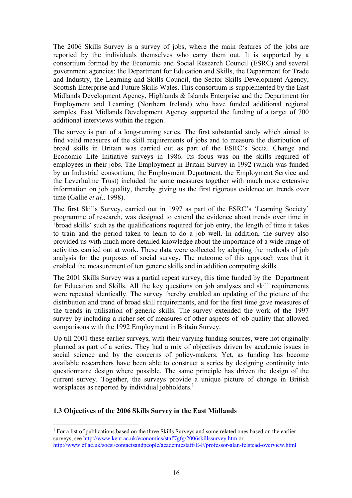The 2006 Skills Survey is a survey of jobs, where the main features of the jobs are reported by the individuals themselves who carry them out. It is supported by a consortium formed by the Economic and Social Research Council (ESRC) and several government agencies: the Department for Education and Skills, the Department for Trade and Industry, the Learning and Skills Council, the Sector Skills Development Agency, Scottish Enterprise and Future Skills Wales. This consortium is supplemented by the East Midlands Development Agency, Highlands & Islands Enterprise and the Department for Employment and Learning (Northern Ireland) who have funded additional regional samples. East Midlands Development Agency supported the funding of a target of 700 additional interviews within the region.

The survey is part of a long-running series. The first substantial study which aimed to find valid measures of the skill requirements of jobs and to measure the distribution of broad skills in Britain was carried out as part of the ESRC's Social Change and Economic Life Initiative surveys in 1986. Its focus was on the skills required of employees in their jobs. The Employment in Britain Survey in 1992 (which was funded by an Industrial consortium, the Employment Department, the Employment Service and the Leverhulme Trust) included the same measures together with much more extensive information on job quality, thereby giving us the first rigorous evidence on trends over time (Gallie *et al*., 1998).

The first Skills Survey, carried out in 1997 as part of the ESRC's 'Learning Society' programme of research, was designed to extend the evidence about trends over time in 'broad skills' such as the qualifications required for job entry, the length of time it takes to train and the period taken to learn to do a job well. In addition, the survey also provided us with much more detailed knowledge about the importance of a wide range of activities carried out at work. These data were collected by adapting the methods of job analysis for the purposes of social survey. The outcome of this approach was that it enabled the measurement of ten generic skills and in addition computing skills.

The 2001 Skills Survey was a partial repeat survey, this time funded by the Department for Education and Skills. All the key questions on job analyses and skill requirements were repeated identically. The survey thereby enabled an updating of the picture of the distribution and trend of broad skill requirements, and for the first time gave measures of the trends in utilisation of generic skills. The survey extended the work of the 1997 survey by including a richer set of measures of other aspects of job quality that allowed comparisons with the 1992 Employment in Britain Survey.

Up till 2001 these earlier surveys, with their varying funding sources, were not originally planned as part of a series. They had a mix of objectives driven by academic issues in social science and by the concerns of policy-makers. Yet, as funding has become available researchers have been able to construct a series by designing continuity into questionnaire design where possible. The same principle has driven the design of the current survey. Together, the surveys provide a unique picture of change in British workplaces as reported by individual jobholders. $<sup>1</sup>$ </sup>

### **1.3 Objectives of the 2006 Skills Survey in the East Midlands**

 $\overline{a}$ 

<sup>&</sup>lt;sup>1</sup> For a list of publications based on the three Skills Surveys and some related ones based on the earlier surveys, see http://www.kent.ac.uk/economics/staff/gfg/2006skillssurvey.htm or http://www.cf.ac.uk/socsi/contactsandpeople/academicstaff/E-F/professor-alan-felstead-overview.html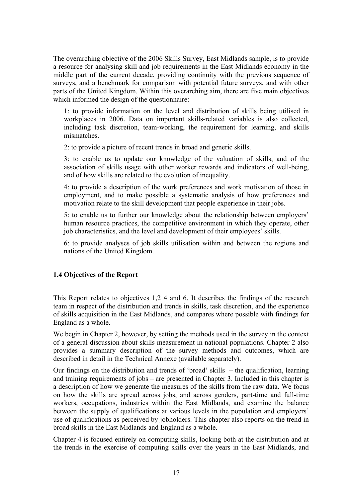The overarching objective of the 2006 Skills Survey, East Midlands sample, is to provide a resource for analysing skill and job requirements in the East Midlands economy in the middle part of the current decade, providing continuity with the previous sequence of surveys, and a benchmark for comparison with potential future surveys, and with other parts of the United Kingdom. Within this overarching aim, there are five main objectives which informed the design of the questionnaire:

1: to provide information on the level and distribution of skills being utilised in workplaces in 2006. Data on important skills-related variables is also collected, including task discretion, team-working, the requirement for learning, and skills mismatches.

2: to provide a picture of recent trends in broad and generic skills.

3: to enable us to update our knowledge of the valuation of skills, and of the association of skills usage with other worker rewards and indicators of well-being, and of how skills are related to the evolution of inequality.

4: to provide a description of the work preferences and work motivation of those in employment, and to make possible a systematic analysis of how preferences and motivation relate to the skill development that people experience in their jobs.

5: to enable us to further our knowledge about the relationship between employers' human resource practices, the competitive environment in which they operate, other job characteristics, and the level and development of their employees' skills.

6: to provide analyses of job skills utilisation within and between the regions and nations of the United Kingdom.

### **1.4 Objectives of the Report**

This Report relates to objectives 1,2 4 and 6. It describes the findings of the research team in respect of the distribution and trends in skills, task discretion, and the experience of skills acquisition in the East Midlands, and compares where possible with findings for England as a whole.

We begin in Chapter 2, however, by setting the methods used in the survey in the context of a general discussion about skills measurement in national populations. Chapter 2 also provides a summary description of the survey methods and outcomes, which are described in detail in the Technical Annexe (available separately).

Our findings on the distribution and trends of 'broad' skills – the qualification, learning and training requirements of jobs – are presented in Chapter 3. Included in this chapter is a description of how we generate the measures of the skills from the raw data. We focus on how the skills are spread across jobs, and across genders, part-time and full-time workers, occupations, industries within the East Midlands, and examine the balance between the supply of qualifications at various levels in the population and employers' use of qualifications as perceived by jobholders. This chapter also reports on the trend in broad skills in the East Midlands and England as a whole.

Chapter 4 is focused entirely on computing skills, looking both at the distribution and at the trends in the exercise of computing skills over the years in the East Midlands, and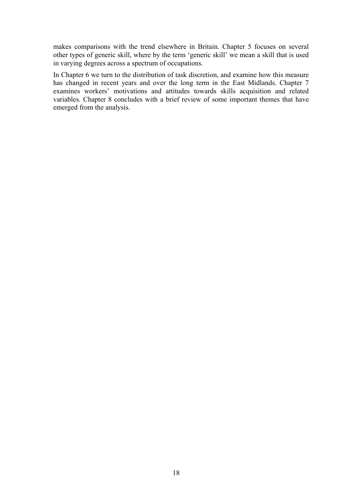makes comparisons with the trend elsewhere in Britain. Chapter 5 focuses on several other types of generic skill, where by the term 'generic skill' we mean a skill that is used in varying degrees across a spectrum of occupations.

In Chapter 6 we turn to the distribution of task discretion, and examine how this measure has changed in recent years and over the long term in the East Midlands. Chapter 7 examines workers' motivations and attitudes towards skills acquisition and related variables. Chapter 8 concludes with a brief review of some important themes that have emerged from the analysis.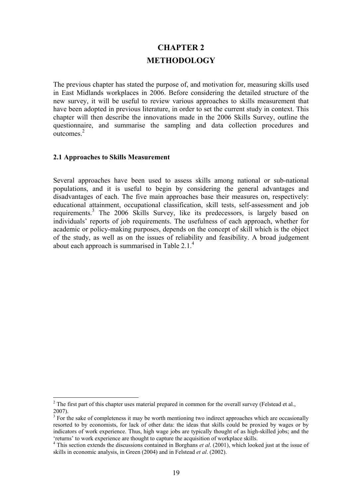### **CHAPTER 2 METHODOLOGY**

The previous chapter has stated the purpose of, and motivation for, measuring skills used in East Midlands workplaces in 2006. Before considering the detailed structure of the new survey, it will be useful to review various approaches to skills measurement that have been adopted in previous literature, in order to set the current study in context. This chapter will then describe the innovations made in the 2006 Skills Survey, outline the questionnaire, and summarise the sampling and data collection procedures and  $\frac{1}{\text{outcomes.}}^2$ 

### **2.1 Approaches to Skills Measurement**

Several approaches have been used to assess skills among national or sub-national populations, and it is useful to begin by considering the general advantages and disadvantages of each. The five main approaches base their measures on, respectively: educational attainment, occupational classification, skill tests, self-assessment and job requirements.<sup>3</sup> The 2006 Skills Survey, like its predecessors, is largely based on individuals' reports of job requirements. The usefulness of each approach, whether for academic or policy-making purposes, depends on the concept of skill which is the object of the study, as well as on the issues of reliability and feasibility. A broad judgement about each approach is summarised in Table 2.1.4

 $\overline{a}$ <sup>2</sup> The first part of this chapter uses material prepared in common for the overall survey (Felstead et al., 2007).

 $3$  For the sake of completeness it may be worth mentioning two indirect approaches which are occasionally resorted to by economists, for lack of other data: the ideas that skills could be proxied by wages or by indicators of work experience. Thus, high wage jobs are typically thought of as high-skilled jobs; and the

<sup>&#</sup>x27;returns' to work experience are thought to capture the acquisition of workplace skills. 4 This section extends the discussions contained in Borghans *et al*. (2001), which looked just at the issue of skills in economic analysis, in Green (2004) and in Felstead *et al*. (2002).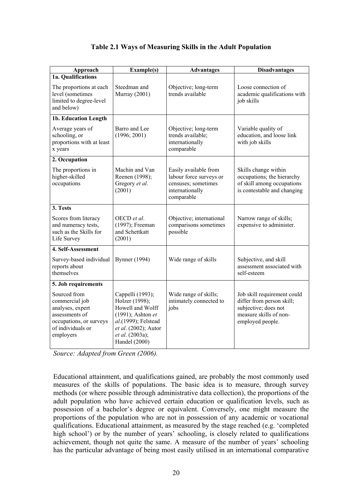### **Table 2.1 Ways of Measuring Skills in the Adult Population**

| Approach                                                                                                                          | <b>Example(s)</b>                                                                                                                                              | <b>Advantages</b>                                                                                        | <b>Disadvantages</b>                                                                                                           |
|-----------------------------------------------------------------------------------------------------------------------------------|----------------------------------------------------------------------------------------------------------------------------------------------------------------|----------------------------------------------------------------------------------------------------------|--------------------------------------------------------------------------------------------------------------------------------|
| 1a. Qualifications                                                                                                                |                                                                                                                                                                |                                                                                                          |                                                                                                                                |
| The proportions at each<br>level (sometimes<br>limited to degree-level<br>and below)                                              | Steedman and<br>Murray (2001)                                                                                                                                  | Objective; long-term<br>trends available                                                                 | Loose connection of<br>academic qualifications with<br>job skills                                                              |
| 1b. Education Length                                                                                                              |                                                                                                                                                                |                                                                                                          |                                                                                                                                |
| Average years of<br>schooling, or<br>proportions with at least<br>x years                                                         | Barro and Lee<br>(1996; 2001)                                                                                                                                  | Objective; long-term<br>trends available;<br>internationally<br>comparable                               | Variable quality of<br>education, and loose link<br>with job skills                                                            |
| 2. Occupation                                                                                                                     |                                                                                                                                                                |                                                                                                          |                                                                                                                                |
| The proportions in<br>higher-skilled<br>occupations                                                                               | Machin and Van<br>Reenen (1998);<br>Gregory et al.<br>(2001)                                                                                                   | Easily available from<br>labour force surveys or<br>censuses; sometimes<br>internationally<br>comparable | Skills change within<br>occupations; the hierarchy<br>of skill among occupations<br>is contestable and changing                |
| 3. Tests                                                                                                                          |                                                                                                                                                                |                                                                                                          |                                                                                                                                |
| Scores from literacy<br>and numeracy tests,<br>such as the Skills for<br>Life Survey                                              | OECD et al.<br>(1997); Freeman<br>and Schettkatt<br>(2001)                                                                                                     | Objective; international<br>comparisons sometimes<br>possible                                            | Narrow range of skills;<br>expensive to administer.                                                                            |
| 4. Self-Assessment                                                                                                                |                                                                                                                                                                |                                                                                                          |                                                                                                                                |
| Survey-based individual<br>reports about<br>themselves                                                                            | <b>Bynner</b> (1994)                                                                                                                                           | Wide range of skills                                                                                     | Subjective, and skill<br>assessment associated with<br>self-esteem                                                             |
| 5. Job requirements                                                                                                               |                                                                                                                                                                |                                                                                                          |                                                                                                                                |
| Sourced from<br>commercial job<br>analyses, expert<br>assessments of<br>occupations, or surveys<br>of individuals or<br>employers | Cappelli (1993);<br>Holzer (1998);<br>Howell and Wolff<br>(1991); Ashton et<br>al.(1999); Felstead<br>et al. (2002); Autor<br>et al. (2003a);<br>Handel (2000) | Wide range of skills;<br>intimately connected to<br>jobs                                                 | Job skill requirement could<br>differ from person skill;<br>subjective; does not<br>measure skills of non-<br>employed people. |

*Source: Adapted from Green (2006).* 

Educational attainment, and qualifications gained, are probably the most commonly used measures of the skills of populations. The basic idea is to measure, through survey methods (or where possible through administrative data collection), the proportions of the adult population who have achieved certain education or qualification levels, such as possession of a bachelor's degree or equivalent. Conversely, one might measure the proportions of the population who are not in possession of any academic or vocational qualifications. Educational attainment, as measured by the stage reached (e.g. 'completed high school') or by the number of years' schooling, is closely related to qualifications achievement, though not quite the same. A measure of the number of years' schooling has the particular advantage of being most easily utilised in an international comparative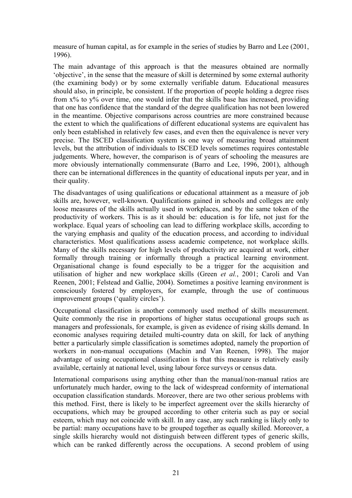measure of human capital, as for example in the series of studies by Barro and Lee (2001, 1996).

The main advantage of this approach is that the measures obtained are normally 'objective', in the sense that the measure of skill is determined by some external authority (the examining body) or by some externally verifiable datum. Educational measures should also, in principle, be consistent. If the proportion of people holding a degree rises from x% to y% over time, one would infer that the skills base has increased, providing that one has confidence that the standard of the degree qualification has not been lowered in the meantime. Objective comparisons across countries are more constrained because the extent to which the qualifications of different educational systems are equivalent has only been established in relatively few cases, and even then the equivalence is never very precise. The ISCED classification system is one way of measuring broad attainment levels, but the attribution of individuals to ISCED levels sometimes requires contestable judgements. Where, however, the comparison is of years of schooling the measures are more obviously internationally commensurate (Barro and Lee, 1996, 2001), although there can be international differences in the quantity of educational inputs per year, and in their quality.

The disadvantages of using qualifications or educational attainment as a measure of job skills are, however, well-known. Qualifications gained in schools and colleges are only loose measures of the skills actually used in workplaces, and by the same token of the productivity of workers. This is as it should be: education is for life, not just for the workplace. Equal years of schooling can lead to differing workplace skills, according to the varying emphasis and quality of the education process, and according to individual characteristics. Most qualifications assess academic competence, not workplace skills. Many of the skills necessary for high levels of productivity are acquired at work, either formally through training or informally through a practical learning environment. Organisational change is found especially to be a trigger for the acquisition and utilisation of higher and new workplace skills (Green *et al.*, 2001; Caroli and Van Reenen, 2001; Felstead and Gallie, 2004). Sometimes a positive learning environment is consciously fostered by employers, for example, through the use of continuous improvement groups ('quality circles').

Occupational classification is another commonly used method of skills measurement. Quite commonly the rise in proportions of higher status occupational groups such as managers and professionals, for example, is given as evidence of rising skills demand. In economic analyses requiring detailed multi-country data on skill, for lack of anything better a particularly simple classification is sometimes adopted, namely the proportion of workers in non-manual occupations (Machin and Van Reenen, 1998). The major advantage of using occupational classification is that this measure is relatively easily available, certainly at national level, using labour force surveys or census data.

International comparisons using anything other than the manual/non-manual ratios are unfortunately much harder, owing to the lack of widespread conformity of international occupation classification standards. Moreover, there are two other serious problems with this method. First, there is likely to be imperfect agreement over the skills hierarchy of occupations, which may be grouped according to other criteria such as pay or social esteem, which may not coincide with skill. In any case, any such ranking is likely only to be partial: many occupations have to be grouped together as equally skilled. Moreover, a single skills hierarchy would not distinguish between different types of generic skills, which can be ranked differently across the occupations. A second problem of using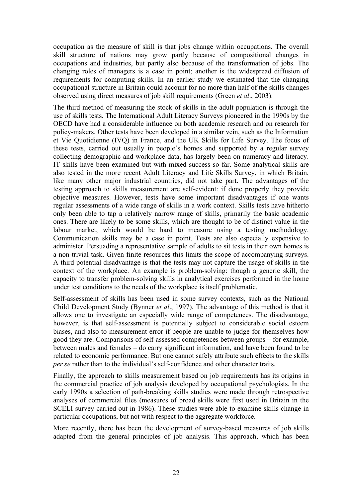occupation as the measure of skill is that jobs change within occupations. The overall skill structure of nations may grow partly because of compositional changes in occupations and industries, but partly also because of the transformation of jobs. The changing roles of managers is a case in point; another is the widespread diffusion of requirements for computing skills. In an earlier study we estimated that the changing occupational structure in Britain could account for no more than half of the skills changes observed using direct measures of job skill requirements (Green *et al*., 2003).

The third method of measuring the stock of skills in the adult population is through the use of skills tests. The International Adult Literacy Surveys pioneered in the 1990s by the OECD have had a considerable influence on both academic research and on research for policy-makers. Other tests have been developed in a similar vein, such as the Information et Vie Quotidienne (IVQ) in France, and the UK Skills for Life Survey. The focus of these tests, carried out usually in people's homes and supported by a regular survey collecting demographic and workplace data, has largely been on numeracy and literacy. IT skills have been examined but with mixed success so far. Some analytical skills are also tested in the more recent Adult Literacy and Life Skills Survey, in which Britain, like many other major industrial countries, did not take part. The advantages of the testing approach to skills measurement are self-evident: if done properly they provide objective measures. However, tests have some important disadvantages if one wants regular assessments of a wide range of skills in a work context. Skills tests have hitherto only been able to tap a relatively narrow range of skills, primarily the basic academic ones. There are likely to be some skills, which are thought to be of distinct value in the labour market, which would be hard to measure using a testing methodology. Communication skills may be a case in point. Tests are also especially expensive to administer. Persuading a representative sample of adults to sit tests in their own homes is a non-trivial task. Given finite resources this limits the scope of accompanying surveys. A third potential disadvantage is that the tests may not capture the usage of skills in the context of the workplace. An example is problem-solving: though a generic skill, the capacity to transfer problem-solving skills in analytical exercises performed in the home under test conditions to the needs of the workplace is itself problematic.

Self-assessment of skills has been used in some survey contexts, such as the National Child Development Study (Bynner *et al*., 1997). The advantage of this method is that it allows one to investigate an especially wide range of competences. The disadvantage, however, is that self-assessment is potentially subject to considerable social esteem biases, and also to measurement error if people are unable to judge for themselves how good they are. Comparisons of self-assessed competences between groups – for example, between males and females – do carry significant information, and have been found to be related to economic performance. But one cannot safely attribute such effects to the skills *per se* rather than to the individual's self-confidence and other character traits.

Finally, the approach to skills measurement based on job requirements has its origins in the commercial practice of job analysis developed by occupational psychologists. In the early 1990s a selection of path-breaking skills studies were made through retrospective analyses of commercial files (measures of broad skills were first used in Britain in the SCELI survey carried out in 1986). These studies were able to examine skills change in particular occupations, but not with respect to the aggregate workforce.

More recently, there has been the development of survey-based measures of job skills adapted from the general principles of job analysis. This approach, which has been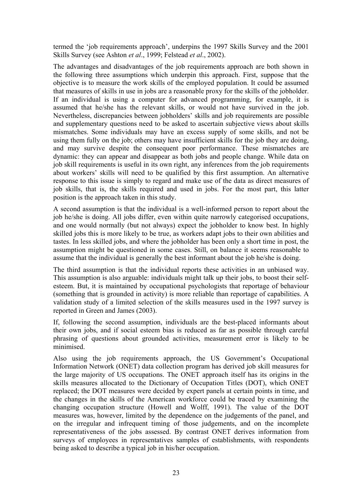termed the 'job requirements approach', underpins the 1997 Skills Survey and the 2001 Skills Survey (see Ashton *et al*., 1999; Felstead *et al*., 2002).

The advantages and disadvantages of the job requirements approach are both shown in the following three assumptions which underpin this approach. First, suppose that the objective is to measure the work skills of the employed population. It could be assumed that measures of skills in use in jobs are a reasonable proxy for the skills of the jobholder. If an individual is using a computer for advanced programming, for example, it is assumed that he/she has the relevant skills, or would not have survived in the job. Nevertheless, discrepancies between jobholders' skills and job requirements are possible and supplementary questions need to be asked to ascertain subjective views about skills mismatches. Some individuals may have an excess supply of some skills, and not be using them fully on the job; others may have insufficient skills for the job they are doing, and may survive despite the consequent poor performance. These mismatches are dynamic: they can appear and disappear as both jobs and people change. While data on job skill requirements is useful in its own right, any inferences from the job requirements about workers' skills will need to be qualified by this first assumption. An alternative response to this issue is simply to regard and make use of the data as direct measures of job skills, that is, the skills required and used in jobs. For the most part, this latter position is the approach taken in this study.

A second assumption is that the individual is a well-informed person to report about the job he/she is doing. All jobs differ, even within quite narrowly categorised occupations, and one would normally (but not always) expect the jobholder to know best. In highly skilled jobs this is more likely to be true, as workers adapt jobs to their own abilities and tastes. In less skilled jobs, and where the jobholder has been only a short time in post, the assumption might be questioned in some cases. Still, on balance it seems reasonable to assume that the individual is generally the best informant about the job he/she is doing.

The third assumption is that the individual reports these activities in an unbiased way. This assumption is also arguable: individuals might talk up their jobs, to boost their selfesteem. But, it is maintained by occupational psychologists that reportage of behaviour (something that is grounded in activity) is more reliable than reportage of capabilities. A validation study of a limited selection of the skills measures used in the 1997 survey is reported in Green and James (2003).

If, following the second assumption, individuals are the best-placed informants about their own jobs, and if social esteem bias is reduced as far as possible through careful phrasing of questions about grounded activities, measurement error is likely to be minimised.

Also using the job requirements approach, the US Government's Occupational Information Network (ONET) data collection program has derived job skill measures for the large majority of US occupations. The ONET approach itself has its origins in the skills measures allocated to the Dictionary of Occupation Titles (DOT), which ONET replaced; the DOT measures were decided by expert panels at certain points in time, and the changes in the skills of the American workforce could be traced by examining the changing occupation structure (Howell and Wolff, 1991). The value of the DOT measures was, however, limited by the dependence on the judgements of the panel, and on the irregular and infrequent timing of those judgements, and on the incomplete representativeness of the jobs assessed. By contrast ONET derives information from surveys of employees in representatives samples of establishments, with respondents being asked to describe a typical job in his/her occupation.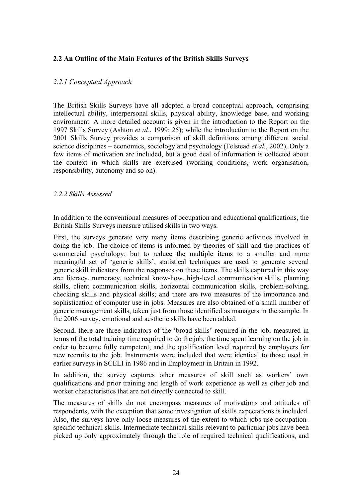### **2.2 An Outline of the Main Features of the British Skills Surveys**

### *2.2.1 Conceptual Approach*

The British Skills Surveys have all adopted a broad conceptual approach, comprising intellectual ability, interpersonal skills, physical ability, knowledge base, and working environment. A more detailed account is given in the introduction to the Report on the 1997 Skills Survey (Ashton *et al*., 1999: 25); while the introduction to the Report on the 2001 Skills Survey provides a comparison of skill definitions among different social science disciplines – economics, sociology and psychology (Felstead *et al.*, 2002). Only a few items of motivation are included, but a good deal of information is collected about the context in which skills are exercised (working conditions, work organisation, responsibility, autonomy and so on).

### *2.2.2 Skills Assessed*

In addition to the conventional measures of occupation and educational qualifications, the British Skills Surveys measure utilised skills in two ways.

First, the surveys generate very many items describing generic activities involved in doing the job. The choice of items is informed by theories of skill and the practices of commercial psychology; but to reduce the multiple items to a smaller and more meaningful set of 'generic skills', statistical techniques are used to generate several generic skill indicators from the responses on these items. The skills captured in this way are: literacy, numeracy, technical know-how, high-level communication skills, planning skills, client communication skills, horizontal communication skills, problem-solving, checking skills and physical skills; and there are two measures of the importance and sophistication of computer use in jobs. Measures are also obtained of a small number of generic management skills, taken just from those identified as managers in the sample. In the 2006 survey, emotional and aesthetic skills have been added.

Second, there are three indicators of the 'broad skills' required in the job, measured in terms of the total training time required to do the job, the time spent learning on the job in order to become fully competent, and the qualification level required by employers for new recruits to the job. Instruments were included that were identical to those used in earlier surveys in SCELI in 1986 and in Employment in Britain in 1992.

In addition, the survey captures other measures of skill such as workers' own qualifications and prior training and length of work experience as well as other job and worker characteristics that are not directly connected to skill.

The measures of skills do not encompass measures of motivations and attitudes of respondents, with the exception that some investigation of skills expectations is included. Also, the surveys have only loose measures of the extent to which jobs use occupationspecific technical skills. Intermediate technical skills relevant to particular jobs have been picked up only approximately through the role of required technical qualifications, and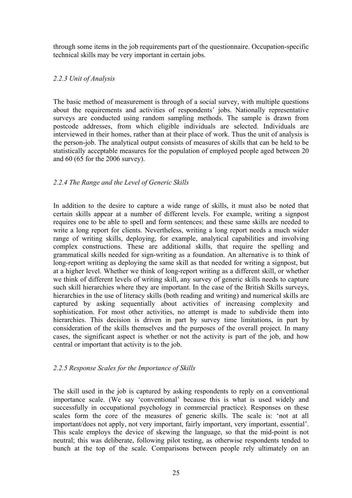through some items in the job requirements part of the questionnaire. Occupation-specific technical skills may be very important in certain jobs.

### *2.2.3 Unit of Analysis*

The basic method of measurement is through of a social survey, with multiple questions about the requirements and activities of respondents' jobs. Nationally representative surveys are conducted using random sampling methods. The sample is drawn from postcode addresses, from which eligible individuals are selected. Individuals are interviewed in their homes, rather than at their place of work. Thus the unit of analysis is the person-job. The analytical output consists of measures of skills that can be held to be statistically acceptable measures for the population of employed people aged between 20 and 60 (65 for the 2006 survey).

### *2.2.4 The Range and the Level of Generic Skills*

In addition to the desire to capture a wide range of skills, it must also be noted that certain skills appear at a number of different levels. For example, writing a signpost requires one to be able to spell and form sentences; and these same skills are needed to write a long report for clients. Nevertheless, writing a long report needs a much wider range of writing skills, deploying, for example, analytical capabilities and involving complex constructions. These are additional skills, that require the spelling and grammatical skills needed for sign-writing as a foundation. An alternative is to think of long-report writing as deploying the same skill as that needed for writing a signpost, but at a higher level. Whether we think of long-report writing as a different skill, or whether we think of different levels of writing skill, any survey of generic skills needs to capture such skill hierarchies where they are important. In the case of the British Skills surveys, hierarchies in the use of literacy skills (both reading and writing) and numerical skills are captured by asking sequentially about activities of increasing complexity and sophistication. For most other activities, no attempt is made to subdivide them into hierarchies. This decision is driven in part by survey time limitations, in part by consideration of the skills themselves and the purposes of the overall project. In many cases, the significant aspect is whether or not the activity is part of the job, and how central or important that activity is to the job.

### *2.2.5 Response Scales for the Importance of Skills*

The skill used in the job is captured by asking respondents to reply on a conventional importance scale. (We say 'conventional' because this is what is used widely and successfully in occupational psychology in commercial practice). Responses on these scales form the core of the measures of generic skills. The scale is: 'not at all important/does not apply, not very important, fairly important, very important, essential'. This scale employs the device of skewing the language, so that the mid-point is not neutral; this was deliberate, following pilot testing, as otherwise respondents tended to bunch at the top of the scale. Comparisons between people rely ultimately on an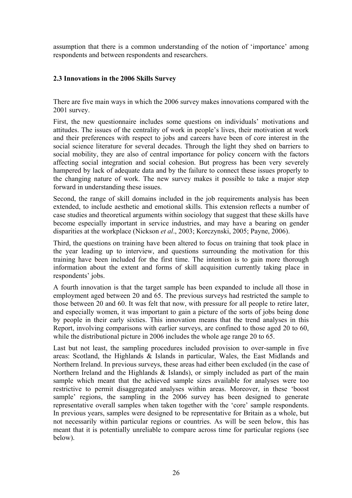assumption that there is a common understanding of the notion of 'importance' among respondents and between respondents and researchers.

### **2.3 Innovations in the 2006 Skills Survey**

There are five main ways in which the 2006 survey makes innovations compared with the 2001 survey.

First, the new questionnaire includes some questions on individuals' motivations and attitudes. The issues of the centrality of work in people's lives, their motivation at work and their preferences with respect to jobs and careers have been of core interest in the social science literature for several decades. Through the light they shed on barriers to social mobility, they are also of central importance for policy concern with the factors affecting social integration and social cohesion. But progress has been very severely hampered by lack of adequate data and by the failure to connect these issues properly to the changing nature of work. The new survey makes it possible to take a major step forward in understanding these issues.

Second, the range of skill domains included in the job requirements analysis has been extended, to include aesthetic and emotional skills. This extension reflects a number of case studies and theoretical arguments within sociology that suggest that these skills have become especially important in service industries, and may have a bearing on gender disparities at the workplace (Nickson *et al*., 2003; Korczynski, 2005; Payne, 2006).

Third, the questions on training have been altered to focus on training that took place in the year leading up to interview, and questions surrounding the motivation for this training have been included for the first time. The intention is to gain more thorough information about the extent and forms of skill acquisition currently taking place in respondents' jobs.

A fourth innovation is that the target sample has been expanded to include all those in employment aged between 20 and 65. The previous surveys had restricted the sample to those between 20 and 60. It was felt that now, with pressure for all people to retire later, and especially women, it was important to gain a picture of the sorts of jobs being done by people in their early sixties. This innovation means that the trend analyses in this Report, involving comparisons with earlier surveys, are confined to those aged 20 to 60, while the distributional picture in 2006 includes the whole age range 20 to 65.

Last but not least, the sampling procedures included provision to over-sample in five areas: Scotland, the Highlands & Islands in particular, Wales, the East Midlands and Northern Ireland. In previous surveys, these areas had either been excluded (in the case of Northern Ireland and the Highlands & Islands), or simply included as part of the main sample which meant that the achieved sample sizes available for analyses were too restrictive to permit disaggregated analyses within areas. Moreover, in these 'boost sample' regions, the sampling in the 2006 survey has been designed to generate representative overall samples when taken together with the 'core' sample respondents. In previous years, samples were designed to be representative for Britain as a whole, but not necessarily within particular regions or countries. As will be seen below, this has meant that it is potentially unreliable to compare across time for particular regions (see below).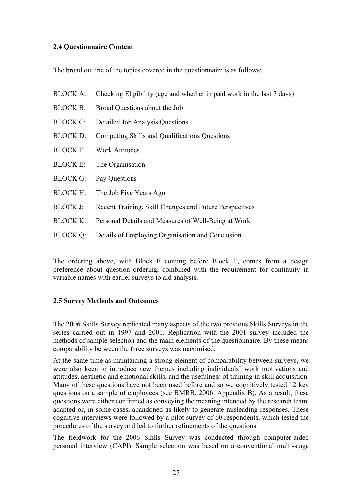### **2.4 Questionnaire Content**

The broad outline of the topics covered in the questionnaire is as follows:

- BLOCK A: Checking Eligibility (age and whether in paid work in the last 7 days)
- BLOCK B: Broad Questions about the Job
- BLOCK C: Detailed Job Analysis Questions
- BLOCK D: Computing Skills and Qualifications Questions
- BLOCK F: Work Attitudes
- BLOCK E: The Organisation
- BLOCK G: Pay Questions
- BLOCK H: The Job Five Years Ago
- BLOCK J: Recent Training, Skill Changes and Future Perspectives
- BLOCK K: Personal Details and Measures of Well-Being at Work
- BLOCK Q: Details of Employing Organisation and Conclusion

The ordering above, with Block F coming before Block E, comes from a design preference about question ordering, combined with the requirement for continuity in variable names with earlier surveys to aid analysis.

### **2.5 Survey Methods and Outcomes**

The 2006 Skills Survey replicated many aspects of the two previous Skills Surveys in the series carried out in 1997 and 2001. Replication with the 2001 survey included the methods of sample selection and the main elements of the questionnaire. By these means comparability between the three surveys was maximised.

At the same time as maintaining a strong element of comparability between surveys, we were also keen to introduce new themes including individuals' work motivations and attitudes, aesthetic and emotional skills, and the usefulness of training in skill acquisition. Many of these questions have not been used before and so we cognitively tested 12 key questions on a sample of employees (see BMRB, 2006: Appendix B). As a result, these questions were either confirmed as conveying the meaning intended by the research team, adapted or, in some cases, abandoned as likely to generate misleading responses. These cognitive interviews were followed by a pilot survey of 60 respondents, which tested the procedures of the survey and led to further refinements of the questions.

The fieldwork for the 2006 Skills Survey was conducted through computer-aided personal interview (CAPI). Sample selection was based on a conventional multi-stage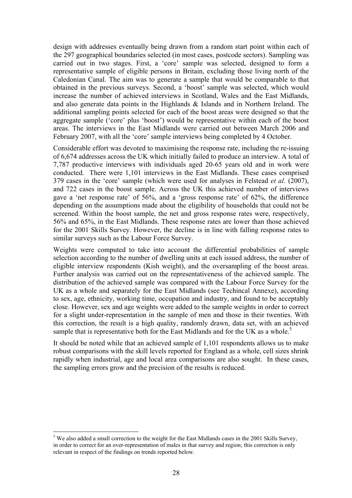design with addresses eventually being drawn from a random start point within each of the 297 geographical boundaries selected (in most cases, postcode sectors). Sampling was carried out in two stages. First, a 'core' sample was selected, designed to form a representative sample of eligible persons in Britain, excluding those living north of the Caledonian Canal. The aim was to generate a sample that would be comparable to that obtained in the previous surveys. Second, a 'boost' sample was selected, which would increase the number of achieved interviews in Scotland, Wales and the East Midlands, and also generate data points in the Highlands & Islands and in Northern Ireland. The additional sampling points selected for each of the boost areas were designed so that the aggregate sample ('core' plus 'boost') would be representative within each of the boost areas. The interviews in the East Midlands were carried out between March 2006 and February 2007, with all the 'core' sample interviews being completed by 4 October.

Considerable effort was devoted to maximising the response rate, including the re-issuing of 6,674 addresses across the UK which initially failed to produce an interview. A total of 7,787 productive interviews with individuals aged 20-65 years old and in work were conducted. There were 1,101 interviews in the East Midlands. These cases comprised 379 cases in the 'core' sample (which were used for analyses in Felstead *et al*. (2007), and 722 cases in the boost sample. Across the UK this achieved number of interviews gave a 'net response rate' of 56%, and a 'gross response rate' of 62%, the difference depending on the assumptions made about the eligibility of households that could not be screened. Within the boost sample, the net and gross response rates were, respectively, 56% and 65%, in the East Midlands. These response rates are lower than those achieved for the 2001 Skills Survey. However, the decline is in line with falling response rates to similar surveys such as the Labour Force Survey.

Weights were computed to take into account the differential probabilities of sample selection according to the number of dwelling units at each issued address, the number of eligible interview respondents (Kish weight), and the oversampling of the boost areas. Further analysis was carried out on the representativeness of the achieved sample. The distribution of the achieved sample was compared with the Labour Force Survey for the UK as a whole and separately for the East Midlands (see Techincal Annexe), according to sex, age, ethnicity, working time, occupation and industry, and found to be acceptably close. However, sex and age weights were added to the sample weights in order to correct for a slight under-representation in the sample of men and those in their twenties. With this correction, the result is a high quality, randomly drawn, data set, with an achieved sample that is representative both for the East Midlands and for the UK as a whole.<sup>5</sup>

It should be noted while that an achieved sample of 1,101 respondents allows us to make robust comparisons with the skill levels reported for England as a whole, cell sizes shrink rapidly when industrial, age and local area comparisons are also sought. In these cases, the sampling errors grow and the precision of the results is reduced.

 $\overline{a}$ 

 $<sup>5</sup>$  We also added a small correction to the weight for the East Midlands cases in the 2001 Skills Survey,</sup> in order to correct for an over-representation of males in that survey and region; this correction is only relevant in respect of the findings on trends reported below.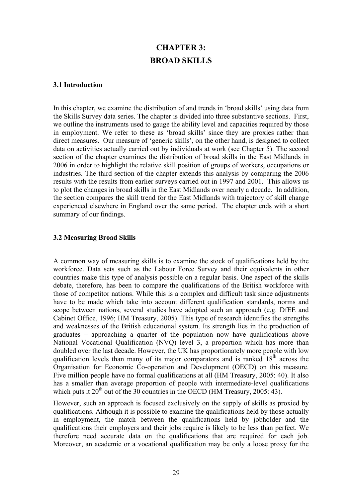### **CHAPTER 3: BROAD SKILLS**

### **3.1 Introduction**

In this chapter, we examine the distribution of and trends in 'broad skills' using data from the Skills Survey data series. The chapter is divided into three substantive sections. First, we outline the instruments used to gauge the ability level and capacities required by those in employment. We refer to these as 'broad skills' since they are proxies rather than direct measures. Our measure of 'generic skills', on the other hand, is designed to collect data on activities actually carried out by individuals at work (see Chapter 5). The second section of the chapter examines the distribution of broad skills in the East Midlands in 2006 in order to highlight the relative skill position of groups of workers, occupations or industries. The third section of the chapter extends this analysis by comparing the 2006 results with the results from earlier surveys carried out in 1997 and 2001. This allows us to plot the changes in broad skills in the East Midlands over nearly a decade. In addition, the section compares the skill trend for the East Midlands with trajectory of skill change experienced elsewhere in England over the same period. The chapter ends with a short summary of our findings.

### **3.2 Measuring Broad Skills**

A common way of measuring skills is to examine the stock of qualifications held by the workforce. Data sets such as the Labour Force Survey and their equivalents in other countries make this type of analysis possible on a regular basis. One aspect of the skills debate, therefore, has been to compare the qualifications of the British workforce with those of competitor nations. While this is a complex and difficult task since adjustments have to be made which take into account different qualification standards, norms and scope between nations, several studies have adopted such an approach (e.g. DfEE and Cabinet Office, 1996; HM Treasury, 2005). This type of research identifies the strengths and weaknesses of the British educational system. Its strength lies in the production of graduates – approaching a quarter of the population now have qualifications above National Vocational Qualification (NVQ) level 3, a proportion which has more than doubled over the last decade. However, the UK has proportionately more people with low qualification levels than many of its major comparators and is ranked  $18<sup>th</sup>$  across the Organisation for Economic Co-operation and Development (OECD) on this measure. Five million people have no formal qualifications at all (HM Treasury, 2005: 40). It also has a smaller than average proportion of people with intermediate-level qualifications which puts it  $20^{th}$  out of the 30 countries in the OECD (HM Treasury, 2005: 43).

However, such an approach is focused exclusively on the supply of skills as proxied by qualifications. Although it is possible to examine the qualifications held by those actually in employment, the match between the qualifications held by jobholder and the qualifications their employers and their jobs require is likely to be less than perfect. We therefore need accurate data on the qualifications that are required for each job. Moreover, an academic or a vocational qualification may be only a loose proxy for the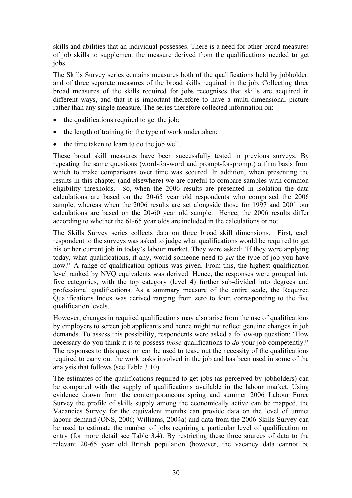skills and abilities that an individual possesses. There is a need for other broad measures of job skills to supplement the measure derived from the qualifications needed to get jobs.

The Skills Survey series contains measures both of the qualifications held by jobholder, and of three separate measures of the broad skills required in the job. Collecting three broad measures of the skills required for jobs recognises that skills are acquired in different ways, and that it is important therefore to have a multi-dimensional picture rather than any single measure. The series therefore collected information on:

- the qualifications required to get the job;
- the length of training for the type of work undertaken;
- the time taken to learn to do the job well.

These broad skill measures have been successfully tested in previous surveys. By repeating the same questions (word-for-word and prompt-for-prompt) a firm basis from which to make comparisons over time was secured. In addition, when presenting the results in this chapter (and elsewhere) we are careful to compare samples with common eligibility thresholds. So, when the 2006 results are presented in isolation the data calculations are based on the 20-65 year old respondents who comprised the 2006 sample, whereas when the 2006 results are set alongside those for 1997 and 2001 our calculations are based on the 20-60 year old sample. Hence, the 2006 results differ according to whether the 61-65 year olds are included in the calculations or not.

The Skills Survey series collects data on three broad skill dimensions. First, each respondent to the surveys was asked to judge what qualifications would be required to get his or her current job in today's labour market. They were asked: 'If they were applying today, what qualifications, if any, would someone need to *get* the type of job you have now?' A range of qualification options was given. From this, the highest qualification level ranked by NVQ equivalents was derived. Hence, the responses were grouped into five categories, with the top category (level 4) further sub-divided into degrees and professional qualifications. As a summary measure of the entire scale, the Required Qualifications Index was derived ranging from zero to four, corresponding to the five qualification levels.

However, changes in required qualifications may also arise from the use of qualifications by employers to screen job applicants and hence might not reflect genuine changes in job demands. To assess this possibility, respondents were asked a follow-up question: 'How necessary do you think it is to possess *those* qualifications to *do* your job competently?' The responses to this question can be used to tease out the necessity of the qualifications required to carry out the work tasks involved in the job and has been used in some of the analysis that follows (see Table 3.10).

The estimates of the qualifications required to get jobs (as perceived by jobholders) can be compared with the supply of qualifications available in the labour market. Using evidence drawn from the contemporaneous spring and summer 2006 Labour Force Survey the profile of skills supply among the economically active can be mapped, the Vacancies Survey for the equivalent months can provide data on the level of unmet labour demand (ONS, 2006; Williams, 2004a) and data from the 2006 Skills Survey can be used to estimate the number of jobs requiring a particular level of qualification on entry (for more detail see Table 3.4). By restricting these three sources of data to the relevant 20-65 year old British population (however, the vacancy data cannot be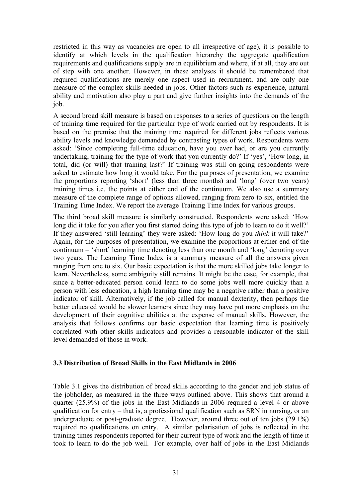restricted in this way as vacancies are open to all irrespective of age), it is possible to identify at which levels in the qualification hierarchy the aggregate qualification requirements and qualifications supply are in equilibrium and where, if at all, they are out of step with one another. However, in these analyses it should be remembered that required qualifications are merely one aspect used in recruitment, and are only one measure of the complex skills needed in jobs. Other factors such as experience, natural ability and motivation also play a part and give further insights into the demands of the job.

A second broad skill measure is based on responses to a series of questions on the length of training time required for the particular type of work carried out by respondents. It is based on the premise that the training time required for different jobs reflects various ability levels and knowledge demanded by contrasting types of work. Respondents were asked: 'Since completing full-time education, have you ever had, or are you currently undertaking, training for the type of work that you currently do?' If 'yes', 'How long, in total, did (or will) that training last?' If training was still on-going respondents were asked to estimate how long it would take. For the purposes of presentation, we examine the proportions reporting 'short' (less than three months) and 'long' (over two years) training times i.e. the points at either end of the continuum. We also use a summary measure of the complete range of options allowed, ranging from zero to six, entitled the Training Time Index. We report the average Training Time Index for various groups.

The third broad skill measure is similarly constructed. Respondents were asked: 'How long did it take for you after you first started doing this type of job to learn to do it well?' If they answered 'still learning' they were asked: 'How long do you *think* it will take?' Again, for the purposes of presentation, we examine the proportions at either end of the continuum – 'short' learning time denoting less than one month and 'long' denoting over two years. The Learning Time Index is a summary measure of all the answers given ranging from one to six. Our basic expectation is that the more skilled jobs take longer to learn. Nevertheless, some ambiguity still remains. It might be the case, for example, that since a better-educated person could learn to do some jobs well more quickly than a person with less education, a high learning time may be a negative rather than a positive indicator of skill. Alternatively, if the job called for manual dexterity, then perhaps the better educated would be slower learners since they may have put more emphasis on the development of their cognitive abilities at the expense of manual skills. However, the analysis that follows confirms our basic expectation that learning time is positively correlated with other skills indicators and provides a reasonable indicator of the skill level demanded of those in work.

### **3.3 Distribution of Broad Skills in the East Midlands in 2006**

Table 3.1 gives the distribution of broad skills according to the gender and job status of the jobholder, as measured in the three ways outlined above. This shows that around a quarter (25.9%) of the jobs in the East Midlands in 2006 required a level 4 or above qualification for entry – that is, a professional qualification such as SRN in nursing, or an undergraduate or post-graduate degree. However, around three out of ten jobs (29.1%) required no qualifications on entry. A similar polarisation of jobs is reflected in the training times respondents reported for their current type of work and the length of time it took to learn to do the job well. For example, over half of jobs in the East Midlands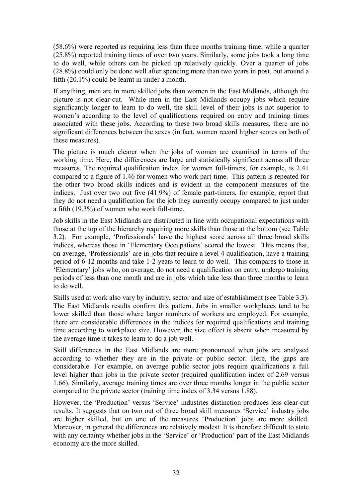(58.6%) were reported as requiring less than three months training time, while a quarter (25.8%) reported training times of over two years. Similarly, some jobs took a long time to do well, while others can be picked up relatively quickly. Over a quarter of jobs (28.8%) could only be done well after spending more than two years in post, but around a fifth (20.1%) could be learnt in under a month.

If anything, men are in more skilled jobs than women in the East Midlands, although the picture is not clear-cut. While men in the East Midlands occupy jobs which require significantly longer to learn to do well, the skill level of their jobs is not superior to women's according to the level of qualifications required on entry and training times associated with these jobs. According to these two broad skills measures, there are no significant differences between the sexes (in fact, women record higher scores on both of these measures).

The picture is much clearer when the jobs of women are examined in terms of the working time. Here, the differences are large and statistically significant across all three measures. The required qualification index for women full-timers, for example, is 2.41 compared to a figure of 1.46 for women who work part-time. This pattern is repeated for the other two broad skills indices and is evident in the component measures of the indices. Just over two out five (41.9%) of female part-timers, for example, report that they do not need a qualification for the job they currently occupy compared to just under a fifth (19.3%) of women who work full-time.

Job skills in the East Midlands are distributed in line with occupational expectations with those at the top of the hierarchy requiring more skills than those at the bottom (see Table 3.2). For example, 'Professionals' have the highest score across all three broad skills indices, whereas those in 'Elementary Occupations' scored the lowest. This means that, on average, 'Professionals' are in jobs that require a level 4 qualification, have a training period of 6-12 months and take 1-2 years to learn to do well. This compares to those in 'Elementary' jobs who, on average, do not need a qualification on entry, undergo training periods of less than one month and are in jobs which take less than three months to learn to do well.

Skills used at work also vary by industry, sector and size of establishment (see Table 3.3). The East Midlands results confirm this pattern. Jobs in smaller workplaces tend to be lower skilled than those where larger numbers of workers are employed. For example, there are considerable differences in the indices for required qualifications and training time according to workplace size. However, the size effect is absent when measured by the average time it takes to learn to do a job well.

Skill differences in the East Midlands are more pronounced when jobs are analysed according to whether they are in the private or public sector. Here, the gaps are considerable. For example, on average public sector jobs require qualifications a full level higher than jobs in the private sector (required qualification index of 2.69 versus 1.66). Similarly, average training times are over three months longer in the public sector compared to the private sector (training time index of 3.34 versus 1.88).

However, the 'Production' versus 'Service' industries distinction produces less clear-cut results. It suggests that on two out of three broad skill measures 'Service' industry jobs are higher skilled, but on one of the measures 'Production' jobs are more skilled. Moreover, in general the differences are relatively modest. It is therefore difficult to state with any certainty whether jobs in the 'Service' or 'Production' part of the East Midlands economy are the more skilled.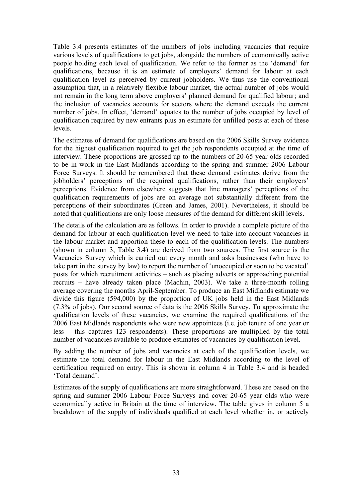Table 3.4 presents estimates of the numbers of jobs including vacancies that require various levels of qualifications to get jobs, alongside the numbers of economically active people holding each level of qualification. We refer to the former as the 'demand' for qualifications, because it is an estimate of employers' demand for labour at each qualification level as perceived by current jobholders. We thus use the conventional assumption that, in a relatively flexible labour market, the actual number of jobs would not remain in the long term above employers' planned demand for qualified labour; and the inclusion of vacancies accounts for sectors where the demand exceeds the current number of jobs. In effect, 'demand' equates to the number of jobs occupied by level of qualification required by new entrants plus an estimate for unfilled posts at each of these levels.

The estimates of demand for qualifications are based on the 2006 Skills Survey evidence for the highest qualification required to get the job respondents occupied at the time of interview. These proportions are grossed up to the numbers of 20-65 year olds recorded to be in work in the East Midlands according to the spring and summer 2006 Labour Force Surveys. It should be remembered that these demand estimates derive from the jobholders' perceptions of the required qualifications, rather than their employers' perceptions. Evidence from elsewhere suggests that line managers' perceptions of the qualification requirements of jobs are on average not substantially different from the perceptions of their subordinates (Green and James, 2001). Nevertheless, it should be noted that qualifications are only loose measures of the demand for different skill levels.

The details of the calculation are as follows. In order to provide a complete picture of the demand for labour at each qualification level we need to take into account vacancies in the labour market and apportion these to each of the qualification levels. The numbers (shown in column 3, Table 3.4) are derived from two sources. The first source is the Vacancies Survey which is carried out every month and asks businesses (who have to take part in the survey by law) to report the number of 'unoccupied or soon to be vacated' posts for which recruitment activities – such as placing adverts or approaching potential recruits – have already taken place (Machin, 2003). We take a three-month rolling average covering the months April-September. To produce an East Midlands estimate we divide this figure (594,000) by the proportion of UK jobs held in the East Midlands (7.3% of jobs). Our second source of data is the 2006 Skills Survey. To approximate the qualification levels of these vacancies, we examine the required qualifications of the 2006 East Midlands respondents who were new appointees (i.e. job tenure of one year or less – this captures 123 respondents). These proportions are multiplied by the total number of vacancies available to produce estimates of vacancies by qualification level.

By adding the number of jobs and vacancies at each of the qualification levels, we estimate the total demand for labour in the East Midlands according to the level of certification required on entry. This is shown in column 4 in Table 3.4 and is headed 'Total demand'.

Estimates of the supply of qualifications are more straightforward. These are based on the spring and summer 2006 Labour Force Surveys and cover 20-65 year olds who were economically active in Britain at the time of interview. The table gives in column 5 a breakdown of the supply of individuals qualified at each level whether in, or actively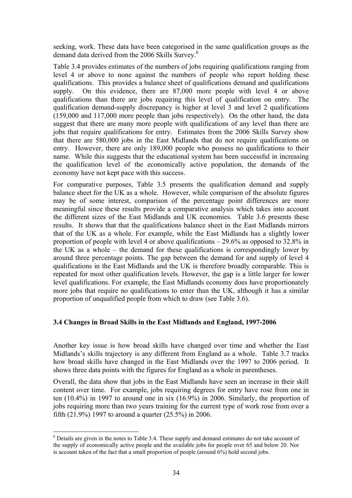seeking, work. These data have been categorised in the same qualification groups as the demand data derived from the 2006 Skills Survey.<sup>6</sup>

Table 3.4 provides estimates of the numbers of jobs requiring qualifications ranging from level 4 or above to none against the numbers of people who report holding these qualifications. This provides a balance sheet of qualifications demand and qualifications supply. On this evidence, there are 87,000 more people with level 4 or above qualifications than there are jobs requiring this level of qualification on entry. The qualification demand-supply discrepancy is higher at level 3 and level 2 qualifications (159,000 and 117,000 more people than jobs respectively). On the other hand, the data suggest that there are many more people with qualifications of any level than there are jobs that require qualifications for entry. Estimates from the 2006 Skills Survey show that there are 580,000 jobs in the East Midlands that do not require qualifications on entry. However, there are only 189,000 people who possess no qualifications to their name. While this suggests that the educational system has been successful in increasing the qualification level of the economically active population, the demands of the economy have not kept pace with this success.

For comparative purposes, Table 3.5 presents the qualification demand and supply balance sheet for the UK as a whole. However, while comparison of the absolute figures may be of some interest, comparison of the percentage point differences are more meaningful since these results provide a comparative analysis which takes into account the different sizes of the East Midlands and UK economies. Table 3.6 presents these results. It shows that that the qualifications balance sheet in the East Midlands mirrors that of the UK as a whole. For example, while the East Midlands has a slightly lower proportion of people with level 4 or above qualifications – 29.6% as opposed to 32.8% in the UK as a whole – the demand for these qualifications is correspondingly lower by around three percentage points. The gap between the demand for and supply of level 4 qualifications in the East Midlands and the UK is therefore broadly comparable. This is repeated for most other qualification levels. However, the gap is a little larger for lower level qualifications. For example, the East Midlands economy does have proportionately more jobs that require no qualifications to enter than the UK, although it has a similar proportion of unqualified people from which to draw (see Table 3.6).

### **3.4 Changes in Broad Skills in the East Midlands and England, 1997-2006**

Another key issue is how broad skills have changed over time and whether the East Midlands's skills trajectory is any different from England as a whole. Table 3.7 tracks how broad skills have changed in the East Midlands over the 1997 to 2006 period. It shows three data points with the figures for England as a whole in parentheses.

Overall, the data show that jobs in the East Midlands have seen an increase in their skill content over time. For example, jobs requiring degrees for entry have rose from one in ten (10.4%) in 1997 to around one in six (16.9%) in 2006. Similarly, the proportion of jobs requiring more than two years training for the current type of work rose from over a fifth (21.9%) 1997 to around a quarter (25.5%) in 2006.

 $\overline{a}$ 

<sup>&</sup>lt;sup>6</sup> Details are given in the notes to Table 3.4. These supply and demand estimates do not take account of the supply of economically active people and the available jobs for people over 65 and below 20. Nor is account taken of the fact that a small proportion of people (around 6%) hold second jobs.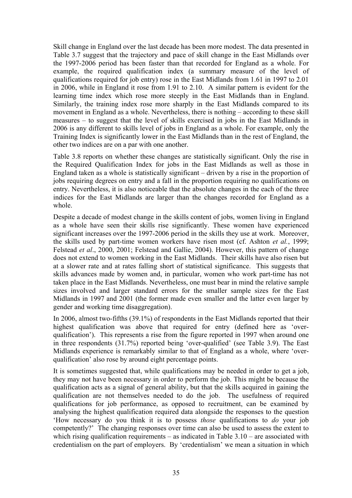Skill change in England over the last decade has been more modest. The data presented in Table 3.7 suggest that the trajectory and pace of skill change in the East Midlands over the 1997-2006 period has been faster than that recorded for England as a whole. For example, the required qualification index (a summary measure of the level of qualifications required for job entry) rose in the East Midlands from 1.61 in 1997 to 2.01 in 2006, while in England it rose from 1.91 to 2.10. A similar pattern is evident for the learning time index which rose more steeply in the East Midlands than in England. Similarly, the training index rose more sharply in the East Midlands compared to its movement in England as a whole. Nevertheless, there is nothing – according to these skill measures – to suggest that the level of skills exercised in jobs in the East Midlands in 2006 is any different to skills level of jobs in England as a whole. For example, only the Training Index is significantly lower in the East Midlands than in the rest of England, the other two indices are on a par with one another.

Table 3.8 reports on whether these changes are statistically significant. Only the rise in the Required Qualification Index for jobs in the East Midlands as well as those in England taken as a whole is statistically significant – driven by a rise in the proportion of jobs requiring degrees on entry and a fall in the proportion requiring no qualifications on entry. Nevertheless, it is also noticeable that the absolute changes in the each of the three indices for the East Midlands are larger than the changes recorded for England as a whole.

Despite a decade of modest change in the skills content of jobs, women living in England as a whole have seen their skills rise significantly. These women have experienced significant increases over the 1997-2006 period in the skills they use at work. Moreover, the skills used by part-time women workers have risen most (cf. Ashton *et al.*, 1999; Felstead *et al*., 2000, 2001; Felstead and Gallie, 2004). However, this pattern of change does not extend to women working in the East Midlands. Their skills have also risen but at a slower rate and at rates falling short of statistical significance. This suggests that skills advances made by women and, in particular, women who work part-time has not taken place in the East Midlands. Nevertheless, one must bear in mind the relative sample sizes involved and larger standard errors for the smaller sample sizes for the East Midlands in 1997 and 2001 (the former made even smaller and the latter even larger by gender and working time disaggregation).

In 2006, almost two-fifths (39.1%) of respondents in the East Midlands reported that their highest qualification was above that required for entry (defined here as 'overqualification'). This represents a rise from the figure reported in 1997 when around one in three respondents (31.7%) reported being 'over-qualified' (see Table 3.9). The East Midlands experience is remarkably similar to that of England as a whole, where 'overqualification' also rose by around eight percentage points.

It is sometimes suggested that, while qualifications may be needed in order to get a job, they may not have been necessary in order to perform the job. This might be because the qualification acts as a signal of general ability, but that the skills acquired in gaining the qualification are not themselves needed to do the job. The usefulness of required qualifications for job performance, as opposed to recruitment, can be examined by analysing the highest qualification required data alongside the responses to the question 'How necessary do you think it is to possess *those* qualifications to *do* your job competently?' The changing responses over time can also be used to assess the extent to which rising qualification requirements – as indicated in Table  $3.10$  – are associated with credentialism on the part of employers. By 'credentialism' we mean a situation in which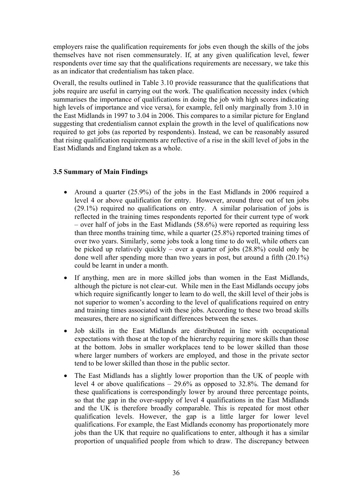employers raise the qualification requirements for jobs even though the skills of the jobs themselves have not risen commensurately. If, at any given qualification level, fewer respondents over time say that the qualifications requirements are necessary, we take this as an indicator that credentialism has taken place.

Overall, the results outlined in Table 3.10 provide reassurance that the qualifications that jobs require are useful in carrying out the work. The qualification necessity index (which summarises the importance of qualifications in doing the job with high scores indicating high levels of importance and vice versa), for example, fell only marginally from 3.10 in the East Midlands in 1997 to 3.04 in 2006. This compares to a similar picture for England suggesting that credentialism cannot explain the growth in the level of qualifications now required to get jobs (as reported by respondents). Instead, we can be reasonably assured that rising qualification requirements are reflective of a rise in the skill level of jobs in the East Midlands and England taken as a whole.

# **3.5 Summary of Main Findings**

- Around a quarter (25.9%) of the jobs in the East Midlands in 2006 required a level 4 or above qualification for entry. However, around three out of ten jobs (29.1%) required no qualifications on entry. A similar polarisation of jobs is reflected in the training times respondents reported for their current type of work – over half of jobs in the East Midlands  $(58.6\%)$  were reported as requiring less than three months training time, while a quarter (25.8%) reported training times of over two years. Similarly, some jobs took a long time to do well, while others can be picked up relatively quickly – over a quarter of jobs (28.8%) could only be done well after spending more than two years in post, but around a fifth (20.1%) could be learnt in under a month.
- If anything, men are in more skilled jobs than women in the East Midlands, although the picture is not clear-cut. While men in the East Midlands occupy jobs which require significantly longer to learn to do well, the skill level of their jobs is not superior to women's according to the level of qualifications required on entry and training times associated with these jobs. According to these two broad skills measures, there are no significant differences between the sexes.
- Job skills in the East Midlands are distributed in line with occupational expectations with those at the top of the hierarchy requiring more skills than those at the bottom. Jobs in smaller workplaces tend to be lower skilled than those where larger numbers of workers are employed, and those in the private sector tend to be lower skilled than those in the public sector.
- The East Midlands has a slightly lower proportion than the UK of people with level 4 or above qualifications – 29.6% as opposed to 32.8%. The demand for these qualifications is correspondingly lower by around three percentage points, so that the gap in the over-supply of level 4 qualifications in the East Midlands and the UK is therefore broadly comparable. This is repeated for most other qualification levels. However, the gap is a little larger for lower level qualifications. For example, the East Midlands economy has proportionately more jobs than the UK that require no qualifications to enter, although it has a similar proportion of unqualified people from which to draw. The discrepancy between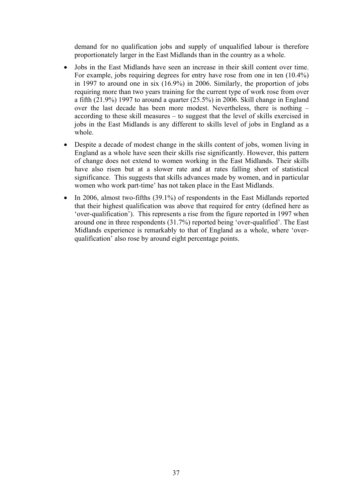demand for no qualification jobs and supply of unqualified labour is therefore proportionately larger in the East Midlands than in the country as a whole.

- Jobs in the East Midlands have seen an increase in their skill content over time. For example, jobs requiring degrees for entry have rose from one in ten (10.4%) in 1997 to around one in six (16.9%) in 2006. Similarly, the proportion of jobs requiring more than two years training for the current type of work rose from over a fifth (21.9%) 1997 to around a quarter (25.5%) in 2006. Skill change in England over the last decade has been more modest. Nevertheless, there is nothing – according to these skill measures – to suggest that the level of skills exercised in jobs in the East Midlands is any different to skills level of jobs in England as a whole.
- Despite a decade of modest change in the skills content of jobs, women living in England as a whole have seen their skills rise significantly. However, this pattern of change does not extend to women working in the East Midlands. Their skills have also risen but at a slower rate and at rates falling short of statistical significance. This suggests that skills advances made by women, and in particular women who work part-time' has not taken place in the East Midlands.
- In 2006, almost two-fifths (39.1%) of respondents in the East Midlands reported that their highest qualification was above that required for entry (defined here as 'over-qualification'). This represents a rise from the figure reported in 1997 when around one in three respondents (31.7%) reported being 'over-qualified'. The East Midlands experience is remarkably to that of England as a whole, where 'overqualification' also rose by around eight percentage points.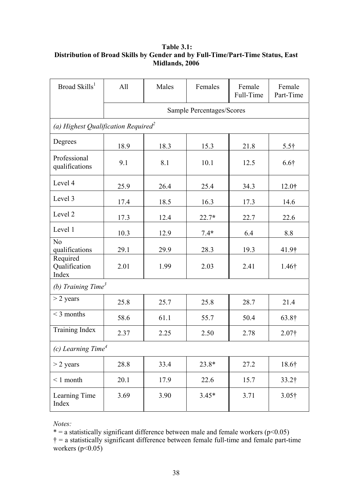## **Table 3.1: Distribution of Broad Skills by Gender and by Full-Time/Part-Time Status, East Midlands, 2006**

| Broad Skills <sup>1</sup>                       | All  | Males | Females                          | Female<br>Full-Time | Female<br>Part-Time |  |
|-------------------------------------------------|------|-------|----------------------------------|---------------------|---------------------|--|
|                                                 |      |       | <b>Sample Percentages/Scores</b> |                     |                     |  |
| (a) Highest Qualification Required <sup>2</sup> |      |       |                                  |                     |                     |  |
| Degrees                                         | 18.9 | 18.3  | 15.3                             | 21.8                | $5.5\dagger$        |  |
| Professional<br>qualifications                  | 9.1  | 8.1   | 10.1                             | 12.5                | $6.6\dagger$        |  |
| Level 4                                         | 25.9 | 26.4  | 25.4                             | 34.3                | 12.0 <sup>†</sup>   |  |
| Level 3                                         | 17.4 | 18.5  | 16.3                             | 17.3                | 14.6                |  |
| Level 2                                         | 17.3 | 12.4  | $22.7*$                          | 22.7                | 22.6                |  |
| Level 1                                         | 10.3 | 12.9  | $7.4*$                           | 6.4                 | 8.8                 |  |
| N <sub>o</sub><br>qualifications                | 29.1 | 29.9  | 28.3                             | 19.3                | 41.9 <sup>†</sup>   |  |
| Required<br>Qualification<br>Index              | 2.01 | 1.99  | 2.03                             | 2.41                | $1.46\dagger$       |  |
| (b) Training Time <sup>3</sup>                  |      |       |                                  |                     |                     |  |
| $>$ 2 years                                     | 25.8 | 25.7  | 25.8                             | 28.7                | 21.4                |  |
| $<$ 3 months                                    | 58.6 | 61.1  | 55.7                             | 50.4                | 63.8†               |  |
| Training Index                                  | 2.37 | 2.25  | 2.50                             | 2.78                | 2.07 <sup>†</sup>   |  |
| (c) Learning Time <sup>4</sup>                  |      |       |                                  |                     |                     |  |
| $>$ 2 years                                     | 28.8 | 33.4  | 23.8*                            | 27.2                | 18.6†               |  |
| $\leq 1$ month                                  | 20.1 | 17.9  | 22.6                             | 15.7                | $33.2$ †            |  |
| Learning Time<br>Index                          | 3.69 | 3.90  | $3.45*$                          | 3.71                | $3.05\dagger$       |  |

*Notes:*

 $* = a$  statistically significant difference between male and female workers ( $p \le 0.05$ )  $\dagger$  = a statistically significant difference between female full-time and female part-time workers  $(p<0.05)$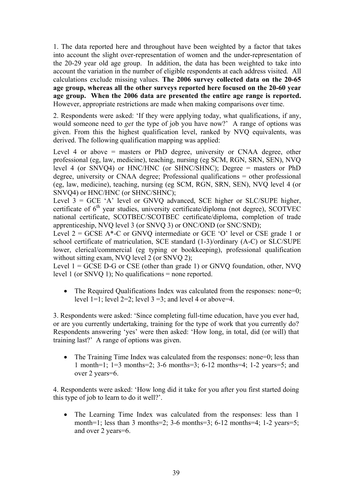1. The data reported here and throughout have been weighted by a factor that takes into account the slight over-representation of women and the under-representation of the 20-29 year old age group. In addition, the data has been weighted to take into account the variation in the number of eligible respondents at each address visited. All calculations exclude missing values. **The 2006 survey collected data on the 20-65 age group, whereas all the other surveys reported here focused on the 20-60 year age group. When the 2006 data are presented the entire age range is reported.** However, appropriate restrictions are made when making comparisons over time.

2. Respondents were asked: 'If they were applying today, what qualifications, if any, would someone need to *get* the type of job you have now?' A range of options was given. From this the highest qualification level, ranked by NVQ equivalents, was derived. The following qualification mapping was applied:

Level 4 or above = masters or PhD degree, university or CNAA degree, other professional (eg, law, medicine), teaching, nursing (eg SCM, RGN, SRN, SEN), NVQ level 4 (or SNVQ4) or HNC/HNC (or SHNC/SHNC); Degree = masters or PhD degree, university or CNAA degree; Professional qualifications = other professional (eg, law, medicine), teaching, nursing (eg SCM, RGN, SRN, SEN), NVQ level 4 (or SNVQ4) or HNC/HNC (or SHNC/SHNC);

Level  $3 = GCE$  'A' level or GNVO advanced, SCE higher or SLC/SUPE higher, certificate of  $6<sup>th</sup>$  year studies, university certificate/diploma (not degree), SCOTVEC national certificate, SCOTBEC/SCOTBEC certificate/diploma, completion of trade apprenticeship, NVQ level 3 (or SNVQ 3) or ONC/OND (or SNC/SND);

Level  $2 = GCSE A^* - C$  or GNVQ intermediate or GCE 'O' level or CSE grade 1 or school certificate of matriculation, SCE standard (1-3)/ordinary (A-C) or SLC/SUPE lower, clerical/commercial (eg typing or bookkeeping), professional qualification without sitting exam, NVO level 2 (or SNVO 2);

Level  $1 = GCSE$  D-G or CSE (other than grade 1) or GNVQ foundation, other, NVQ level 1 (or SNVQ 1); No qualifications = none reported.

• The Required Qualifications Index was calculated from the responses: none=0; level  $1=1$ ; level  $2=2$ ; level  $3=3$ ; and level 4 or above=4.

3. Respondents were asked: 'Since completing full-time education, have you ever had, or are you currently undertaking, training for the type of work that you currently do? Respondents answering 'yes' were then asked: 'How long, in total, did (or will) that training last?' A range of options was given.

• The Training Time Index was calculated from the responses: none=0; less than 1 month=1; 1=3 months=2; 3-6 months=3; 6-12 months=4; 1-2 years=5; and over 2 years=6.

4. Respondents were asked: 'How long did it take for you after you first started doing this type of job to learn to do it well?'.

• The Learning Time Index was calculated from the responses: less than 1 month=1; less than 3 months=2; 3-6 months=3; 6-12 months=4; 1-2 years=5; and over 2 years=6.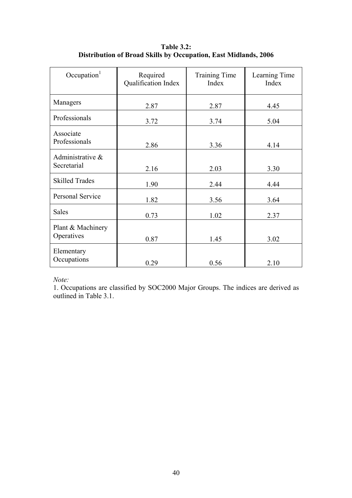| Occupation $1$                  | Required<br>Qualification Index | <b>Training Time</b><br>Index | Learning Time<br>Index |
|---------------------------------|---------------------------------|-------------------------------|------------------------|
| Managers                        | 2.87                            | 2.87                          | 4.45                   |
| Professionals                   | 3.72                            | 3.74                          | 5.04                   |
| Associate<br>Professionals      | 2.86                            | 3.36                          | 4.14                   |
| Administrative &<br>Secretarial | 2.16                            | 2.03                          | 3.30                   |
| <b>Skilled Trades</b>           | 1.90                            | 2.44                          | 4.44                   |
| <b>Personal Service</b>         | 1.82                            | 3.56                          | 3.64                   |
| <b>Sales</b>                    | 0.73                            | 1.02                          | 2.37                   |
| Plant & Machinery<br>Operatives | 0.87                            | 1.45                          | 3.02                   |
| Elementary<br>Occupations       | 0.29                            | 0.56                          | 2.10                   |

**Table 3.2: Distribution of Broad Skills by Occupation, East Midlands, 2006** 

*Note:*

1. Occupations are classified by SOC2000 Major Groups. The indices are derived as outlined in Table 3.1.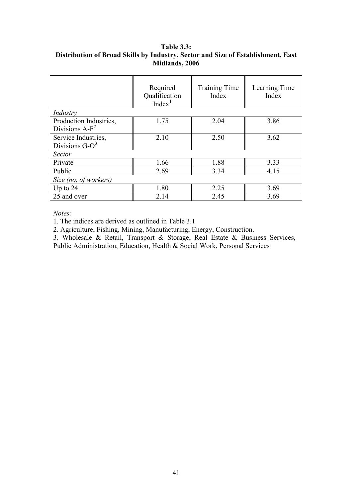## **Table 3.3: Distribution of Broad Skills by Industry, Sector and Size of Establishment, East Midlands, 2006**

|                        | Required<br>Qualification<br>Index <sup>1</sup> | <b>Training Time</b><br>Index | Learning Time<br>Index |  |  |  |
|------------------------|-------------------------------------------------|-------------------------------|------------------------|--|--|--|
| Industry               |                                                 |                               |                        |  |  |  |
| Production Industries, | 1.75                                            | 2.04                          | 3.86                   |  |  |  |
| Divisions $A-F^2$      |                                                 |                               |                        |  |  |  |
| Service Industries,    | 2.10                                            | 2.50                          | 3.62                   |  |  |  |
| Divisions $G-O^3$      |                                                 |                               |                        |  |  |  |
| <b>Sector</b>          |                                                 |                               |                        |  |  |  |
| Private                | 1.66                                            | 1.88                          | 3.33                   |  |  |  |
| Public                 | 2.69                                            | 3.34                          | 4.15                   |  |  |  |
| Size (no. of workers)  |                                                 |                               |                        |  |  |  |
| Up to $24$             | 1.80                                            | 2.25                          | 3.69                   |  |  |  |
| 25 and over            | 2.14                                            | 2.45                          | 3.69                   |  |  |  |

*Notes:* 

1. The indices are derived as outlined in Table 3.1

2. Agriculture, Fishing, Mining, Manufacturing, Energy, Construction.

3. Wholesale & Retail, Transport & Storage, Real Estate & Business Services, Public Administration, Education, Health & Social Work, Personal Services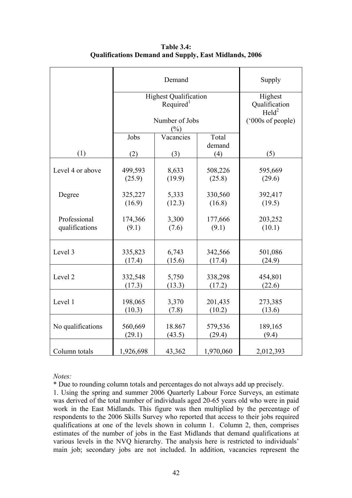|                   |           | Supply                                                |                 |                                             |
|-------------------|-----------|-------------------------------------------------------|-----------------|---------------------------------------------|
|                   |           | <b>Highest Qualification</b><br>Required <sup>1</sup> |                 | Highest<br>Qualification<br>$\text{Held}^2$ |
|                   |           | Number of Jobs<br>$(\%)$                              |                 | ('000s of people)                           |
|                   | Jobs      | Vacancies                                             | Total<br>demand |                                             |
| (1)               | (2)       | (3)                                                   | (4)             | (5)                                         |
| Level 4 or above  | 499,593   | 8,633                                                 | 508,226         | 595,669                                     |
|                   | (25.9)    | (19.9)                                                | (25.8)          | (29.6)                                      |
| Degree            | 325,227   | 5,333                                                 | 330,560         | 392,417                                     |
|                   | (16.9)    | (12.3)                                                | (16.8)          | (19.5)                                      |
| Professional      | 174,366   | 3,300                                                 | 177,666         | 203,252                                     |
| qualifications    | (9.1)     | (7.6)                                                 | (9.1)           | (10.1)                                      |
| Level 3           | 335,823   | 6,743                                                 | 342,566         | 501,086                                     |
|                   | (17.4)    | (15.6)                                                | (17.4)          | (24.9)                                      |
| Level 2           | 332,548   | 5,750                                                 | 338,298         | 454,801                                     |
|                   | (17.3)    | (13.3)                                                | (17.2)          | (22.6)                                      |
| Level 1           | 198,065   | 3,370                                                 | 201,435         | 273,385                                     |
|                   | (10.3)    | (7.8)                                                 | (10.2)          | (13.6)                                      |
| No qualifications | 560,669   | 18.867                                                | 579,536         | 189,165                                     |
|                   | (29.1)    | (43.5)                                                | (29.4)          | (9.4)                                       |
| Column totals     | 1,926,698 | 43,362                                                | 1,970,060       | 2,012,393                                   |

**Table 3.4: Qualifications Demand and Supply, East Midlands, 2006** 

### *Notes:*

\* Due to rounding column totals and percentages do not always add up precisely.

1. Using the spring and summer 2006 Quarterly Labour Force Surveys, an estimate was derived of the total number of individuals aged 20-65 years old who were in paid work in the East Midlands. This figure was then multiplied by the percentage of respondents to the 2006 Skills Survey who reported that access to their jobs required qualifications at one of the levels shown in column 1. Column 2, then, comprises estimates of the number of jobs in the East Midlands that demand qualifications at various levels in the NVQ hierarchy. The analysis here is restricted to individuals' main job; secondary jobs are not included. In addition, vacancies represent the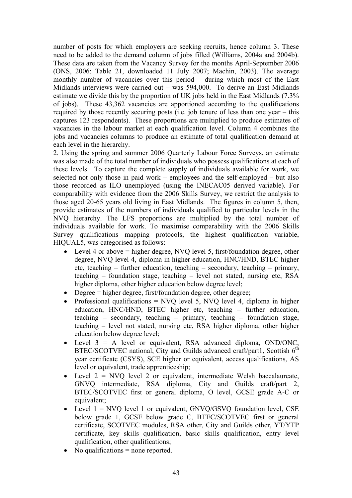number of posts for which employers are seeking recruits, hence column 3. These need to be added to the demand column of jobs filled (Williams, 2004a and 2004b). These data are taken from the Vacancy Survey for the months April-September 2006 (ONS, 2006: Table 21, downloaded 11 July 2007; Machin, 2003). The average monthly number of vacancies over this period – during which most of the East Midlands interviews were carried out – was 594,000. To derive an East Midlands estimate we divide this by the proportion of UK jobs held in the East Midlands (7.3% of jobs). These 43,362 vacancies are apportioned according to the qualifications required by those recently securing posts (i.e. job tenure of less than one year – this captures 123 respondents). These proportions are multiplied to produce estimates of vacancies in the labour market at each qualification level. Column 4 combines the jobs and vacancies columns to produce an estimate of total qualification demand at each level in the hierarchy.

2. Using the spring and summer 2006 Quarterly Labour Force Surveys, an estimate was also made of the total number of individuals who possess qualifications at each of these levels. To capture the complete supply of individuals available for work, we selected not only those in paid work – employees and the self-employed – but also those recorded as ILO unemployed (using the INECAC05 derived variable). For comparability with evidence from the 2006 Skills Survey, we restrict the analysis to those aged 20-65 years old living in East Midlands. The figures in column 5, then, provide estimates of the numbers of individuals qualified to particular levels in the NVQ hierarchy. The LFS proportions are multiplied by the total number of individuals available for work. To maximise comparability with the 2006 Skills Survey qualifications mapping protocols, the highest qualification variable, HIQUAL5, was categorised as follows:

- Level 4 or above  $=$  higher degree, NVO level 5, first/foundation degree, other degree, NVQ level 4, diploma in higher education, HNC/HND, BTEC higher etc, teaching – further education, teaching – secondary, teaching – primary, teaching – foundation stage, teaching – level not stated, nursing etc, RSA higher diploma, other higher education below degree level;
- Degree = higher degree, first/foundation degree, other degree;
- Professional qualifications  $=$  NVO level 5, NVO level 4, diploma in higher education, HNC/HND, BTEC higher etc, teaching – further education, teaching – secondary, teaching – primary, teaching – foundation stage, teaching – level not stated, nursing etc, RSA higher diploma, other higher education below degree level;
- Level 3 = A level or equivalent, RSA advanced diploma, OND/ONC, BTEC/SCOTVEC national, City and Guilds advanced craft/part1, Scottish  $6<sup>th</sup>$ year certificate (CSYS), SCE higher or equivalent, access qualifications, AS level or equivalent, trade apprenticeship;
- Level  $2 = NVO$  level 2 or equivalent, intermediate Welsh baccalaureate, GNVQ intermediate, RSA diploma, City and Guilds craft/part 2, BTEC/SCOTVEC first or general diploma, O level, GCSE grade A-C or equivalent;
- Level  $1 = NVO$  level 1 or equivalent, GNVQ/GSVQ foundation level, CSE below grade 1, GCSE below grade C, BTEC/SCOTVEC first or general certificate, SCOTVEC modules, RSA other, City and Guilds other, YT/YTP certificate, key skills qualification, basic skills qualification, entry level qualification, other qualifications;
- No qualifications = none reported.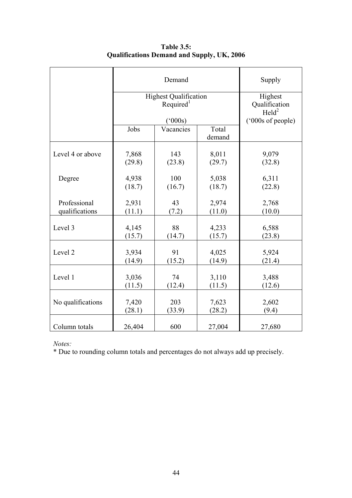|                   |                                                      | Supply                                      |        |                   |
|-------------------|------------------------------------------------------|---------------------------------------------|--------|-------------------|
|                   | <b>Highest Qualification</b>                         | Highest<br>Qualification<br>$\text{Held}^2$ |        |                   |
|                   | $(^{6}000s)$<br>Jobs<br>Total<br>Vacancies<br>demand |                                             |        | ('000s of people) |
| Level 4 or above  | 7,868                                                | 143                                         | 8,011  | 9,079             |
|                   | (29.8)                                               | (23.8)                                      | (29.7) | (32.8)            |
| Degree            | 4,938                                                | 100                                         | 5,038  | 6,311             |
|                   | (18.7)                                               | (16.7)                                      | (18.7) | (22.8)            |
| Professional      | 2,931                                                | 43                                          | 2,974  | 2,768             |
| qualifications    | (11.1)                                               | (7.2)                                       | (11.0) | (10.0)            |
| Level 3           | 4,145                                                | 88                                          | 4,233  | 6,588             |
|                   | (15.7)                                               | (14.7)                                      | (15.7) | (23.8)            |
| Level 2           | 3,934                                                | 91                                          | 4,025  | 5,924             |
|                   | (14.9)                                               | (15.2)                                      | (14.9) | (21.4)            |
| Level 1           | 3,036                                                | 74                                          | 3,110  | 3,488             |
|                   | (11.5)                                               | (12.4)                                      | (11.5) | (12.6)            |
| No qualifications | 7,420                                                | 203                                         | 7,623  | 2,602             |
|                   | (28.1)                                               | (33.9)                                      | (28.2) | (9.4)             |
| Column totals     | 26,404                                               | 600                                         | 27,004 | 27,680            |

**Table 3.5: Qualifications Demand and Supply, UK, 2006** 

*Notes:*

\* Due to rounding column totals and percentages do not always add up precisely.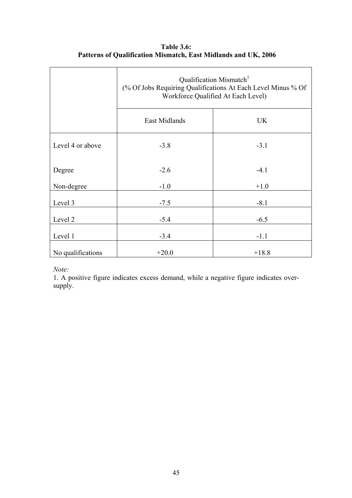|                   | Qualification Mismatch <sup>1</sup><br>(% Of Jobs Requiring Qualifications At Each Level Minus % Of<br>Workforce Qualified At Each Level) |         |  |
|-------------------|-------------------------------------------------------------------------------------------------------------------------------------------|---------|--|
|                   | East Midlands                                                                                                                             | UK      |  |
| Level 4 or above  | $-3.8$                                                                                                                                    | $-3.1$  |  |
| Degree            | $-2.6$                                                                                                                                    | $-4.1$  |  |
| Non-degree        | $-1.0$                                                                                                                                    | $+1.0$  |  |
| Level 3           | $-7.5$                                                                                                                                    | $-8.1$  |  |
| Level 2           | $-5.4$                                                                                                                                    | $-6.5$  |  |
| Level 1           | $-3.4$                                                                                                                                    | $-1.1$  |  |
| No qualifications | $+20.0$                                                                                                                                   | $+18.8$ |  |

**Table 3.6: Patterns of Qualification Mismatch, East Midlands and UK, 2006** 

*Note:*

1. A positive figure indicates excess demand, while a negative figure indicates oversupply.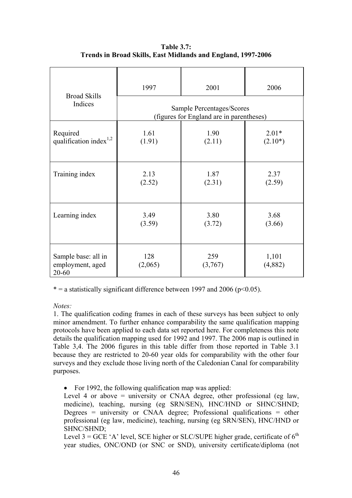|                                                  | 1997           | 2001                                                                  | 2006                 |  |  |  |  |
|--------------------------------------------------|----------------|-----------------------------------------------------------------------|----------------------|--|--|--|--|
| <b>Broad Skills</b><br>Indices                   |                | Sample Percentages/Scores<br>(figures for England are in parentheses) |                      |  |  |  |  |
| Required<br>qualification index <sup>1,2</sup>   | 1.61<br>(1.91) | 1.90<br>(2.11)                                                        | $2.01*$<br>$(2.10*)$ |  |  |  |  |
| Training index                                   | 2.13<br>(2.52) | 1.87<br>(2.31)                                                        | 2.37<br>(2.59)       |  |  |  |  |
| Learning index                                   | 3.49<br>(3.59) | 3.80<br>(3.72)                                                        | 3.68<br>(3.66)       |  |  |  |  |
| Sample base: all in<br>employment, aged<br>20-60 | 128<br>(2,065) | 259<br>(3,767)                                                        | 1,101<br>(4,882)     |  |  |  |  |

**Table 3.7: Trends in Broad Skills, East Midlands and England, 1997-2006** 

 $* = a$  statistically significant difference between 1997 and 2006 (p<0.05).

*Notes:* 

1. The qualification coding frames in each of these surveys has been subject to only minor amendment. To further enhance comparability the same qualification mapping protocols have been applied to each data set reported here. For completeness this note details the qualification mapping used for 1992 and 1997. The 2006 map is outlined in Table 3,4. The 2006 figures in this table differ from those reported in Table 3.1 because they are restricted to 20-60 year olds for comparability with the other four surveys and they exclude those living north of the Caledonian Canal for comparability purposes.

• For 1992, the following qualification map was applied:

Level 4 or above  $=$  university or CNAA degree, other professional (eg law, medicine), teaching, nursing (eg SRN/SEN), HNC/HND or SHNC/SHND; Degrees = university or CNAA degree; Professional qualifications = other professional (eg law, medicine), teaching, nursing (eg SRN/SEN), HNC/HND or SHNC/SHND;

Level 3 = GCE 'A' level, SCE higher or SLC/SUPE higher grade, certificate of  $6^{th}$ year studies, ONC/OND (or SNC or SND), university certificate/diploma (not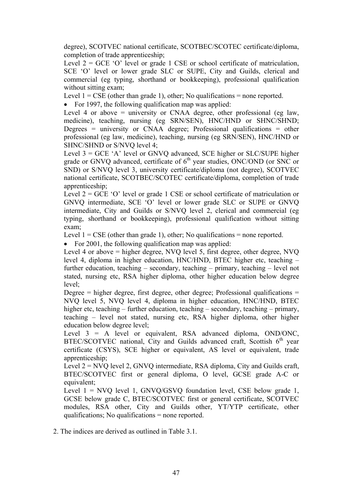degree), SCOTVEC national certificate, SCOTBEC/SCOTEC certificate/diploma, completion of trade apprenticeship;

Level  $2 = GCE$  'O' level or grade 1 CSE or school certificate of matriculation, SCE 'O' level or lower grade SLC or SUPE, City and Guilds, clerical and commercial (eg typing, shorthand or bookkeeping), professional qualification without sitting exam;

Level  $1 = \text{CSE}$  (other than grade 1), other; No qualifications = none reported.

• For 1997, the following qualification map was applied:

Level 4 or above  $=$  university or CNAA degree, other professional (eg law, medicine), teaching, nursing (eg SRN/SEN), HNC/HND or SHNC/SHND; Degrees = university or CNAA degree; Professional qualifications = other professional (eg law, medicine), teaching, nursing (eg SRN/SEN), HNC/HND or SHNC/SHND or S/NVQ level 4;

Level  $3 = GCE$  'A' level or GNVQ advanced, SCE higher or SLC/SUPE higher grade or GNVQ advanced, certificate of  $6<sup>th</sup>$  year studies, ONC/OND (or SNC or SND) or S/NVQ level 3, university certificate/diploma (not degree), SCOTVEC national certificate, SCOTBEC/SCOTEC certificate/diploma, completion of trade apprenticeship:

Level  $2 = GCE$  'O' level or grade 1 CSE or school certificate of matriculation or GNVQ intermediate, SCE 'O' level or lower grade SLC or SUPE or GNVQ intermediate, City and Guilds or S/NVQ level 2, clerical and commercial (eg typing, shorthand or bookkeeping), professional qualification without sitting exam;

Level  $1 = \text{CSE}$  (other than grade 1), other; No qualifications = none reported.

• For 2001, the following qualification map was applied:

Level 4 or above = higher degree, NVQ level 5, first degree, other degree, NVQ level 4, diploma in higher education, HNC/HND, BTEC higher etc, teaching – further education, teaching – secondary, teaching – primary, teaching – level not stated, nursing etc, RSA higher diploma, other higher education below degree level;

Degree  $=$  higher degree, first degree, other degree; Professional qualifications  $=$ NVQ level 5, NVQ level 4, diploma in higher education, HNC/HND, BTEC higher etc, teaching – further education, teaching – secondary, teaching – primary, teaching – level not stated, nursing etc, RSA higher diploma, other higher education below degree level;

Level  $3 = A$  level or equivalent, RSA advanced diploma, OND/ONC, BTEC/SCOTVEC national, City and Guilds advanced craft, Scottish  $6<sup>th</sup>$  year certificate (CSYS), SCE higher or equivalent, AS level or equivalent, trade apprenticeship;

Level  $2 = NVO$  level 2, GNVO intermediate, RSA diploma, City and Guilds craft, BTEC/SCOTVEC first or general diploma, O level, GCSE grade A-C or equivalent;

Level  $1 = NVO$  level 1, GNVQ/GSVQ foundation level, CSE below grade 1, GCSE below grade C, BTEC/SCOTVEC first or general certificate, SCOTVEC modules, RSA other, City and Guilds other, YT/YTP certificate, other qualifications; No qualifications = none reported.

2. The indices are derived as outlined in Table 3.1.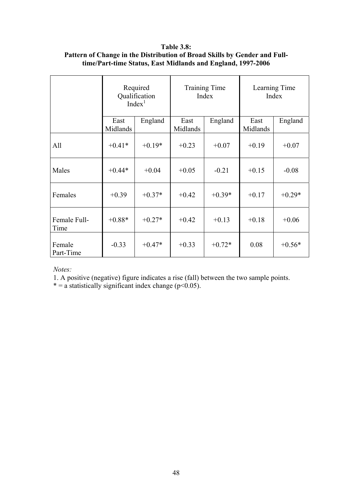**Table 3.8: Pattern of Change in the Distribution of Broad Skills by Gender and Fulltime/Part-time Status, East Midlands and England, 1997-2006** 

|                      | Required<br>Qualification<br>Index <sup>1</sup> |          | <b>Training Time</b><br>Index |          | Learning Time<br>Index |          |
|----------------------|-------------------------------------------------|----------|-------------------------------|----------|------------------------|----------|
|                      | East<br>Midlands                                | England  | East<br>Midlands              | England  | East<br>Midlands       | England  |
| All                  | $+0.41*$                                        | $+0.19*$ | $+0.23$                       | $+0.07$  | $+0.19$                | $+0.07$  |
| Males                | $+0.44*$                                        | $+0.04$  | $+0.05$                       | $-0.21$  | $+0.15$                | $-0.08$  |
| Females              | $+0.39$                                         | $+0.37*$ | $+0.42$                       | $+0.39*$ | $+0.17$                | $+0.29*$ |
| Female Full-<br>Time | $+0.88*$                                        | $+0.27*$ | $+0.42$                       | $+0.13$  | $+0.18$                | $+0.06$  |
| Female<br>Part-Time  | $-0.33$                                         | $+0.47*$ | $+0.33$                       | $+0.72*$ | 0.08                   | $+0.56*$ |

*Notes:* 

1. A positive (negative) figure indicates a rise (fall) between the two sample points.

\* = a statistically significant index change ( $p$ <0.05).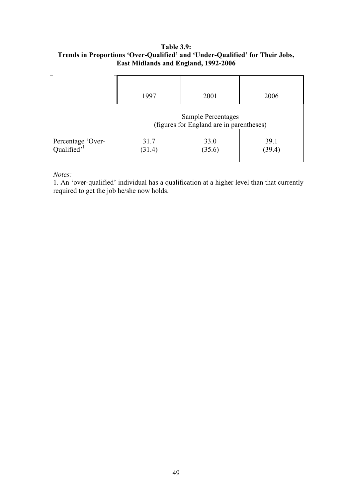## **Table 3.9: Trends in Proportions 'Over-Qualified' and 'Under-Qualified' for Their Jobs, East Midlands and England, 1992-2006**

|                                              | 1997                                                                  | 2001           | 2006           |  |
|----------------------------------------------|-----------------------------------------------------------------------|----------------|----------------|--|
|                                              | <b>Sample Percentages</b><br>(figures for England are in parentheses) |                |                |  |
| Percentage 'Over-<br>Qualified' <sup>1</sup> | 31.7<br>(31.4)                                                        | 33.0<br>(35.6) | 39.1<br>(39.4) |  |

*Notes:* 

1. An 'over-qualified' individual has a qualification at a higher level than that currently required to get the job he/she now holds.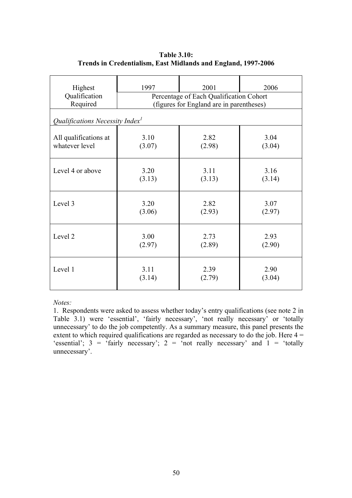| Highest<br>Qualification<br>Required  | 1997<br>2001<br>2006<br>Percentage of Each Qualification Cohort<br>(figures for England are in parentheses) |        |        |  |  |
|---------------------------------------|-------------------------------------------------------------------------------------------------------------|--------|--------|--|--|
| Qualifications Necessity Index $\ell$ |                                                                                                             |        |        |  |  |
| All qualifications at                 | 3.10                                                                                                        | 2.82   | 3.04   |  |  |
| whatever level                        | (3.07)                                                                                                      | (2.98) | (3.04) |  |  |
| Level 4 or above                      | 3.20                                                                                                        | 3.11   | 3.16   |  |  |
|                                       | (3.13)                                                                                                      | (3.13) | (3.14) |  |  |
| Level 3                               | 3.20                                                                                                        | 2.82   | 3.07   |  |  |
|                                       | (3.06)                                                                                                      | (2.93) | (2.97) |  |  |
| Level 2                               | 3.00                                                                                                        | 2.73   | 2.93   |  |  |
|                                       | (2.97)                                                                                                      | (2.89) | (2.90) |  |  |
| Level 1                               | 3.11                                                                                                        | 2.39   | 2.90   |  |  |
|                                       | (3.14)                                                                                                      | (2.79) | (3.04) |  |  |

## **Table 3.10: Trends in Credentialism, East Midlands and England, 1997-2006**

*Notes:*

1. Respondents were asked to assess whether today's entry qualifications (see note 2 in Table 3.1) were 'essential', 'fairly necessary', 'not really necessary' or 'totally unnecessary' to do the job competently. As a summary measure, this panel presents the extent to which required qualifications are regarded as necessary to do the job. Here  $4 =$ 'essential';  $3 =$  'fairly necessary';  $2 =$  'not really necessary' and  $1 =$  'totally unnecessary'.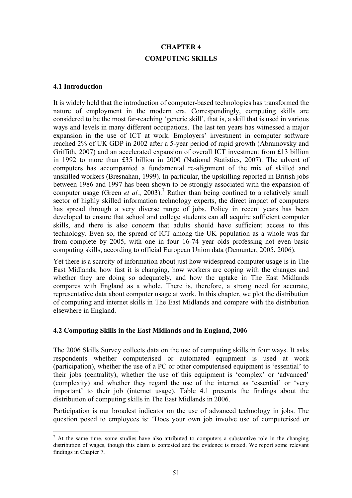# **CHAPTER 4 COMPUTING SKILLS**

#### **4.1 Introduction**

 $\overline{a}$ 

It is widely held that the introduction of computer-based technologies has transformed the nature of employment in the modern era. Correspondingly, computing skills are considered to be the most far-reaching 'generic skill', that is, a skill that is used in various ways and levels in many different occupations. The last ten years has witnessed a major expansion in the use of ICT at work. Employers' investment in computer software reached 2% of UK GDP in 2002 after a 5-year period of rapid growth (Abramovsky and Griffith, 2007) and an accelerated expansion of overall ICT investment from £13 billion in 1992 to more than £35 billion in 2000 (National Statistics, 2007). The advent of computers has accompanied a fundamental re-alignment of the mix of skilled and unskilled workers (Bresnahan, 1999). In particular, the upskilling reported in British jobs between 1986 and 1997 has been shown to be strongly associated with the expansion of computer usage (Green *et al.*, 2003).<sup>7</sup> Rather than being confined to a relatively small sector of highly skilled information technology experts, the direct impact of computers has spread through a very diverse range of jobs. Policy in recent years has been developed to ensure that school and college students can all acquire sufficient computer skills, and there is also concern that adults should have sufficient access to this technology. Even so, the spread of ICT among the UK population as a whole was far from complete by 2005, with one in four 16-74 year olds professing not even basic computing skills, according to official European Union data (Demunter, 2005, 2006).

Yet there is a scarcity of information about just how widespread computer usage is in The East Midlands, how fast it is changing, how workers are coping with the changes and whether they are doing so adequately, and how the uptake in The East Midlands compares with England as a whole. There is, therefore, a strong need for accurate, representative data about computer usage at work. In this chapter, we plot the distribution of computing and internet skills in The East Midlands and compare with the distribution elsewhere in England.

## **4.2 Computing Skills in the East Midlands and in England, 2006**

The 2006 Skills Survey collects data on the use of computing skills in four ways. It asks respondents whether computerised or automated equipment is used at work (participation), whether the use of a PC or other computerised equipment is 'essential' to their jobs (centrality), whether the use of this equipment is 'complex' or 'advanced' (complexity) and whether they regard the use of the internet as 'essential' or 'very important' to their job (internet usage). Table 4.1 presents the findings about the distribution of computing skills in The East Midlands in 2006.

Participation is our broadest indicator on the use of advanced technology in jobs. The question posed to employees is: 'Does your own job involve use of computerised or

 $<sup>7</sup>$  At the same time, some studies have also attributed to computers a substantive role in the changing</sup> distribution of wages, though this claim is contested and the evidence is mixed. We report some relevant findings in Chapter 7.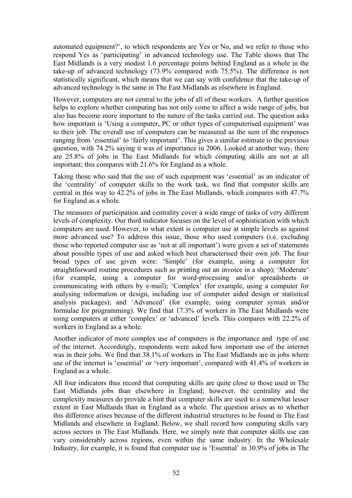automated equipment?', to which respondents are Yes or No, and we refer to those who respond Yes as 'participating' in advanced technology use. The Table shows that The East Midlands is a very modest 1.6 percentage points behind England as a whole in the take-up of advanced technology (73.9% compared with 75.5%). The difference is not statistically significant, which means that we can say with confidence that the take-up of advanced technology is the same in The East Midlands as elsewhere in England.

However, computers are not central to the jobs of all of these workers. A further question helps to explore whether computing has not only come to affect a wide range of jobs, but also has become more important to the nature of the tasks carried out. The question asks how important is 'Using a computer, PC or other types of computerised equipment' was to their job. The overall use of computers can be measured as the sum of the responses ranging from 'essential' to 'fairly important'. This gives a similar estimate to the previous question, with 74.2% saying it was of importance in 2006. Looked at another way, there are 25.8% of jobs in The East Midlands for which computing skills are not at all important; this compares with 21.6% for England as a whole.

Taking those who said that the use of such equipment was 'essential' as an indicator of the 'centrality' of computer skills to the work task, we find that computer skills are central in this way to 42.2% of jobs in The East Midlands, which compares with 47.7% for England as a whole.

The measures of participation and centrality cover a wide range of tasks of very different levels of complexity. Our third indicator focuses on the level of sophistication with which computers are used. However, to what extent is computer use at simple levels as against more advanced use? To address this issue, those who used computers (i.e. excluding those who reported computer use as 'not at all important') were given a set of statements about possible types of use and asked which best characterised their own job. The four broad types of use given were: 'Simple' (for example, using a computer for straightforward routine procedures such as printing out an invoice in a shop); 'Moderate' (for example, using a computer for word-processing and/or spreadsheets or communicating with others by e-mail); 'Complex' (for example, using a computer for analysing information or design, including use of computer aided design or statistical analysis packages); and 'Advanced' (for example, using computer syntax and/or formulae for programming). We find that 17.3% of workers in The East Midlands were using computers at either 'complex' or 'advanced' levels. This compares with 22.2% of workers in England as a whole.

Another indicator of more complex use of computers is the importance and type of use of the internet. Accordingly, respondents were asked how important use of the internet was in their jobs. We find that 38.1% of workers in The East Midlands are in jobs where use of the internet is 'essential' or 'very important', compared with 41.4% of workers in England as a whole.

All four indicators thus record that computing skills are quite close to those used in The East Midlands jobs than elsewhere in England; however, the centrality and the complexity measures do provide a hint that computer skills are used to a somewhat lesser extent in East Midlands than in England as a whole. The question arises as to whether this difference arises because of the different industrial structures to be found in The East Midlands and elsewhere in England. Below, we shall record how computing skills vary across sectors in The East Midlands. Here, we simply note that computer skills use can vary considerably across regions, even within the same industry. In the Wholesale Industry, for example, it is found that computer use is 'Essential' in 30.9% of jobs in The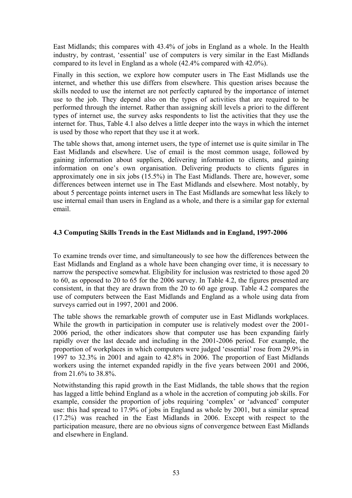East Midlands; this compares with 43.4% of jobs in England as a whole. In the Health industry, by contrast, 'essential' use of computers is very similar in the East Midlands compared to its level in England as a whole (42.4% compared with 42.0%).

Finally in this section, we explore how computer users in The East Midlands use the internet, and whether this use differs from elsewhere. This question arises because the skills needed to use the internet are not perfectly captured by the importance of internet use to the job. They depend also on the types of activities that are required to be performed through the internet. Rather than assigning skill levels a priori to the different types of internet use, the survey asks respondents to list the activities that they use the internet for. Thus, Table 4.1 also delves a little deeper into the ways in which the internet is used by those who report that they use it at work.

The table shows that, among internet users, the type of internet use is quite similar in The East Midlands and elsewhere. Use of email is the most common usage, followed by gaining information about suppliers, delivering information to clients, and gaining information on one's own organisation. Delivering products to clients figures in approximately one in six jobs (15.5%) in The East Midlands. There are, however, some differences between internet use in The East Midlands and elsewhere. Most notably, by about 5 percentage points internet users in The East Midlands are somewhat less likely to use internal email than users in England as a whole, and there is a similar gap for external email.

## **4.3 Computing Skills Trends in the East Midlands and in England, 1997-2006**

To examine trends over time, and simultaneously to see how the differences between the East Midlands and England as a whole have been changing over time, it is necessary to narrow the perspective somewhat. Eligibility for inclusion was restricted to those aged 20 to 60, as opposed to 20 to 65 for the 2006 survey. In Table 4.2, the figures presented are consistent, in that they are drawn from the 20 to 60 age group. Table 4.2 compares the use of computers between the East Midlands and England as a whole using data from surveys carried out in 1997, 2001 and 2006.

The table shows the remarkable growth of computer use in East Midlands workplaces. While the growth in participation in computer use is relatively modest over the 2001- 2006 period, the other indicators show that computer use has been expanding fairly rapidly over the last decade and including in the 2001-2006 period. For example, the proportion of workplaces in which computers were judged 'essential' rose from 29.9% in 1997 to 32.3% in 2001 and again to 42.8% in 2006. The proportion of East Midlands workers using the internet expanded rapidly in the five years between 2001 and 2006, from 21.6% to 38.8%.

Notwithstanding this rapid growth in the East Midlands, the table shows that the region has lagged a little behind England as a whole in the accretion of computing job skills. For example, consider the proportion of jobs requiring 'complex' or 'advanced' computer use: this had spread to 17.9% of jobs in England as whole by 2001, but a similar spread (17.2%) was reached in the East Midlands in 2006. Except with respect to the participation measure, there are no obvious signs of convergence between East Midlands and elsewhere in England.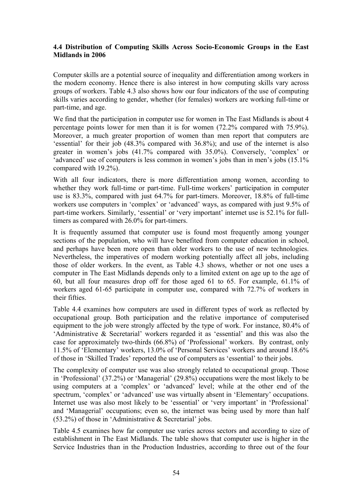## **4.4 Distribution of Computing Skills Across Socio-Economic Groups in the East Midlands in 2006**

Computer skills are a potential source of inequality and differentiation among workers in the modern economy. Hence there is also interest in how computing skills vary across groups of workers. Table 4.3 also shows how our four indicators of the use of computing skills varies according to gender, whether (for females) workers are working full-time or part-time, and age.

We find that the participation in computer use for women in The East Midlands is about 4 percentage points lower for men than it is for women (72.2% compared with 75.9%). Moreover, a much greater proportion of women than men report that computers are 'essential' for their job (48.3% compared with 36.8%); and use of the internet is also greater in women's jobs (41.7% compared with 35.0%). Conversely, 'complex' or 'advanced' use of computers is less common in women's jobs than in men's jobs (15.1% compared with 19.2%).

With all four indicators, there is more differentiation among women, according to whether they work full-time or part-time. Full-time workers' participation in computer use is 83.3%, compared with just 64.7% for part-timers. Moreover, 18.8% of full-time workers use computers in 'complex' or 'advanced' ways, as compared with just 9.5% of part-time workers. Similarly, 'essential' or 'very important' internet use is 52.1% for fulltimers as compared with 26.0% for part-timers.

It is frequently assumed that computer use is found most frequently among younger sections of the population, who will have benefited from computer education in school, and perhaps have been more open than older workers to the use of new technologies. Nevertheless, the imperatives of modern working potentially affect all jobs, including those of older workers. In the event, as Table 4.3 shows, whether or not one uses a computer in The East Midlands depends only to a limited extent on age up to the age of 60, but all four measures drop off for those aged 61 to 65. For example, 61.1% of workers aged 61-65 participate in computer use, compared with 72.7% of workers in their fifties.

Table 4.4 examines how computers are used in different types of work as reflected by occupational group. Both participation and the relative importance of computerised equipment to the job were strongly affected by the type of work. For instance, 80.4% of 'Administrative & Secretarial' workers regarded it as 'essential' and this was also the case for approximately two-thirds (66.8%) of 'Professional' workers. By contrast, only 11.5% of 'Elementary' workers, 13.0% of 'Personal Services' workers and around 18.6% of those in 'Skilled Trades' reported the use of computers as 'essential' to their jobs.

The complexity of computer use was also strongly related to occupational group. Those in 'Professional' (37.2%) or 'Managerial' (29.8%) occupations were the most likely to be using computers at a 'complex' or 'advanced' level; while at the other end of the spectrum, 'complex' or 'advanced' use was virtually absent in 'Elementary' occupations. Internet use was also most likely to be 'essential' or 'very important' in 'Professional' and 'Managerial' occupations; even so, the internet was being used by more than half (53.2%) of those in 'Administrative & Secretarial' jobs.

Table 4.5 examines how far computer use varies across sectors and according to size of establishment in The East Midlands. The table shows that computer use is higher in the Service Industries than in the Production Industries, according to three out of the four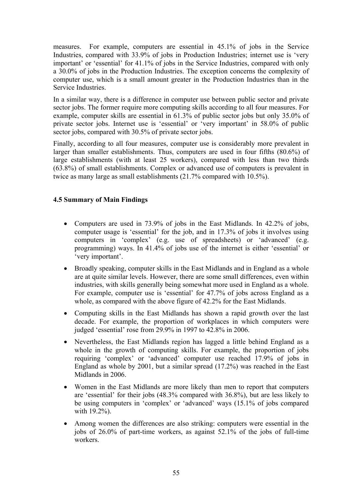measures. For example, computers are essential in 45.1% of jobs in the Service Industries, compared with 33.9% of jobs in Production Industries; internet use is 'very important' or 'essential' for 41.1% of jobs in the Service Industries, compared with only a 30.0% of jobs in the Production Industries. The exception concerns the complexity of computer use, which is a small amount greater in the Production Industries than in the Service Industries.

In a similar way, there is a difference in computer use between public sector and private sector jobs. The former require more computing skills according to all four measures. For example, computer skills are essential in 61.3% of public sector jobs but only 35.0% of private sector jobs. Internet use is 'essential' or 'very important' in 58.0% of public sector jobs, compared with 30.5% of private sector jobs.

Finally, according to all four measures, computer use is considerably more prevalent in larger than smaller establishments. Thus, computers are used in four fifths (80.6%) of large establishments (with at least 25 workers), compared with less than two thirds (63.8%) of small establishments. Complex or advanced use of computers is prevalent in twice as many large as small establishments (21.7% compared with 10.5%).

# **4.5 Summary of Main Findings**

- Computers are used in 73.9% of jobs in the East Midlands. In 42.2% of jobs, computer usage is 'essential' for the job, and in 17.3% of jobs it involves using computers in 'complex' (e.g. use of spreadsheets) or 'advanced' (e.g. programming) ways. In 41.4% of jobs use of the internet is either 'essential' or 'very important'.
- Broadly speaking, computer skills in the East Midlands and in England as a whole are at quite similar levels. However, there are some small differences, even within industries, with skills generally being somewhat more used in England as a whole. For example, computer use is 'essential' for 47.7% of jobs across England as a whole, as compared with the above figure of 42.2% for the East Midlands.
- Computing skills in the East Midlands has shown a rapid growth over the last decade. For example, the proportion of workplaces in which computers were judged 'essential' rose from 29.9% in 1997 to 42.8% in 2006.
- Nevertheless, the East Midlands region has lagged a little behind England as a whole in the growth of computing skills. For example, the proportion of jobs requiring 'complex' or 'advanced' computer use reached 17.9% of jobs in England as whole by 2001, but a similar spread (17.2%) was reached in the East Midlands in 2006.
- Women in the East Midlands are more likely than men to report that computers are 'essential' for their jobs (48.3% compared with 36.8%), but are less likely to be using computers in 'complex' or 'advanced' ways (15.1% of jobs compared with 19.2%).
- Among women the differences are also striking: computers were essential in the jobs of 26.0% of part-time workers, as against 52.1% of the jobs of full-time workers.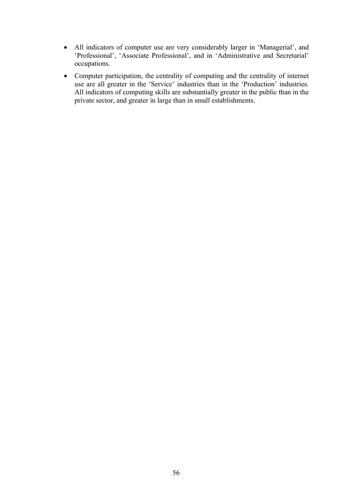- All indicators of computer use are very considerably larger in 'Managerial', and 'Professional', 'Associate Professional', and in 'Administrative and Secretarial' occupations.
- Computer participation, the centrality of computing and the centrality of internet use are all greater in the 'Service' industries than in the 'Production' industries. All indicators of computing skills are substantially greater in the public than in the private sector, and greater in large than in small establishments.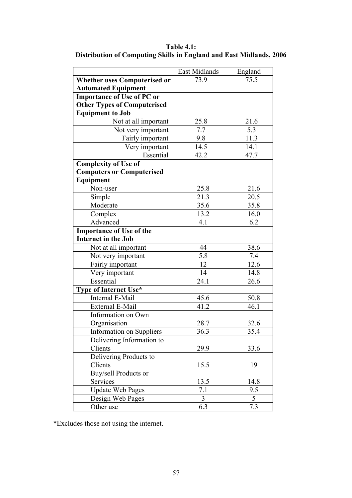**Table 4.1: Distribution of Computing Skills in England and East Midlands, 2006** 

|                                     | East Midlands | England |
|-------------------------------------|---------------|---------|
| <b>Whether uses Computerised or</b> | 73.9          | 75.5    |
| <b>Automated Equipment</b>          |               |         |
| <b>Importance of Use of PC or</b>   |               |         |
| <b>Other Types of Computerised</b>  |               |         |
| <b>Equipment to Job</b>             |               |         |
| Not at all important                | 25.8          | 21.6    |
| Not very important                  | 7.7           | 5.3     |
| Fairly important                    | 9.8           | 11.3    |
| Very important                      | 14.5          | 14.1    |
| Essential                           | 42.2          | 47.7    |
| <b>Complexity of Use of</b>         |               |         |
| <b>Computers or Computerised</b>    |               |         |
| Equipment                           |               |         |
| Non-user                            | 25.8          | 21.6    |
| Simple                              | 21.3          | 20.5    |
| Moderate                            | 35.6          | 35.8    |
| Complex                             | 13.2          | 16.0    |
| Advanced                            | 4.1           | 6.2     |
| <b>Importance of Use of the</b>     |               |         |
| <b>Internet in the Job</b>          |               |         |
| Not at all important                | 44            | 38.6    |
| Not very important                  | 5.8           | 7.4     |
| Fairly important                    | 12            | 12.6    |
| Very important                      | 14            | 14.8    |
| Essential                           | 24.1          | 26.6    |
| Type of Internet Use*               |               |         |
| Internal E-Mail                     | 45.6          | 50.8    |
| External E-Mail                     | 41.2          | 46.1    |
| Information on Own                  |               |         |
| Organisation                        | 28.7          | 32.6    |
| <b>Information on Suppliers</b>     | 36.3          | 35.4    |
| Delivering Information to           |               |         |
| Clients                             | 29.9          | 33.6    |
| Delivering Products to              |               |         |
| Clients                             | 15.5          | 19      |
| Buy/sell Products or                |               |         |
| Services                            | 13.5          | 14.8    |
| <b>Update Web Pages</b>             | 7.1           | 9.5     |
| Design Web Pages                    | 3             | 5       |
| Other use                           | 6.3           | 7.3     |

\*Excludes those not using the internet.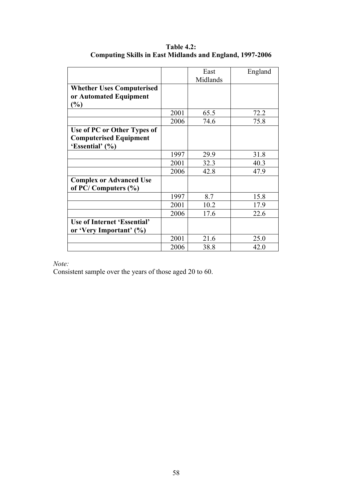|                                    |      | East     | England |
|------------------------------------|------|----------|---------|
|                                    |      | Midlands |         |
| <b>Whether Uses Computerised</b>   |      |          |         |
| or Automated Equipment             |      |          |         |
| $\frac{6}{6}$                      |      |          |         |
|                                    | 2001 | 65.5     | 72.2    |
|                                    | 2006 | 74.6     | 75.8    |
| Use of PC or Other Types of        |      |          |         |
| <b>Computerised Equipment</b>      |      |          |         |
| 'Essential' (%)                    |      |          |         |
|                                    | 1997 | 29.9     | 31.8    |
|                                    | 2001 | 32.3     | 40.3    |
|                                    | 2006 | 42.8     | 47.9    |
| <b>Complex or Advanced Use</b>     |      |          |         |
| of PC/Computers $(\% )$            |      |          |         |
|                                    | 1997 | 8.7      | 15.8    |
|                                    | 2001 | 10.2     | 17.9    |
|                                    | 2006 | 17.6     | 22.6    |
| <b>Use of Internet 'Essential'</b> |      |          |         |
| or 'Very Important' (%)            |      |          |         |
|                                    | 2001 | 21.6     | 25.0    |
|                                    | 2006 | 38.8     | 42.0    |

**Table 4.2: Computing Skills in East Midlands and England, 1997-2006** 

*Note:* 

Consistent sample over the years of those aged 20 to 60.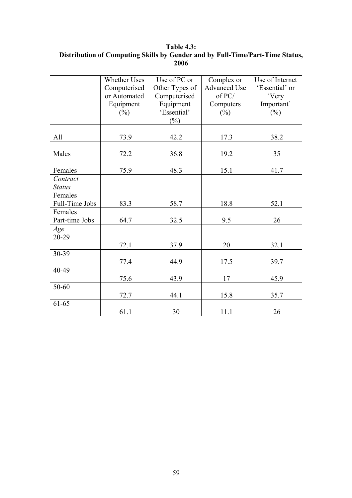**Table 4.3: Distribution of Computing Skills by Gender and by Full-Time/Part-Time Status, 2006** 

|                | <b>Whether Uses</b> | Use of PC or   | Complex or          | Use of Internet |
|----------------|---------------------|----------------|---------------------|-----------------|
|                | Computerised        | Other Types of | <b>Advanced Use</b> | 'Essential' or  |
|                | or Automated        | Computerised   | of PC/              | 'Very           |
|                | Equipment           | Equipment      | Computers           | Important'      |
|                | $(\%)$              | 'Essential'    | $(\%)$              | $(\%)$          |
|                |                     | $(\%)$         |                     |                 |
|                |                     |                |                     |                 |
| All            | 73.9                | 42.2           | 17.3                | 38.2            |
|                |                     |                |                     |                 |
| Males          | 72.2                | 36.8           | 19.2                | 35              |
| Females        | 75.9                | 48.3           | 15.1                | 41.7            |
| Contract       |                     |                |                     |                 |
| <b>Status</b>  |                     |                |                     |                 |
| Females        |                     |                |                     |                 |
| Full-Time Jobs | 83.3                | 58.7           | 18.8                | 52.1            |
| Females        |                     |                |                     |                 |
| Part-time Jobs | 64.7                | 32.5           | 9.5                 | 26              |
| Age            |                     |                |                     |                 |
| 20-29          |                     |                |                     |                 |
|                | 72.1                | 37.9           | 20                  | 32.1            |
| 30-39          |                     |                |                     |                 |
|                | 77.4                | 44.9           | 17.5                | 39.7            |
| 40-49          |                     |                |                     |                 |
|                | 75.6                | 43.9           | 17                  | 45.9            |
| 50-60          |                     |                |                     |                 |
|                | 72.7                | 44.1           | 15.8                | 35.7            |
| 61-65          |                     |                |                     |                 |
|                | 61.1                | 30             | 11.1                | 26              |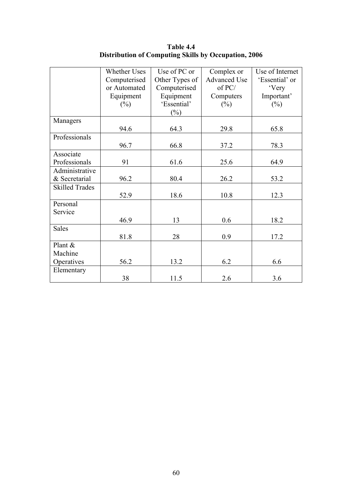|                       | <b>Whether Uses</b> | Use of PC or   | Complex or          | Use of Internet |
|-----------------------|---------------------|----------------|---------------------|-----------------|
|                       | Computerised        | Other Types of | <b>Advanced Use</b> | 'Essential' or  |
|                       | or Automated        | Computerised   | of PC/              | 'Very           |
|                       | Equipment           | Equipment      | Computers           | Important'      |
|                       | $(\%)$              | 'Essential'    | $(\%)$              | $(\%)$          |
|                       |                     | $(\%)$         |                     |                 |
| Managers              |                     |                |                     |                 |
|                       | 94.6                | 64.3           | 29.8                | 65.8            |
| Professionals         |                     |                |                     |                 |
|                       | 96.7                | 66.8           | 37.2                | 78.3            |
| Associate             |                     |                |                     |                 |
| Professionals         | 91                  | 61.6           | 25.6                | 64.9            |
| Administrative        |                     |                |                     |                 |
| & Secretarial         | 96.2                | 80.4           | 26.2                | 53.2            |
| <b>Skilled Trades</b> |                     |                |                     |                 |
|                       | 52.9                | 18.6           | 10.8                | 12.3            |
| Personal              |                     |                |                     |                 |
| Service               |                     |                |                     |                 |
|                       | 46.9                | 13             | 0.6                 | 18.2            |
| <b>Sales</b>          |                     |                |                     |                 |
|                       | 81.8                | 28             | 0.9                 | 17.2            |
| Plant &               |                     |                |                     |                 |
| Machine               |                     |                |                     |                 |
| Operatives            | 56.2                | 13.2           | 6.2                 | 6.6             |
| Elementary            |                     |                |                     |                 |
|                       | 38                  | 11.5           | 2.6                 | 3.6             |

**Table 4.4 Distribution of Computing Skills by Occupation, 2006**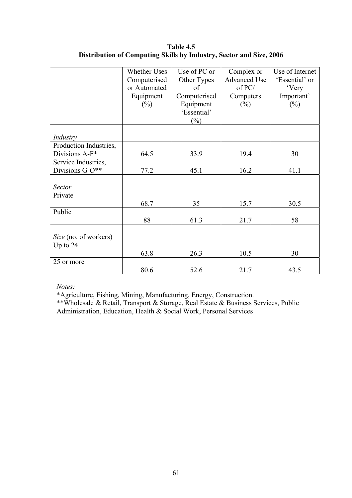|                        | <b>Whether Uses</b> | Use of PC or | Complex or          | Use of Internet |
|------------------------|---------------------|--------------|---------------------|-----------------|
|                        | Computerised        | Other Types  | <b>Advanced Use</b> | 'Essential' or  |
|                        | or Automated        | of           | of PC/              | 'Very           |
|                        | Equipment           | Computerised | Computers           | Important'      |
|                        | $(\%)$              | Equipment    | $(\%)$              | $(\%)$          |
|                        |                     | 'Essential'  |                     |                 |
|                        |                     | $(\%)$       |                     |                 |
|                        |                     |              |                     |                 |
| Industry               |                     |              |                     |                 |
| Production Industries, |                     |              |                     |                 |
| Divisions A-F*         | 64.5                | 33.9         | 19.4                | 30              |
| Service Industries,    |                     |              |                     |                 |
| Divisions G-O**        | 77.2                | 45.1         | 16.2                | 41.1            |
|                        |                     |              |                     |                 |
| <b>Sector</b>          |                     |              |                     |                 |
| Private                |                     |              |                     |                 |
|                        | 68.7                | 35           | 15.7                | 30.5            |
| Public                 |                     |              |                     |                 |
|                        | 88                  | 61.3         | 21.7                | 58              |
|                        |                     |              |                     |                 |
| Size (no. of workers)  |                     |              |                     |                 |
| Up to 24               |                     |              |                     |                 |
|                        | 63.8                | 26.3         | 10.5                | 30              |
| 25 or more             |                     |              |                     |                 |
|                        | 80.6                | 52.6         | 21.7                | 43.5            |

**Table 4.5 Distribution of Computing Skills by Industry, Sector and Size, 2006** 

*Notes:* 

\*Agriculture, Fishing, Mining, Manufacturing, Energy, Construction.

\*\*Wholesale & Retail, Transport & Storage, Real Estate & Business Services, Public Administration, Education, Health & Social Work, Personal Services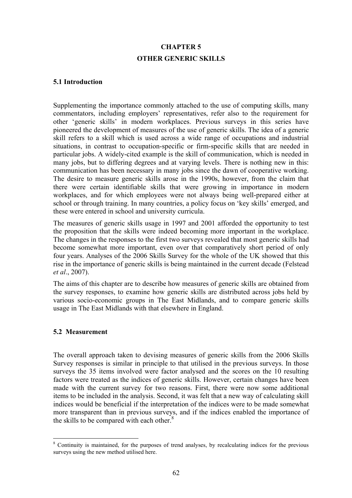# **CHAPTER 5 OTHER GENERIC SKILLS**

### **5.1 Introduction**

Supplementing the importance commonly attached to the use of computing skills, many commentators, including employers' representatives, refer also to the requirement for other 'generic skills' in modern workplaces. Previous surveys in this series have pioneered the development of measures of the use of generic skills. The idea of a generic skill refers to a skill which is used across a wide range of occupations and industrial situations, in contrast to occupation-specific or firm-specific skills that are needed in particular jobs. A widely-cited example is the skill of communication, which is needed in many jobs, but to differing degrees and at varying levels. There is nothing new in this: communication has been necessary in many jobs since the dawn of cooperative working. The desire to measure generic skills arose in the 1990s, however, from the claim that there were certain identifiable skills that were growing in importance in modern workplaces, and for which employees were not always being well-prepared either at school or through training. In many countries, a policy focus on 'key skills' emerged, and these were entered in school and university curricula.

The measures of generic skills usage in 1997 and 2001 afforded the opportunity to test the proposition that the skills were indeed becoming more important in the workplace. The changes in the responses to the first two surveys revealed that most generic skills had become somewhat more important, even over that comparatively short period of only four years. Analyses of the 2006 Skills Survey for the whole of the UK showed that this rise in the importance of generic skills is being maintained in the current decade (Felstead *et al*., 2007).

The aims of this chapter are to describe how measures of generic skills are obtained from the survey responses, to examine how generic skills are distributed across jobs held by various socio-economic groups in The East Midlands, and to compare generic skills usage in The East Midlands with that elsewhere in England.

## **5.2 Measurement**

The overall approach taken to devising measures of generic skills from the 2006 Skills Survey responses is similar in principle to that utilised in the previous surveys. In those surveys the 35 items involved were factor analysed and the scores on the 10 resulting factors were treated as the indices of generic skills. However, certain changes have been made with the current survey for two reasons. First, there were now some additional items to be included in the analysis. Second, it was felt that a new way of calculating skill indices would be beneficial if the interpretation of the indices were to be made somewhat more transparent than in previous surveys, and if the indices enabled the importance of the skills to be compared with each other.<sup>8</sup>

 $\overline{a}$ <sup>8</sup> Continuity is maintained, for the purposes of trend analyses, by recalculating indices for the previous surveys using the new method utilised here.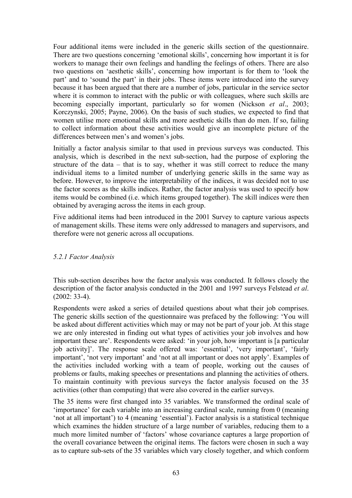Four additional items were included in the generic skills section of the questionnaire. There are two questions concerning 'emotional skills', concerning how important it is for workers to manage their own feelings and handling the feelings of others. There are also two questions on 'aesthetic skills', concerning how important is for them to 'look the part' and to 'sound the part' in their jobs. These items were introduced into the survey because it has been argued that there are a number of jobs, particular in the service sector where it is common to interact with the public or with colleagues, where such skills are becoming especially important, particularly so for women (Nickson *et al*., 2003; Korczynski, 2005; Payne, 2006). On the basis of such studies, we expected to find that women utilise more emotional skills and more aesthetic skills than do men. If so, failing to collect information about these activities would give an incomplete picture of the differences between men's and women's jobs.

Initially a factor analysis similar to that used in previous surveys was conducted. This analysis, which is described in the next sub-section, had the purpose of exploring the structure of the data – that is to say, whether it was still correct to reduce the many individual items to a limited number of underlying generic skills in the same way as before. However, to improve the interpretability of the indices, it was decided not to use the factor scores as the skills indices. Rather, the factor analysis was used to specify how items would be combined (i.e. which items grouped together). The skill indices were then obtained by averaging across the items in each group.

Five additional items had been introduced in the 2001 Survey to capture various aspects of management skills. These items were only addressed to managers and supervisors, and therefore were not generic across all occupations.

## *5.2.1 Factor Analysis*

This sub-section describes how the factor analysis was conducted. It follows closely the description of the factor analysis conducted in the 2001 and 1997 surveys Felstead *et al*. (2002: 33-4).

Respondents were asked a series of detailed questions about what their job comprises. The generic skills section of the questionnaire was prefaced by the following: 'You will be asked about different activities which may or may not be part of your job. At this stage we are only interested in finding out what types of activities your job involves and how important these are'. Respondents were asked: 'in your job, how important is [a particular job activity]'. The response scale offered was: 'essential', 'very important', 'fairly important', 'not very important' and 'not at all important or does not apply'. Examples of the activities included working with a team of people, working out the causes of problems or faults, making speeches or presentations and planning the activities of others. To maintain continuity with previous surveys the factor analysis focused on the 35 activities (other than computing) that were also covered in the earlier surveys.

The 35 items were first changed into 35 variables. We transformed the ordinal scale of 'importance' for each variable into an increasing cardinal scale, running from 0 (meaning 'not at all important') to 4 (meaning 'essential'). Factor analysis is a statistical technique which examines the hidden structure of a large number of variables, reducing them to a much more limited number of 'factors' whose covariance captures a large proportion of the overall covariance between the original items. The factors were chosen in such a way as to capture sub-sets of the 35 variables which vary closely together, and which conform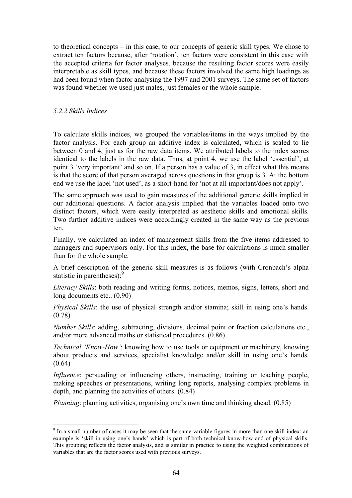to theoretical concepts – in this case, to our concepts of generic skill types. We chose to extract ten factors because, after 'rotation', ten factors were consistent in this case with the accepted criteria for factor analyses, because the resulting factor scores were easily interpretable as skill types, and because these factors involved the same high loadings as had been found when factor analysing the 1997 and 2001 surveys. The same set of factors was found whether we used just males, just females or the whole sample.

### *5.2.2 Skills Indices*

 $\overline{a}$ 

To calculate skills indices, we grouped the variables/items in the ways implied by the factor analysis. For each group an additive index is calculated, which is scaled to lie between 0 and 4, just as for the raw data items. We attributed labels to the index scores identical to the labels in the raw data. Thus, at point 4, we use the label 'essential', at point 3 'very important' and so on. If a person has a value of 3, in effect what this means is that the score of that person averaged across questions in that group is 3. At the bottom end we use the label 'not used', as a short-hand for 'not at all important/does not apply'.

The same approach was used to gain measures of the additional generic skills implied in our additional questions. A factor analysis implied that the variables loaded onto two distinct factors, which were easily interpreted as aesthetic skills and emotional skills. Two further additive indices were accordingly created in the same way as the previous ten.

Finally, we calculated an index of management skills from the five items addressed to managers and supervisors only. For this index, the base for calculations is much smaller than for the whole sample.

A brief description of the generic skill measures is as follows (with Cronbach's alpha statistic in parentheses): $9$ 

*Literacy Skills*: both reading and writing forms, notices, memos, signs, letters, short and long documents etc.. (0.90)

*Physical Skills*: the use of physical strength and/or stamina; skill in using one's hands. (0.78)

*Number Skills*: adding, subtracting, divisions, decimal point or fraction calculations etc., and/or more advanced maths or statistical procedures. (0.86)

*Technical 'Know-How'*: knowing how to use tools or equipment or machinery, knowing about products and services, specialist knowledge and/or skill in using one's hands.  $(0.64)$ 

*Influence*: persuading or influencing others, instructing, training or teaching people, making speeches or presentations, writing long reports, analysing complex problems in depth, and planning the activities of others. (0.84)

*Planning*: planning activities, organising one's own time and thinking ahead. (0.85)

<sup>&</sup>lt;sup>9</sup> In a small number of cases it may be seen that the same variable figures in more than one skill index: an example is 'skill in using one's hands' which is part of both technical know-how and of physical skills. This grouping reflects the factor analysis, and is similar in practice to using the weighted combinations of variables that are the factor scores used with previous surveys.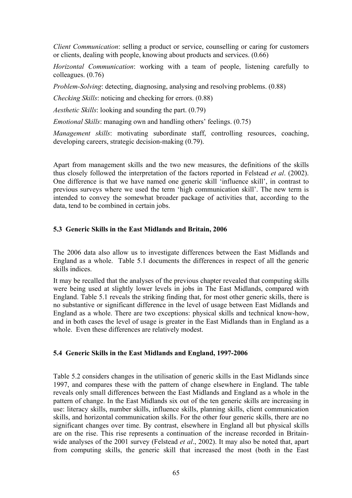*Client Communication*: selling a product or service, counselling or caring for customers or clients, dealing with people, knowing about products and services. (0.66)

*Horizontal Communication*: working with a team of people, listening carefully to colleagues. (0.76)

*Problem-Solving*: detecting, diagnosing, analysing and resolving problems. (0.88)

*Checking Skills*: noticing and checking for errors. (0.88)

*Aesthetic Skills*: looking and sounding the part. (0.79)

*Emotional Skills*: managing own and handling others' feelings. (0.75)

*Management skills*: motivating subordinate staff, controlling resources, coaching, developing careers, strategic decision-making (0.79).

Apart from management skills and the two new measures, the definitions of the skills thus closely followed the interpretation of the factors reported in Felstead *et al*. (2002). One difference is that we have named one generic skill 'influence skill', in contrast to previous surveys where we used the term 'high communication skill'. The new term is intended to convey the somewhat broader package of activities that, according to the data, tend to be combined in certain jobs.

#### **5.3 Generic Skills in the East Midlands and Britain, 2006**

The 2006 data also allow us to investigate differences between the East Midlands and England as a whole. Table 5.1 documents the differences in respect of all the generic skills indices.

It may be recalled that the analyses of the previous chapter revealed that computing skills were being used at slightly lower levels in jobs in The East Midlands, compared with England. Table 5.1 reveals the striking finding that, for most other generic skills, there is no substantive or significant difference in the level of usage between East Midlands and England as a whole. There are two exceptions: physical skills and technical know-how, and in both cases the level of usage is greater in the East Midlands than in England as a whole. Even these differences are relatively modest.

### **5.4 Generic Skills in the East Midlands and England, 1997-2006**

Table 5.2 considers changes in the utilisation of generic skills in the East Midlands since 1997, and compares these with the pattern of change elsewhere in England. The table reveals only small differences between the East Midlands and England as a whole in the pattern of change. In the East Midlands six out of the ten generic skills are increasing in use: literacy skills, number skills, influence skills, planning skills, client communication skills, and horizontal communication skills. For the other four generic skills, there are no significant changes over time. By contrast, elsewhere in England all but physical skills are on the rise. This rise represents a continuation of the increase recorded in Britainwide analyses of the 2001 survey (Felstead *et al*., 2002). It may also be noted that, apart from computing skills, the generic skill that increased the most (both in the East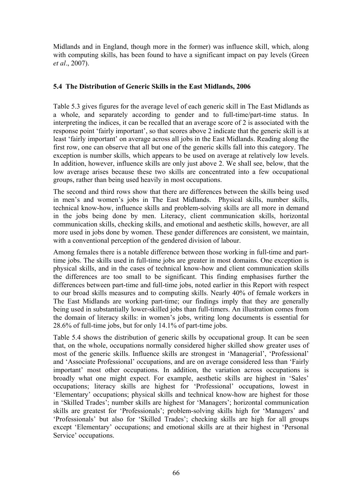Midlands and in England, though more in the former) was influence skill, which, along with computing skills, has been found to have a significant impact on pay levels (Green *et al*., 2007).

# **5.4 The Distribution of Generic Skills in the East Midlands, 2006**

Table 5.3 gives figures for the average level of each generic skill in The East Midlands as a whole, and separately according to gender and to full-time/part-time status. In interpreting the indices, it can be recalled that an average score of 2 is associated with the response point 'fairly important', so that scores above 2 indicate that the generic skill is at least 'fairly important' on average across all jobs in the East Midlands. Reading along the first row, one can observe that all but one of the generic skills fall into this category. The exception is number skills, which appears to be used on average at relatively low levels. In addition, however, influence skills are only just above 2. We shall see, below, that the low average arises because these two skills are concentrated into a few occupational groups, rather than being used heavily in most occupations.

The second and third rows show that there are differences between the skills being used in men's and women's jobs in The East Midlands. Physical skills, number skills, technical know-how, influence skills and problem-solving skills are all more in demand in the jobs being done by men. Literacy, client communication skills, horizontal communication skills, checking skills, and emotional and aesthetic skills, however, are all more used in jobs done by women. These gender differences are consistent, we maintain, with a conventional perception of the gendered division of labour.

Among females there is a notable difference between those working in full-time and parttime jobs. The skills used in full-time jobs are greater in most domains. One exception is physical skills, and in the cases of technical know-how and client communication skills the differences are too small to be significant. This finding emphasises further the differences between part-time and full-time jobs, noted earlier in this Report with respect to our broad skills measures and to computing skills. Nearly 40% of female workers in The East Midlands are working part-time; our findings imply that they are generally being used in substantially lower-skilled jobs than full-timers. An illustration comes from the domain of literacy skills: in women's jobs, writing long documents is essential for 28.6% of full-time jobs, but for only 14.1% of part-time jobs.

Table 5.4 shows the distribution of generic skills by occupational group. It can be seen that, on the whole, occupations normally considered higher skilled show greater uses of most of the generic skills. Influence skills are strongest in 'Managerial', 'Professional' and 'Associate Professional' occupations, and are on average considered less than 'Fairly important' most other occupations. In addition, the variation across occupations is broadly what one might expect. For example, aesthetic skills are highest in 'Sales' occupations; literacy skills are highest for 'Professional' occupations, lowest in 'Elementary' occupations; physical skills and technical know-how are highest for those in 'Skilled Trades'; number skills are highest for 'Managers'; horizontal communication skills are greatest for 'Professionals'; problem-solving skills high for 'Managers' and 'Professionals' but also for 'Skilled Trades'; checking skills are high for all groups except 'Elementary' occupations; and emotional skills are at their highest in 'Personal Service' occupations.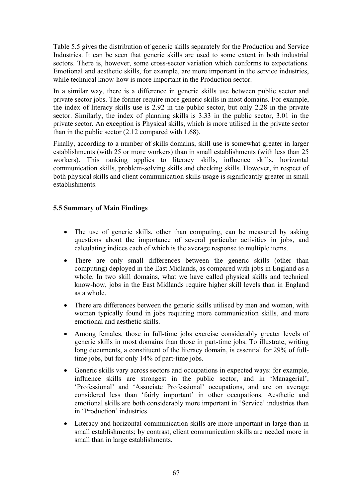Table 5.5 gives the distribution of generic skills separately for the Production and Service Industries. It can be seen that generic skills are used to some extent in both industrial sectors. There is, however, some cross-sector variation which conforms to expectations. Emotional and aesthetic skills, for example, are more important in the service industries, while technical know-how is more important in the Production sector.

In a similar way, there is a difference in generic skills use between public sector and private sector jobs. The former require more generic skills in most domains. For example, the index of literacy skills use is 2.92 in the public sector, but only 2.28 in the private sector. Similarly, the index of planning skills is 3.33 in the public sector, 3.01 in the private sector. An exception is Physical skills, which is more utilised in the private sector than in the public sector (2.12 compared with 1.68).

Finally, according to a number of skills domains, skill use is somewhat greater in larger establishments (with 25 or more workers) than in small establishments (with less than 25 workers). This ranking applies to literacy skills, influence skills, horizontal communication skills, problem-solving skills and checking skills. However, in respect of both physical skills and client communication skills usage is significantly greater in small establishments.

# **5.5 Summary of Main Findings**

- The use of generic skills, other than computing, can be measured by asking questions about the importance of several particular activities in jobs, and calculating indices each of which is the average response to multiple items.
- There are only small differences between the generic skills (other than computing) deployed in the East Midlands, as compared with jobs in England as a whole. In two skill domains, what we have called physical skills and technical know-how, jobs in the East Midlands require higher skill levels than in England as a whole.
- There are differences between the generic skills utilised by men and women, with women typically found in jobs requiring more communication skills, and more emotional and aesthetic skills.
- Among females, those in full-time jobs exercise considerably greater levels of generic skills in most domains than those in part-time jobs. To illustrate, writing long documents, a constituent of the literacy domain, is essential for 29% of fulltime jobs, but for only 14% of part-time jobs.
- Generic skills vary across sectors and occupations in expected ways: for example, influence skills are strongest in the public sector, and in 'Managerial', 'Professional' and 'Associate Professional' occupations, and are on average considered less than 'fairly important' in other occupations. Aesthetic and emotional skills are both considerably more important in 'Service' industries than in 'Production' industries.
- Literacy and horizontal communication skills are more important in large than in small establishments; by contrast, client communication skills are needed more in small than in large establishments.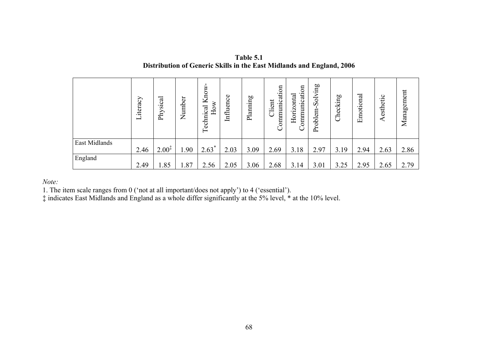|               | iteracy<br>$\overline{\phantom{0}}$ | Physical          | Number | Know<br>How<br>Technical | Influence | Planning | Communication<br>Client | $\mathfrak{g}$<br>Communicati<br>Horizontal | Problem-Solving | Checking | Emotional | Aesthetic | Management |
|---------------|-------------------------------------|-------------------|--------|--------------------------|-----------|----------|-------------------------|---------------------------------------------|-----------------|----------|-----------|-----------|------------|
| East Midlands | 2.46                                | $2.00^{\ddagger}$ | 1.90   | $2.63*$                  | 2.03      | 3.09     | 2.69                    | 3.18                                        | 2.97            | 3.19     | 2.94      | 2.63      | 2.86       |
| England       | 2.49                                | 1.85              | 1.87   | 2.56                     | 2.05      | 3.06     | 2.68                    | 3.14                                        | 3.01            | 3.25     | 2.95      | 2.65      | 2.79       |

**Table 5.1 Distribution of Generic Skills in the East Midlands and England, 2006**

*Note:* 

1. The item scale ranges from 0 ('not at all important/does not apply') to 4 ('essential').

‡ indicates East Midlands and England as a whole differ significantly at the 5% level, \* at the 10% level.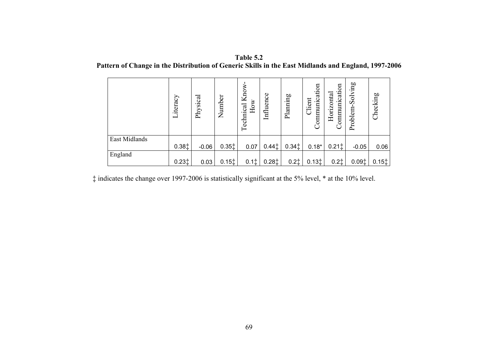| Table 5.2                                                                                           |  |
|-----------------------------------------------------------------------------------------------------|--|
| Pattern of Change in the Distribution of Generic Skills in the East Midlands and England, 1997-2006 |  |

|               | Literacy | Physical | Number                                 | Know.<br>How<br>Technical | Influence | Planning          | Communication<br>Client | Communication<br>Horizontal | Solving<br>Problem- | Checking          |
|---------------|----------|----------|----------------------------------------|---------------------------|-----------|-------------------|-------------------------|-----------------------------|---------------------|-------------------|
| East Midlands | 0.381    | $-0.06$  | $0.35$ <sup><math>\dagger</math></sup> | 0.07                      | $0.44$ ‡  | $0.34$ $\ddagger$ | $0.18*$                 | 0.211                       | $-0.05$             | 0.06              |
| England       | $0.23*$  | 0.03     | $0.15$ <sup><math>\dagger</math></sup> | $0.1$ $\dagger$           | 0.281     | $0.2$ $\ddagger$  | 0.131                   | $0.2$ ‡                     | 0.091               | $0.15$ $\ddagger$ |

‡ indicates the change over 1997-2006 is statistically significant at the 5% level, \* at the 10% level.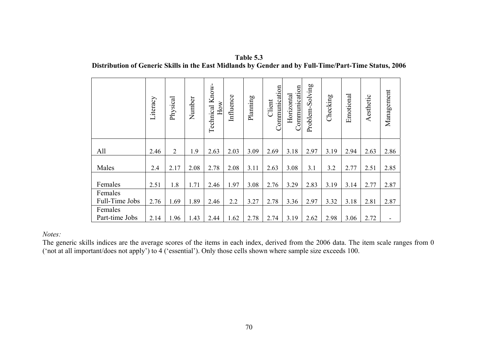| Table 5.3                                                                                             |
|-------------------------------------------------------------------------------------------------------|
| Distribution of Generic Skills in the East Midlands by Gender and by Full-Time/Part-Time Status, 2006 |

|                           | Literacy | Physical       | Number | Technical Know-<br>How | Influence | Planning | Communication<br>Client | Communication<br>Horizontal | Problem-Solving | Checking | Emotional | Aesthetic | Management |
|---------------------------|----------|----------------|--------|------------------------|-----------|----------|-------------------------|-----------------------------|-----------------|----------|-----------|-----------|------------|
| All                       | 2.46     | $\overline{2}$ | 1.9    | 2.63                   | 2.03      | 3.09     | 2.69                    | 3.18                        | 2.97            | 3.19     | 2.94      | 2.63      | 2.86       |
| Males                     | 2.4      | 2.17           | 2.08   | 2.78                   | 2.08      | 3.11     | 2.63                    | 3.08                        | 3.1             | 3.2      | 2.77      | 2.51      | 2.85       |
| Females                   | 2.51     | 1.8            | 1.71   | 2.46                   | 1.97      | 3.08     | 2.76                    | 3.29                        | 2.83            | 3.19     | 3.14      | 2.77      | 2.87       |
| Females<br>Full-Time Jobs | 2.76     | 1.69           | 1.89   | 2.46                   | 2.2       | 3.27     | 2.78                    | 3.36                        | 2.97            | 3.32     | 3.18      | 2.81      | 2.87       |
| Females<br>Part-time Jobs | 2.14     | 1.96           | 1.43   | 2.44                   | 1.62      | 2.78     | 2.74                    | 3.19                        | 2.62            | 2.98     | 3.06      | 2.72      |            |

*Notes:* 

The generic skills indices are the average scores of the items in each index, derived from the 2006 data. The item scale ranges from 0 ('not at all important/does not apply') to 4 ('essential'). Only those cells shown where sample size exceeds 100.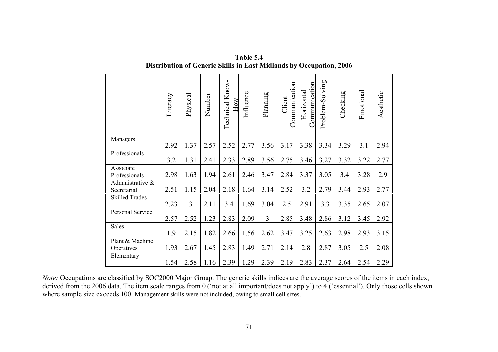|                                 | Literacy | Physical       | Number | Technical Know-<br>How | Influence | Planning       | Communication<br>Client | <b>Communication</b><br>Horizontal | Problem-Solving | Checking | Emotional | Aesthetic |
|---------------------------------|----------|----------------|--------|------------------------|-----------|----------------|-------------------------|------------------------------------|-----------------|----------|-----------|-----------|
| Managers                        | 2.92     | 1.37           | 2.57   | 2.52                   | 2.77      | 3.56           | 3.17                    | 3.38                               | 3.34            | 3.29     | 3.1       | 2.94      |
| Professionals                   | 3.2      | 1.31           | 2.41   | 2.33                   | 2.89      | 3.56           | 2.75                    | 3.46                               | 3.27            | 3.32     | 3.22      | 2.77      |
| Associate<br>Professionals      | 2.98     | 1.63           | 1.94   | 2.61                   | 2.46      | 3.47           | 2.84                    | 3.37                               | 3.05            | 3.4      | 3.28      | 2.9       |
| Administrative &<br>Secretarial | 2.51     | 1.15           | 2.04   | 2.18                   | 1.64      | 3.14           | 2.52                    | 3.2                                | 2.79            | 3.44     | 2.93      | 2.77      |
| <b>Skilled Trades</b>           | 2.23     | $\overline{3}$ | 2.11   | 3.4                    | 1.69      | 3.04           | 2.5                     | 2.91                               | 3.3             | 3.35     | 2.65      | 2.07      |
| Personal Service                | 2.57     | 2.52           | 1.23   | 2.83                   | 2.09      | $\overline{3}$ | 2.85                    | 3.48                               | 2.86            | 3.12     | 3.45      | 2.92      |
| Sales                           | 1.9      | 2.15           | 1.82   | 2.66                   | 1.56      | 2.62           | 3.47                    | 3.25                               | 2.63            | 2.98     | 2.93      | 3.15      |
| Plant & Machine<br>Operatives   | 1.93     | 2.67           | 1.45   | 2.83                   | 1.49      | 2.71           | 2.14                    | 2.8                                | 2.87            | 3.05     | 2.5       | 2.08      |
| Elementary                      | 1.54     | 2.58           | 1.16   | 2.39                   | 1.29      | 2.39           | 2.19                    | 2.83                               | 2.37            | 2.64     | 2.54      | 2.29      |

**Table 5.4 Distribution of Generic Skills in East Midlands by Occupation, 2006**

*Note:* Occupations are classified by SOC2000 Major Group. The generic skills indices are the average scores of the items in each index, derived from the 2006 data. The item scale ranges from 0 ('not at all important/does not apply') to 4 ('essential'). Only those cells shown where sample size exceeds 100. Management skills were not included, owing to small cell sizes.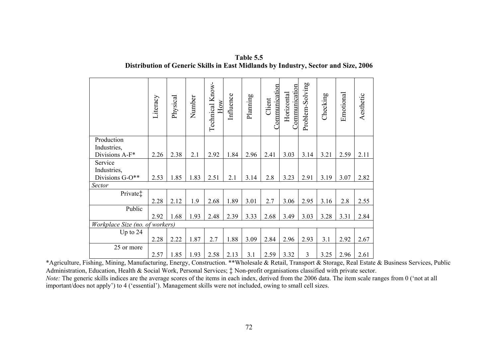|                                 | Literacy | Physical | Number | Technical Know-<br><b>I</b> NO | Influence | Planning | <b>Communication</b><br>Client | Communication<br>Horizontal | Problem-Solving | Checking | Emotional | Aesthetic |
|---------------------------------|----------|----------|--------|--------------------------------|-----------|----------|--------------------------------|-----------------------------|-----------------|----------|-----------|-----------|
| Production                      |          |          |        |                                |           |          |                                |                             |                 |          |           |           |
| Industries,<br>Divisions A-F*   | 2.26     | 2.38     | 2.1    | 2.92                           | 1.84      | 2.96     | 2.41                           | 3.03                        | 3.14            | 3.21     | 2.59      | 2.11      |
| Service<br>Industries,          |          |          |        |                                |           |          |                                |                             |                 |          |           |           |
| Divisions G-O**                 | 2.53     | 1.85     | 1.83   | 2.51                           | 2.1       | 3.14     | 2.8                            | 3.23                        | 2.91            | 3.19     | 3.07      | 2.82      |
| Sector                          |          |          |        |                                |           |          |                                |                             |                 |          |           |           |
| Private‡                        |          |          |        |                                |           |          |                                |                             |                 |          |           |           |
|                                 | 2.28     | 2.12     | 1.9    | 2.68                           | 1.89      | 3.01     | 2.7                            | 3.06                        | 2.95            | 3.16     | 2.8       | 2.55      |
| Public                          |          |          |        |                                |           |          |                                |                             |                 |          |           |           |
|                                 | 2.92     | 1.68     | 1.93   | 2.48                           | 2.39      | 3.33     | 2.68                           | 3.49                        | 3.03            | 3.28     | 3.31      | 2.84      |
| Workplace Size (no. of workers) |          |          |        |                                |           |          |                                |                             |                 |          |           |           |
| Up to 24                        | 2.28     | 2.22     | 1.87   | 2.7                            | 1.88      | 3.09     | 2.84                           | 2.96                        | 2.93            | 3.1      | 2.92      | 2.67      |
| 25 or more                      |          |          |        |                                |           |          |                                |                             |                 |          |           |           |
|                                 | 2.57     | 1.85     | 1.93   | 2.58                           | 2.13      | 3.1      | 2.59                           | 3.32                        | $\overline{3}$  | 3.25     | 2.96      | 2.61      |

**Table 5.5 Distribution of Generic Skills in East Midlands by Industry, Sector and Size, 2006** 

\*Agriculture, Fishing, Mining, Manufacturing, Energy, Construction. \*\*Wholesale & Retail, Transport & Storage, Real Estate & Business Services, Public Administration, Education, Health & Social Work, Personal Services;  $\ddagger$  Non-profit organisations classified with private sector.

*Note:* The generic skills indices are the average scores of the items in each index, derived from the 2006 data. The item scale ranges from 0 ('not at all important/does not apply') to 4 ('essential'). Management skills were not included, owing to small cell sizes.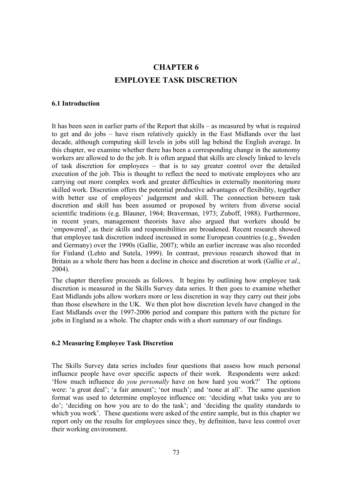# **CHAPTER 6 EMPLOYEE TASK DISCRETION**

#### **6.1 Introduction**

It has been seen in earlier parts of the Report that skills – as measured by what is required to get and do jobs – have risen relatively quickly in the East Midlands over the last decade, although computing skill levels in jobs still lag behind the English average. In this chapter, we examine whether there has been a corresponding change in the autonomy workers are allowed to do the job. It is often argued that skills are closely linked to levels of task discretion for employees – that is to say greater control over the detailed execution of the job. This is thought to reflect the need to motivate employees who are carrying out more complex work and greater difficulties in externally monitoring more skilled work. Discretion offers the potential productive advantages of flexibility, together with better use of employees' judgement and skill. The connection between task discretion and skill has been assumed or proposed by writers from diverse social scientific traditions (e.g. Blauner, 1964; Braverman, 1973; Zuboff, 1988). Furthermore, in recent years, management theorists have also argued that workers should be 'empowered', as their skills and responsibilities are broadened. Recent research showed that employee task discretion indeed increased in some European countries (e.g., Sweden and Germany) over the 1990s (Gallie, 2007); while an earlier increase was also recorded for Finland (Lehto and Sutela, 1999). In contrast, previous research showed that in Britain as a whole there has been a decline in choice and discretion at work (Gallie *et al*., 2004).

The chapter therefore proceeds as follows. It begins by outlining how employee task discretion is measured in the Skills Survey data series. It then goes to examine whether East Midlands jobs allow workers more or less discretion in way they carry out their jobs than those elsewhere in the UK. We then plot how discretion levels have changed in the East Midlands over the 1997-2006 period and compare this pattern with the picture for jobs in England as a whole. The chapter ends with a short summary of our findings.

#### **6.2 Measuring Employee Task Discretion**

The Skills Survey data series includes four questions that assess how much personal influence people have over specific aspects of their work. Respondents were asked: 'How much influence do *you personally* have on how hard you work?' The options were: 'a great deal'; 'a fair amount'; 'not much'; and 'none at all'. The same question format was used to determine employee influence on: 'deciding what tasks you are to do'; 'deciding on how you are to do the task'; and 'deciding the quality standards to which you work'. These questions were asked of the entire sample, but in this chapter we report only on the results for employees since they, by definition, have less control over their working environment.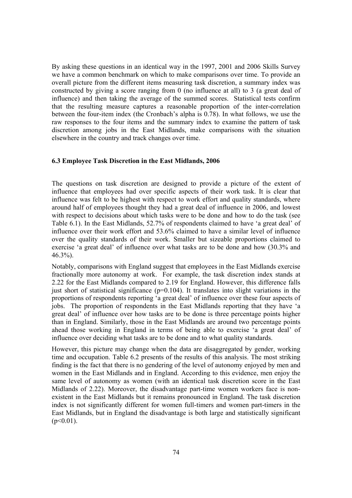By asking these questions in an identical way in the 1997, 2001 and 2006 Skills Survey we have a common benchmark on which to make comparisons over time. To provide an overall picture from the different items measuring task discretion, a summary index was constructed by giving a score ranging from 0 (no influence at all) to 3 (a great deal of influence) and then taking the average of the summed scores. Statistical tests confirm that the resulting measure captures a reasonable proportion of the inter-correlation between the four-item index (the Cronbach's alpha is 0.78). In what follows, we use the raw responses to the four items and the summary index to examine the pattern of task discretion among jobs in the East Midlands, make comparisons with the situation elsewhere in the country and track changes over time.

#### **6.3 Employee Task Discretion in the East Midlands, 2006**

The questions on task discretion are designed to provide a picture of the extent of influence that employees had over specific aspects of their work task. It is clear that influence was felt to be highest with respect to work effort and quality standards, where around half of employees thought they had a great deal of influence in 2006, and lowest with respect to decisions about which tasks were to be done and how to do the task (see Table 6.1). In the East Midlands, 52.7% of respondents claimed to have 'a great deal' of influence over their work effort and 53.6% claimed to have a similar level of influence over the quality standards of their work. Smaller but sizeable proportions claimed to exercise 'a great deal' of influence over what tasks are to be done and how (30.3% and 46.3%).

Notably, comparisons with England suggest that employees in the East Midlands exercise fractionally more autonomy at work. For example, the task discretion index stands at 2.22 for the East Midlands compared to 2.19 for England. However, this difference falls just short of statistical significance ( $p=0.104$ ). It translates into slight variations in the proportions of respondents reporting 'a great deal' of influence over these four aspects of jobs. The proportion of respondents in the East Midlands reporting that they have 'a great deal' of influence over how tasks are to be done is three percentage points higher than in England. Similarly, those in the East Midlands are around two percentage points ahead those working in England in terms of being able to exercise 'a great deal' of influence over deciding what tasks are to be done and to what quality standards.

However, this picture may change when the data are disaggregated by gender, working time and occupation. Table 6.2 presents of the results of this analysis. The most striking finding is the fact that there is no gendering of the level of autonomy enjoyed by men and women in the East Midlands and in England. According to this evidence, men enjoy the same level of autonomy as women (with an identical task discretion score in the East Midlands of 2.22). Moreover, the disadvantage part-time women workers face is nonexistent in the East Midlands but it remains pronounced in England. The task discretion index is not significantly different for women full-timers and women part-timers in the East Midlands, but in England the disadvantage is both large and statistically significant  $(p<0.01)$ .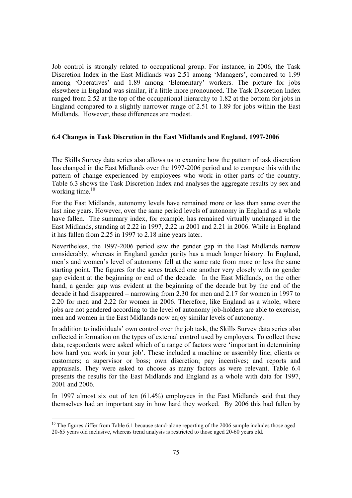Job control is strongly related to occupational group. For instance, in 2006, the Task Discretion Index in the East Midlands was 2.51 among 'Managers', compared to 1.99 among 'Operatives' and 1.89 among 'Elementary' workers. The picture for jobs elsewhere in England was similar, if a little more pronounced. The Task Discretion Index ranged from 2.52 at the top of the occupational hierarchy to 1.82 at the bottom for jobs in England compared to a slightly narrower range of 2.51 to 1.89 for jobs within the East Midlands. However, these differences are modest.

#### **6.4 Changes in Task Discretion in the East Midlands and England, 1997-2006**

The Skills Survey data series also allows us to examine how the pattern of task discretion has changed in the East Midlands over the 1997-2006 period and to compare this with the pattern of change experienced by employees who work in other parts of the country. Table 6.3 shows the Task Discretion Index and analyses the aggregate results by sex and working time. $10$ 

For the East Midlands, autonomy levels have remained more or less than same over the last nine years. However, over the same period levels of autonomy in England as a whole have fallen. The summary index, for example, has remained virtually unchanged in the East Midlands, standing at 2.22 in 1997, 2.22 in 2001 and 2.21 in 2006. While in England it has fallen from 2.25 in 1997 to 2.18 nine years later.

Nevertheless, the 1997-2006 period saw the gender gap in the East Midlands narrow considerably, whereas in England gender parity has a much longer history. In England, men's and women's level of autonomy fell at the same rate from more or less the same starting point. The figures for the sexes tracked one another very closely with no gender gap evident at the beginning or end of the decade. In the East Midlands, on the other hand, a gender gap was evident at the beginning of the decade but by the end of the decade it had disappeared – narrowing from 2.30 for men and 2.17 for women in 1997 to 2.20 for men and 2.22 for women in 2006. Therefore, like England as a whole, where jobs are not gendered according to the level of autonomy job-holders are able to exercise, men and women in the East Midlands now enjoy similar levels of autonomy.

In addition to individuals' own control over the job task, the Skills Survey data series also collected information on the types of external control used by employers. To collect these data, respondents were asked which of a range of factors were 'important in determining how hard you work in your job'. These included a machine or assembly line; clients or customers; a supervisor or boss; own discretion; pay incentives; and reports and appraisals. They were asked to choose as many factors as were relevant. Table 6.4 presents the results for the East Midlands and England as a whole with data for 1997, 2001 and 2006.

In 1997 almost six out of ten (61.4%) employees in the East Midlands said that they themselves had an important say in how hard they worked. By 2006 this had fallen by

 $10$  The figures differ from Table 6.1 because stand-alone reporting of the 2006 sample includes those aged 20-65 years old inclusive, whereas trend analysis is restricted to those aged 20-60 years old.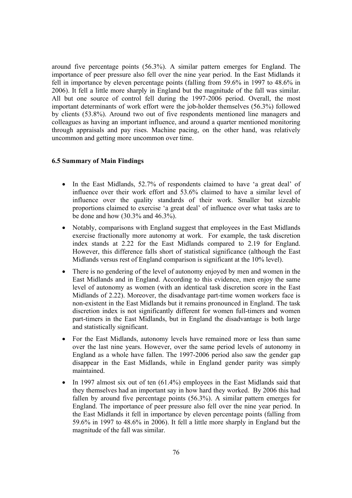around five percentage points (56.3%). A similar pattern emerges for England. The importance of peer pressure also fell over the nine year period. In the East Midlands it fell in importance by eleven percentage points (falling from 59.6% in 1997 to 48.6% in 2006). It fell a little more sharply in England but the magnitude of the fall was similar. All but one source of control fell during the 1997-2006 period. Overall, the most important determinants of work effort were the job-holder themselves (56.3%) followed by clients (53.8%). Around two out of five respondents mentioned line managers and colleagues as having an important influence, and around a quarter mentioned monitoring through appraisals and pay rises. Machine pacing, on the other hand, was relatively uncommon and getting more uncommon over time.

#### **6.5 Summary of Main Findings**

- In the East Midlands, 52.7% of respondents claimed to have 'a great deal' of influence over their work effort and 53.6% claimed to have a similar level of influence over the quality standards of their work. Smaller but sizeable proportions claimed to exercise 'a great deal' of influence over what tasks are to be done and how (30.3% and 46.3%).
- Notably, comparisons with England suggest that employees in the East Midlands exercise fractionally more autonomy at work. For example, the task discretion index stands at 2.22 for the East Midlands compared to 2.19 for England. However, this difference falls short of statistical significance (although the East Midlands versus rest of England comparison is significant at the 10% level).
- There is no gendering of the level of autonomy enjoyed by men and women in the East Midlands and in England. According to this evidence, men enjoy the same level of autonomy as women (with an identical task discretion score in the East Midlands of 2.22). Moreover, the disadvantage part-time women workers face is non-existent in the East Midlands but it remains pronounced in England. The task discretion index is not significantly different for women full-timers and women part-timers in the East Midlands, but in England the disadvantage is both large and statistically significant.
- For the East Midlands, autonomy levels have remained more or less than same over the last nine years. However, over the same period levels of autonomy in England as a whole have fallen. The 1997-2006 period also saw the gender gap disappear in the East Midlands, while in England gender parity was simply maintained.
- In 1997 almost six out of ten (61.4%) employees in the East Midlands said that they themselves had an important say in how hard they worked. By 2006 this had fallen by around five percentage points (56.3%). A similar pattern emerges for England. The importance of peer pressure also fell over the nine year period. In the East Midlands it fell in importance by eleven percentage points (falling from 59.6% in 1997 to 48.6% in 2006). It fell a little more sharply in England but the magnitude of the fall was similar.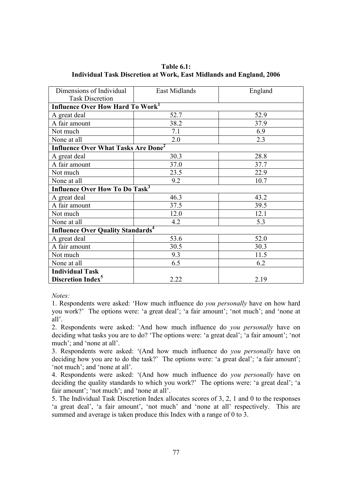| Dimensions of Individual                              | East Midlands | England |  |  |
|-------------------------------------------------------|---------------|---------|--|--|
| <b>Task Discretion</b>                                |               |         |  |  |
| Influence Over How Hard To Work <sup>1</sup>          |               |         |  |  |
| A great deal                                          | 52.7          | 52.9    |  |  |
| A fair amount                                         | 38.2          | 37.9    |  |  |
| Not much                                              | 7.1           | 6.9     |  |  |
| None at all                                           | 2.0           | 2.3     |  |  |
| <b>Influence Over What Tasks Are Done<sup>2</sup></b> |               |         |  |  |
| A great deal                                          | 30.3          | 28.8    |  |  |
| A fair amount                                         | 37.0          | 37.7    |  |  |
| Not much                                              | 23.5          | 22.9    |  |  |
| None at all                                           | 9.2           | 10.7    |  |  |
| <b>Influence Over How To Do Task<sup>3</sup></b>      |               |         |  |  |
| A great deal                                          | 46.3          | 43.2    |  |  |
| A fair amount                                         | 37.5          | 39.5    |  |  |
| Not much                                              | 12.0          | 12.1    |  |  |
| None at all                                           | 4.2           | 5.3     |  |  |
| <b>Influence Over Quality Standards</b> <sup>4</sup>  |               |         |  |  |
| A great deal                                          | 53.6          | 52.0    |  |  |
| A fair amount                                         | 30.5          | 30.3    |  |  |
| Not much                                              | 9.3           | 11.5    |  |  |
| None at all                                           | 6.5           | 6.2     |  |  |
| <b>Individual Task</b>                                |               |         |  |  |
| <b>Discretion Index<sup>5</sup></b>                   | 2.22          | 2.19    |  |  |

**Table 6.1: Individual Task Discretion at Work, East Midlands and England, 2006** 

1. Respondents were asked: 'How much influence do *you personally* have on how hard you work?' The options were: 'a great deal'; 'a fair amount'; 'not much'; and 'none at all'.

2. Respondents were asked: 'And how much influence do *you personally* have on deciding what tasks you are to do? 'The options were: 'a great deal'; 'a fair amount'; 'not much'; and 'none at all'.

3. Respondents were asked: '(And how much influence do *you personally* have on deciding how you are to do the task?' The options were: 'a great deal'; 'a fair amount'; 'not much'; and 'none at all'.

4. Respondents were asked: '(And how much influence do *you personally* have on deciding the quality standards to which you work?' The options were: 'a great deal'; 'a fair amount'; 'not much'; and 'none at all'.

5. The Individual Task Discretion Index allocates scores of 3, 2, 1 and 0 to the responses 'a great deal', 'a fair amount', 'not much' and 'none at all' respectively. This are summed and average is taken produce this Index with a range of 0 to 3.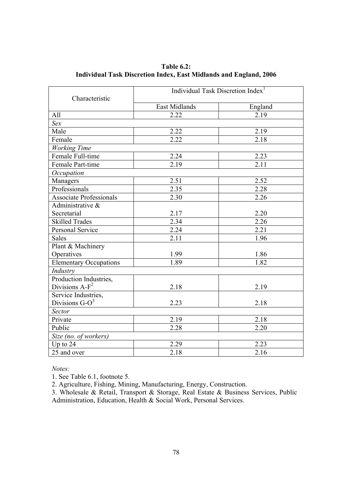| Characteristic                 | Individual Task Discretion Index <sup>1</sup> |                   |  |
|--------------------------------|-----------------------------------------------|-------------------|--|
|                                | East Midlands                                 | England           |  |
| All                            | 2.22                                          | 2.19              |  |
| Sex                            |                                               |                   |  |
| Male                           | 2.22                                          | 2.19              |  |
| Female                         | 2.22                                          | 2.18              |  |
| Working Time                   |                                               |                   |  |
| Female Full-time               | 2.24                                          | 2.23              |  |
| Female Part-time               | 2.19                                          | 2.11              |  |
| Occupation                     |                                               |                   |  |
| Managers                       | 2.51                                          | 2.52              |  |
| Professionals                  | 2.35                                          | 2.28              |  |
| <b>Associate Professionals</b> | 2.30                                          | 2.26              |  |
| Administrative &               |                                               |                   |  |
| Secretarial                    | 2.17                                          | 2.20              |  |
| <b>Skilled Trades</b>          | 2.34                                          | 2.26              |  |
| Personal Service               | 2.24                                          | $\overline{2.21}$ |  |
| <b>Sales</b>                   | 2.11                                          | 1.96              |  |
| Plant & Machinery              |                                               |                   |  |
| Operatives                     | 1.99                                          | 1.86              |  |
| <b>Elementary Occupations</b>  | 1.89                                          | 1.82              |  |
| Industry                       |                                               |                   |  |
| Production Industries,         |                                               |                   |  |
| Divisions $A-F^2$              | 2.18                                          | 2.19              |  |
| Service Industries,            |                                               |                   |  |
| Divisions $G-O^3$              | 2.23                                          | 2.18              |  |
| Sector                         |                                               |                   |  |
| Private                        | 2.19                                          | 2.18              |  |
| Public                         | 2.28                                          | 2.20              |  |
| Size (no. of workers)          |                                               |                   |  |
| Up to $24$                     | 2.29                                          | 2.23              |  |
| 25 and over                    | 2.18                                          | 2.16              |  |

**Table 6.2: Individual Task Discretion Index, East Midlands and England, 2006** 

1. See Table 6.1, footnote 5.

2. Agriculture, Fishing, Mining, Manufacturing, Energy, Construction.

3. Wholesale & Retail, Transport & Storage, Real Estate & Business Services, Public Administration, Education, Health & Social Work, Personal Services.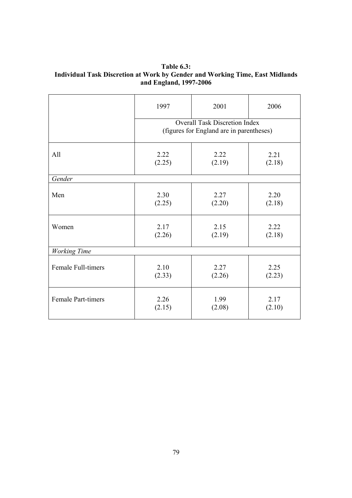**Table 6.3: Individual Task Discretion at Work by Gender and Working Time, East Midlands and England, 1997-2006** 

|                           | 1997                                                                             | 2001   | 2006   |
|---------------------------|----------------------------------------------------------------------------------|--------|--------|
|                           | <b>Overall Task Discretion Index</b><br>(figures for England are in parentheses) |        |        |
| All                       | 2.22                                                                             | 2.22   | 2.21   |
|                           | (2.25)                                                                           | (2.19) | (2.18) |
| Gender                    |                                                                                  |        |        |
| Men                       | 2.30                                                                             | 2.27   | 2.20   |
|                           | (2.25)                                                                           | (2.20) | (2.18) |
| Women                     | 2.17                                                                             | 2.15   | 2.22   |
|                           | (2.26)                                                                           | (2.19) | (2.18) |
| <b>Working Time</b>       |                                                                                  |        |        |
| Female Full-timers        | 2.10                                                                             | 2.27   | 2.25   |
|                           | (2.33)                                                                           | (2.26) | (2.23) |
| <b>Female Part-timers</b> | 2.26                                                                             | 1.99   | 2.17   |
|                           | (2.15)                                                                           | (2.08) | (2.10) |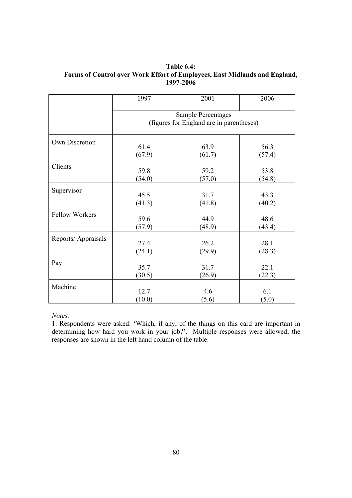**Table 6.4: Forms of Control over Work Effort of Employees, East Midlands and England, 1997-2006** 

|                       | 1997                                                                  | 2001   | 2006   |
|-----------------------|-----------------------------------------------------------------------|--------|--------|
|                       | <b>Sample Percentages</b><br>(figures for England are in parentheses) |        |        |
| Own Discretion        | 61.4                                                                  | 63.9   | 56.3   |
|                       | (67.9)                                                                | (61.7) | (57.4) |
| Clients               | 59.8                                                                  | 59.2   | 53.8   |
|                       | (54.0)                                                                | (57.0) | (54.8) |
| Supervisor            | 45.5                                                                  | 31.7   | 43.3   |
|                       | (41.3)                                                                | (41.8) | (40.2) |
| <b>Fellow Workers</b> | 59.6                                                                  | 44.9   | 48.6   |
|                       | (57.9)                                                                | (48.9) | (43.4) |
| Reports/Appraisals    | 27.4                                                                  | 26.2   | 28.1   |
|                       | (24.1)                                                                | (29.9) | (28.3) |
| Pay                   | 35.7                                                                  | 31.7   | 22.1   |
|                       | (30.5)                                                                | (26.9) | (22.3) |
| Machine               | 12.7                                                                  | 4.6    | 6.1    |
|                       | (10.0)                                                                | (5.6)  | (5.0)  |

1. Respondents were asked: 'Which, if any, of the things on this card are important in determining how hard you work in your job?'. Multiple responses were allowed; the responses are shown in the left hand column of the table.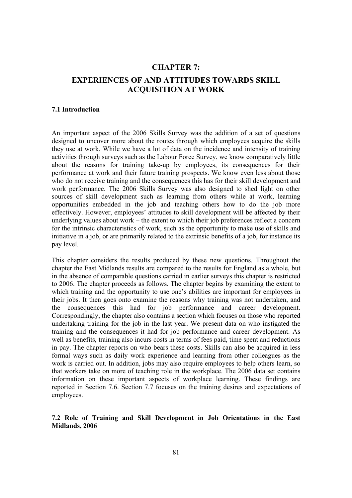# **CHAPTER 7: EXPERIENCES OF AND ATTITUDES TOWARDS SKILL ACQUISITION AT WORK**

#### **7.1 Introduction**

An important aspect of the 2006 Skills Survey was the addition of a set of questions designed to uncover more about the routes through which employees acquire the skills they use at work. While we have a lot of data on the incidence and intensity of training activities through surveys such as the Labour Force Survey, we know comparatively little about the reasons for training take-up by employees, its consequences for their performance at work and their future training prospects. We know even less about those who do not receive training and the consequences this has for their skill development and work performance. The 2006 Skills Survey was also designed to shed light on other sources of skill development such as learning from others while at work, learning opportunities embedded in the job and teaching others how to do the job more effectively. However, employees' attitudes to skill development will be affected by their underlying values about work – the extent to which their job preferences reflect a concern for the intrinsic characteristics of work, such as the opportunity to make use of skills and initiative in a job, or are primarily related to the extrinsic benefits of a job, for instance its pay level.

This chapter considers the results produced by these new questions. Throughout the chapter the East Midlands results are compared to the results for England as a whole, but in the absence of comparable questions carried in earlier surveys this chapter is restricted to 2006. The chapter proceeds as follows. The chapter begins by examining the extent to which training and the opportunity to use one's abilities are important for employees in their jobs. It then goes onto examine the reasons why training was not undertaken, and the consequences this had for job performance and career development. Correspondingly, the chapter also contains a section which focuses on those who reported undertaking training for the job in the last year. We present data on who instigated the training and the consequences it had for job performance and career development. As well as benefits, training also incurs costs in terms of fees paid, time spent and reductions in pay. The chapter reports on who bears these costs. Skills can also be acquired in less formal ways such as daily work experience and learning from other colleagues as the work is carried out. In addition, jobs may also require employees to help others learn, so that workers take on more of teaching role in the workplace. The 2006 data set contains information on these important aspects of workplace learning. These findings are reported in Section 7.6. Section 7.7 focuses on the training desires and expectations of employees.

# **7.2 Role of Training and Skill Development in Job Orientations in the East Midlands, 2006**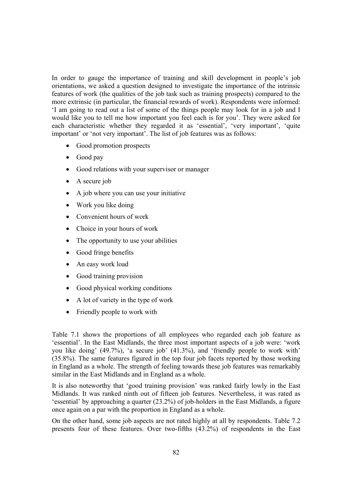In order to gauge the importance of training and skill development in people's job orientations, we asked a question designed to investigate the importance of the intrinsic features of work (the qualities of the job task such as training prospects) compared to the more extrinsic (in particular, the financial rewards of work). Respondents were informed: 'I am going to read out a list of some of the things people may look for in a job and I would like you to tell me how important you feel each is for you'. They were asked for each characteristic whether they regarded it as 'essential', 'very important', 'quite important' or 'not very important'. The list of job features was as follows:

- Good promotion prospects
- Good pay
- Good relations with your supervisor or manager
- A secure job
- A job where you can use your initiative
- Work you like doing
- Convenient hours of work
- Choice in your hours of work
- The opportunity to use your abilities
- Good fringe benefits
- An easy work load
- Good training provision
- Good physical working conditions
- A lot of variety in the type of work
- Friendly people to work with

Table 7.1 shows the proportions of all employees who regarded each job feature as 'essential'. In the East Midlands, the three most important aspects of a job were: 'work you like doing' (49.7%), 'a secure job' (41.3%), and 'friendly people to work with' (35.8%). The same features figured in the top four job facets reported by those working in England as a whole. The strength of feeling towards these job features was remarkably similar in the East Midlands and in England as a whole.

It is also noteworthy that 'good training provision' was ranked fairly lowly in the East Midlands. It was ranked ninth out of fifteen job features. Nevertheless, it was rated as 'essential' by approaching a quarter (23.2%) of job-holders in the East Midlands, a figure once again on a par with the proportion in England as a whole.

On the other hand, some job aspects are not rated highly at all by respondents. Table 7.2 presents four of these features. Over two-fifths (43.2%) of respondents in the East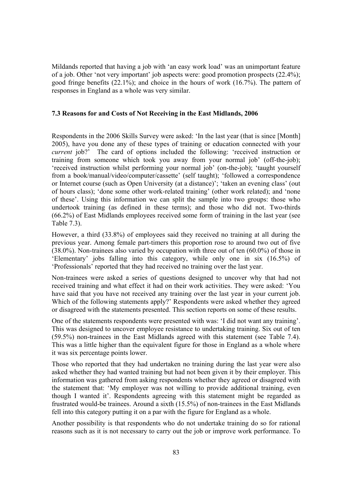Mildands reported that having a job with 'an easy work load' was an unimportant feature of a job. Other 'not very important' job aspects were: good promotion prospects (22.4%); good fringe benefits (22.1%); and choice in the hours of work (16.7%). The pattern of responses in England as a whole was very similar.

#### **7.3 Reasons for and Costs of Not Receiving in the East Midlands, 2006**

Respondents in the 2006 Skills Survey were asked: 'In the last year (that is since [Month] 2005), have you done any of these types of training or education connected with your *current* job?' The card of options included the following: 'received instruction or training from someone which took you away from your normal job' (off-the-job); 'received instruction whilst performing your normal job' (on-the-job); 'taught yourself from a book/manual/video/computer/cassette' (self taught); 'followed a correspondence or Internet course (such as Open University (at a distance)'; 'taken an evening class' (out of hours class); 'done some other work-related training' (other work related); and 'none of these'. Using this information we can split the sample into two groups: those who undertook training (as defined in these terms); and those who did not. Two-thirds (66.2%) of East Midlands employees received some form of training in the last year (see Table 7.3).

However, a third (33.8%) of employees said they received no training at all during the previous year. Among female part-timers this proportion rose to around two out of five (38.0%). Non-trainees also varied by occupation with three out of ten (60.0%) of those in 'Elementary' jobs falling into this category, while only one in six (16.5%) of 'Professionals' reported that they had received no training over the last year.

Non-trainees were asked a series of questions designed to uncover why that had not received training and what effect it had on their work activities. They were asked: 'You have said that you have not received any training over the last year in your current job. Which of the following statements apply?' Respondents were asked whether they agreed or disagreed with the statements presented. This section reports on some of these results.

One of the statements respondents were presented with was: 'I did not want any training'. This was designed to uncover employee resistance to undertaking training. Six out of ten (59.5%) non-trainees in the East Midlands agreed with this statement (see Table 7.4). This was a little higher than the equivalent figure for those in England as a whole where it was six percentage points lower.

Those who reported that they had undertaken no training during the last year were also asked whether they had wanted training but had not been given it by their employer. This information was gathered from asking respondents whether they agreed or disagreed with the statement that: 'My employer was not willing to provide additional training, even though I wanted it'. Respondents agreeing with this statement might be regarded as frustrated would-be trainees. Around a sixth (15.5%) of non-trainees in the East Midlands fell into this category putting it on a par with the figure for England as a whole.

Another possibility is that respondents who do not undertake training do so for rational reasons such as it is not necessary to carry out the job or improve work performance. To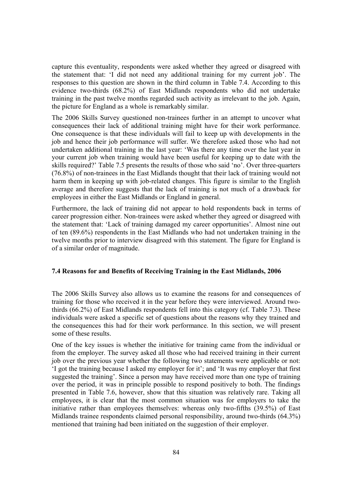capture this eventuality, respondents were asked whether they agreed or disagreed with the statement that: 'I did not need any additional training for my current job'. The responses to this question are shown in the third column in Table 7.4. According to this evidence two-thirds (68.2%) of East Midlands respondents who did not undertake training in the past twelve months regarded such activity as irrelevant to the job. Again, the picture for England as a whole is remarkably similar.

The 2006 Skills Survey questioned non-trainees further in an attempt to uncover what consequences their lack of additional training might have for their work performance. One consequence is that these individuals will fail to keep up with developments in the job and hence their job performance will suffer. We therefore asked those who had not undertaken additional training in the last year: 'Was there any time over the last year in your current job when training would have been useful for keeping up to date with the skills required?' Table 7.5 presents the results of those who said 'no'. Over three-quarters (76.8%) of non-trainees in the East Midlands thought that their lack of training would not harm them in keeping up with job-related changes. This figure is similar to the English average and therefore suggests that the lack of training is not much of a drawback for employees in either the East Midlands or England in general.

Furthermore, the lack of training did not appear to hold respondents back in terms of career progression either. Non-trainees were asked whether they agreed or disagreed with the statement that: 'Lack of training damaged my career opportunities'. Almost nine out of ten (89.6%) respondents in the East Midlands who had not undertaken training in the twelve months prior to interview disagreed with this statement. The figure for England is of a similar order of magnitude.

#### **7.4 Reasons for and Benefits of Receiving Training in the East Midlands, 2006**

The 2006 Skills Survey also allows us to examine the reasons for and consequences of training for those who received it in the year before they were interviewed. Around twothirds (66.2%) of East Midlands respondents fell into this category (cf. Table 7.3). These individuals were asked a specific set of questions about the reasons why they trained and the consequences this had for their work performance. In this section, we will present some of these results.

One of the key issues is whether the initiative for training came from the individual or from the employer. The survey asked all those who had received training in their current job over the previous year whether the following two statements were applicable or not: 'I got the training because I asked my employer for it'; and 'It was my employer that first suggested the training'. Since a person may have received more than one type of training over the period, it was in principle possible to respond positively to both. The findings presented in Table 7.6, however, show that this situation was relatively rare. Taking all employees, it is clear that the most common situation was for employers to take the initiative rather than employees themselves: whereas only two-fifths (39.5%) of East Midlands trainee respondents claimed personal responsibility, around two-thirds (64.3%) mentioned that training had been initiated on the suggestion of their employer.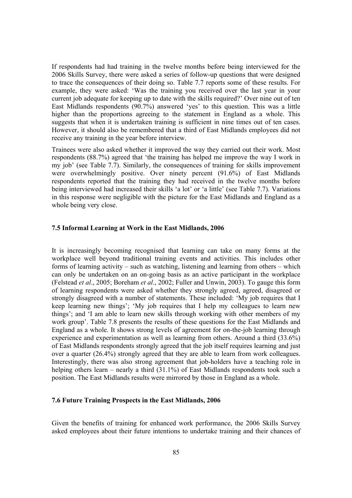If respondents had had training in the twelve months before being interviewed for the 2006 Skills Survey, there were asked a series of follow-up questions that were designed to trace the consequences of their doing so. Table 7.7 reports some of these results. For example, they were asked: 'Was the training you received over the last year in your current job adequate for keeping up to date with the skills required?' Over nine out of ten East Midlands respondents (90.7%) answered 'yes' to this question. This was a little higher than the proportions agreeing to the statement in England as a whole. This suggests that when it is undertaken training is sufficient in nine times out of ten cases. However, it should also be remembered that a third of East Midlands employees did not receive any training in the year before interview.

Trainees were also asked whether it improved the way they carried out their work. Most respondents (88.7%) agreed that 'the training has helped me improve the way I work in my job' (see Table 7.7). Similarly, the consequences of training for skills improvement were overwhelmingly positive. Over ninety percent (91.6%) of East Midlands respondents reported that the training they had received in the twelve months before being interviewed had increased their skills 'a lot' or 'a little' (see Table 7.7). Variations in this response were negligible with the picture for the East Midlands and England as a whole being very close.

#### **7.5 Informal Learning at Work in the East Midlands, 2006**

It is increasingly becoming recognised that learning can take on many forms at the workplace well beyond traditional training events and activities. This includes other forms of learning activity – such as watching, listening and learning from others – which can only be undertaken on an on-going basis as an active participant in the workplace (Felstead *et al*., 2005; Boreham *et al*., 2002; Fuller and Unwin, 2003). To gauge this form of learning respondents were asked whether they strongly agreed, agreed, disagreed or strongly disagreed with a number of statements. These included: 'My job requires that I keep learning new things'; 'My job requires that I help my colleagues to learn new things'; and 'I am able to learn new skills through working with other members of my work group'. Table 7.8 presents the results of these questions for the East Midlands and England as a whole. It shows strong levels of agreement for on-the-job learning through experience and experimentation as well as learning from others. Around a third (33.6%) of East Midlands respondents strongly agreed that the job itself requires learning and just over a quarter (26.4%) strongly agreed that they are able to learn from work colleagues. Interestingly, there was also strong agreement that job-holders have a teaching role in helping others learn – nearly a third (31.1%) of East Midlands respondents took such a position. The East Midlands results were mirrored by those in England as a whole.

#### **7.6 Future Training Prospects in the East Midlands, 2006**

Given the benefits of training for enhanced work performance, the 2006 Skills Survey asked employees about their future intentions to undertake training and their chances of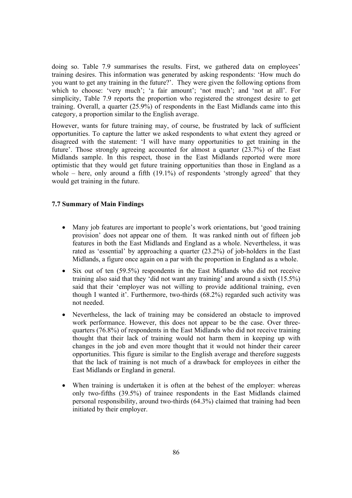doing so. Table 7.9 summarises the results. First, we gathered data on employees' training desires. This information was generated by asking respondents: 'How much do you want to get any training in the future?'. They were given the following options from which to choose: 'very much'; 'a fair amount'; 'not much'; and 'not at all'. For simplicity, Table 7.9 reports the proportion who registered the strongest desire to get training. Overall, a quarter (25.9%) of respondents in the East Midlands came into this category, a proportion similar to the English average.

However, wants for future training may, of course, be frustrated by lack of sufficient opportunities. To capture the latter we asked respondents to what extent they agreed or disagreed with the statement: 'I will have many opportunities to get training in the future'. Those strongly agreeing accounted for almost a quarter (23.7%) of the East Midlands sample. In this respect, those in the East Midlands reported were more optimistic that they would get future training opportunities than those in England as a whole – here, only around a fifth  $(19.1\%)$  of respondents 'strongly agreed' that they would get training in the future.

#### **7.7 Summary of Main Findings**

- Many job features are important to people's work orientations, but 'good training provision' does not appear one of them. It was ranked ninth out of fifteen job features in both the East Midlands and England as a whole. Nevertheless, it was rated as 'essential' by approaching a quarter (23.2%) of job-holders in the East Midlands, a figure once again on a par with the proportion in England as a whole.
- Six out of ten (59.5%) respondents in the East Midlands who did not receive training also said that they 'did not want any training' and around a sixth (15.5%) said that their 'employer was not willing to provide additional training, even though I wanted it'. Furthermore, two-thirds (68.2%) regarded such activity was not needed.
- Nevertheless, the lack of training may be considered an obstacle to improved work performance. However, this does not appear to be the case. Over threequarters (76.8%) of respondents in the East Midlands who did not receive training thought that their lack of training would not harm them in keeping up with changes in the job and even more thought that it would not hinder their career opportunities. This figure is similar to the English average and therefore suggests that the lack of training is not much of a drawback for employees in either the East Midlands or England in general.
- When training is undertaken it is often at the behest of the employer: whereas only two-fifths (39.5%) of trainee respondents in the East Midlands claimed personal responsibility, around two-thirds (64.3%) claimed that training had been initiated by their employer.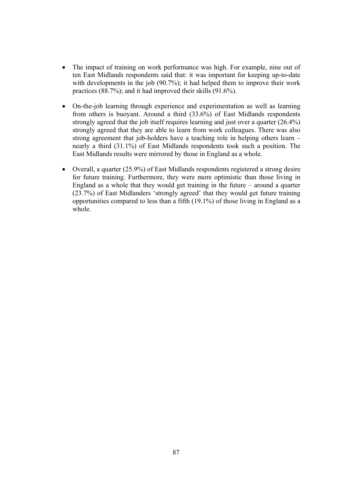- The impact of training on work performance was high. For example, nine out of ten East Midlands respondents said that: it was important for keeping up-to-date with developments in the job (90.7%); it had helped them to improve their work practices (88.7%); and it had improved their skills (91.6%).
- On-the-job learning through experience and experimentation as well as learning from others is buoyant. Around a third (33.6%) of East Midlands respondents strongly agreed that the job itself requires learning and just over a quarter (26.4%) strongly agreed that they are able to learn from work colleagues. There was also strong agreement that job-holders have a teaching role in helping others learn – nearly a third (31.1%) of East Midlands respondents took such a position. The East Midlands results were mirrored by those in England as a whole.
- Overall, a quarter (25.9%) of East Midlands respondents registered a strong desire for future training. Furthermore, they were more optimistic than those living in England as a whole that they would get training in the future – around a quarter (23.7%) of East Midlanders 'strongly agreed' that they would get future training opportunities compared to less than a fifth (19.1%) of those living in England as a whole.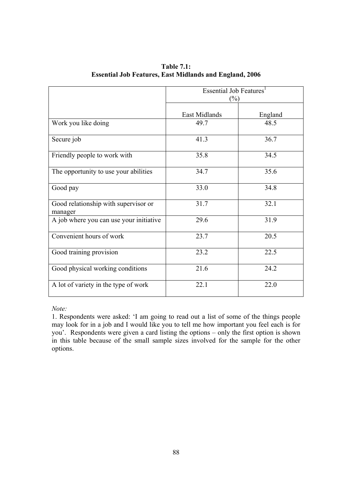|                                                 | Essential Job Features <sup>1</sup><br>$(\%)$ |         |  |
|-------------------------------------------------|-----------------------------------------------|---------|--|
|                                                 | East Midlands                                 | England |  |
| Work you like doing                             | 49.7                                          | 48.5    |  |
| Secure job                                      | 41.3                                          | 36.7    |  |
| Friendly people to work with                    | 35.8                                          | 34.5    |  |
| The opportunity to use your abilities           | 34.7                                          | 35.6    |  |
| Good pay                                        | 33.0                                          | 34.8    |  |
| Good relationship with supervisor or<br>manager | 31.7                                          | 32.1    |  |
| A job where you can use your initiative         | 29.6                                          | 31.9    |  |
| Convenient hours of work                        | 23.7                                          | 20.5    |  |
| Good training provision                         | 23.2                                          | 22.5    |  |
| Good physical working conditions                | 21.6                                          | 24.2    |  |
| A lot of variety in the type of work            | 22.1                                          | 22.0    |  |

**Table 7.1: Essential Job Features, East Midlands and England, 2006** 

1. Respondents were asked: 'I am going to read out a list of some of the things people may look for in a job and I would like you to tell me how important you feel each is for you'. Respondents were given a card listing the options – only the first option is shown in this table because of the small sample sizes involved for the sample for the other options.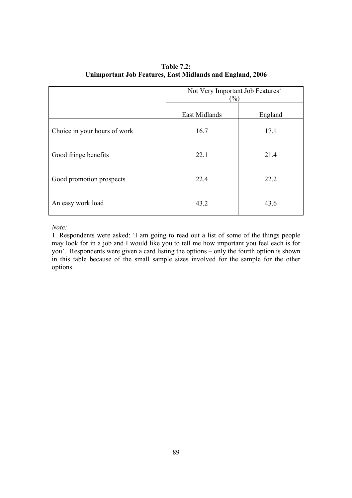|                              | Not Very Important Job Features <sup>1</sup><br>$(\%)$ |         |  |
|------------------------------|--------------------------------------------------------|---------|--|
|                              | East Midlands                                          | England |  |
| Choice in your hours of work | 16.7                                                   | 17.1    |  |
| Good fringe benefits         | 22.1                                                   | 21.4    |  |
| Good promotion prospects     | 22.4                                                   | 22.2    |  |
| An easy work load            | 43.2                                                   | 43.6    |  |

**Table 7.2: Unimportant Job Features, East Midlands and England, 2006** 

1. Respondents were asked: 'I am going to read out a list of some of the things people may look for in a job and I would like you to tell me how important you feel each is for you'. Respondents were given a card listing the options – only the fourth option is shown in this table because of the small sample sizes involved for the sample for the other options.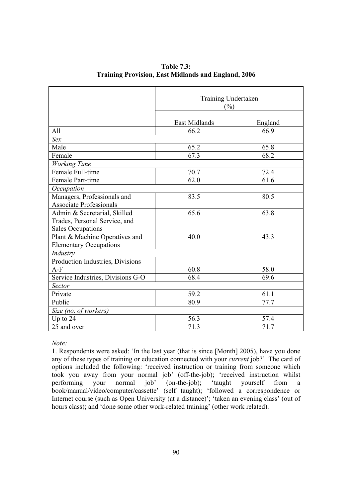|                                   | Training Undertaken<br>$\frac{0}{0}$ |         |
|-----------------------------------|--------------------------------------|---------|
|                                   | East Midlands                        | England |
| All                               | 66.2                                 | 66.9    |
| Sex                               |                                      |         |
| Male                              | 65.2                                 | 65.8    |
| Female                            | 67.3                                 | 68.2    |
| <b>Working Time</b>               |                                      |         |
| Female Full-time                  | 70.7                                 | 72.4    |
| Female Part-time                  | 62.0                                 | 61.6    |
| Occupation                        |                                      |         |
| Managers, Professionals and       | 83.5                                 | 80.5    |
| <b>Associate Professionals</b>    |                                      |         |
| Admin & Secretarial, Skilled      | 65.6                                 | 63.8    |
| Trades, Personal Service, and     |                                      |         |
| <b>Sales Occupations</b>          |                                      |         |
| Plant & Machine Operatives and    | 40.0                                 | 43.3    |
| <b>Elementary Occupations</b>     |                                      |         |
| Industry                          |                                      |         |
| Production Industries, Divisions  |                                      |         |
| $A-F$                             | 60.8                                 | 58.0    |
| Service Industries, Divisions G-O | 68.4                                 | 69.6    |
| Sector                            |                                      |         |
| Private                           | 59.2                                 | 61.1    |
| Public                            | 80.9                                 | 77.7    |
| Size (no. of workers)             |                                      |         |
| Up to $24$                        | 56.3                                 | 57.4    |
| 25 and over                       | 71.3                                 | 71.7    |

**Table 7.3: Training Provision, East Midlands and England, 2006** 

1. Respondents were asked: 'In the last year (that is since [Month] 2005), have you done any of these types of training or education connected with your *current* job?' The card of options included the following: 'received instruction or training from someone which took you away from your normal job' (off-the-job); 'received instruction whilst<br>performing vour normal job' (on-the-job); 'taught yourself from a performing your normal job' (on-the-job); 'taught yourself from a book/manual/video/computer/cassette' (self taught); 'followed a correspondence or Internet course (such as Open University (at a distance)'; 'taken an evening class' (out of hours class); and 'done some other work-related training' (other work related).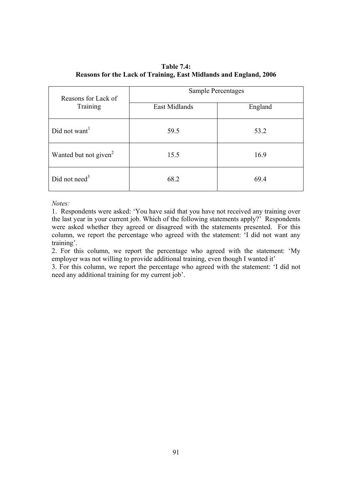**Table 7.4: Reasons for the Lack of Training, East Midlands and England, 2006**

| Reasons for Lack of               | <b>Sample Percentages</b> |         |  |
|-----------------------------------|---------------------------|---------|--|
| Training                          | East Midlands             | England |  |
| Did not want <sup>1</sup>         | 59.5                      | 53.2    |  |
| Wanted but not given <sup>2</sup> | 15.5                      | 16.9    |  |
| Did not need <sup>3</sup>         | 68.2                      | 69.4    |  |

1. Respondents were asked: 'You have said that you have not received any training over the last year in your current job. Which of the following statements apply?<sup>'</sup> Respondents were asked whether they agreed or disagreed with the statements presented. For this column, we report the percentage who agreed with the statement: 'I did not want any training'.

2. For this column, we report the percentage who agreed with the statement: 'My employer was not willing to provide additional training, even though I wanted it'

3. For this column, we report the percentage who agreed with the statement: 'I did not need any additional training for my current job'.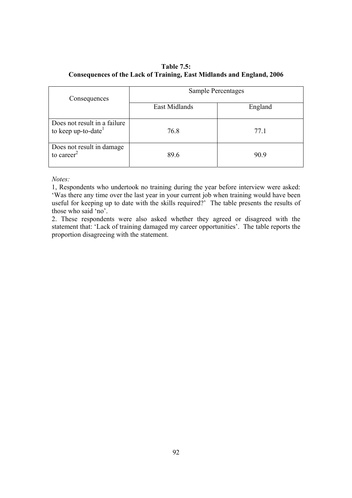# **Table 7.5: Consequences of the Lack of Training, East Midlands and England, 2006**

| Consequences                                                    | Sample Percentages |         |  |
|-----------------------------------------------------------------|--------------------|---------|--|
|                                                                 | East Midlands      | England |  |
| Does not result in a failure<br>to keep up-to-date <sup>1</sup> | 76.8               | 77.1    |  |
| Does not result in damage<br>to career $2$                      | 89.6               | 90.9    |  |

*Notes:* 

1, Respondents who undertook no training during the year before interview were asked: 'Was there any time over the last year in your current job when training would have been useful for keeping up to date with the skills required?' The table presents the results of those who said 'no'.

2. These respondents were also asked whether they agreed or disagreed with the statement that: 'Lack of training damaged my career opportunities'. The table reports the proportion disagreeing with the statement.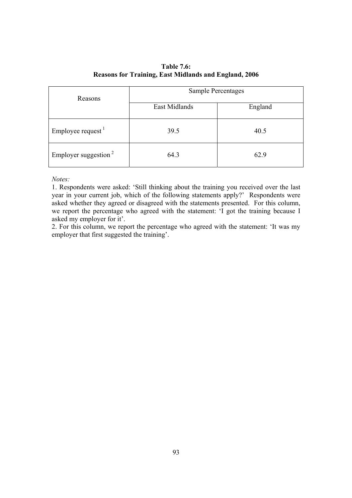# **Table 7.6: Reasons for Training, East Midlands and England, 2006**

| Reasons                          | <b>Sample Percentages</b> |         |  |
|----------------------------------|---------------------------|---------|--|
|                                  | East Midlands             | England |  |
| Employee request                 | 39.5                      | 40.5    |  |
| Employer suggestion <sup>2</sup> | 64.3                      | 62.9    |  |

*Notes:* 

1. Respondents were asked: 'Still thinking about the training you received over the last year in your current job, which of the following statements apply?' Respondents were asked whether they agreed or disagreed with the statements presented. For this column, we report the percentage who agreed with the statement: 'I got the training because I asked my employer for it'.

2. For this column, we report the percentage who agreed with the statement: 'It was my employer that first suggested the training'.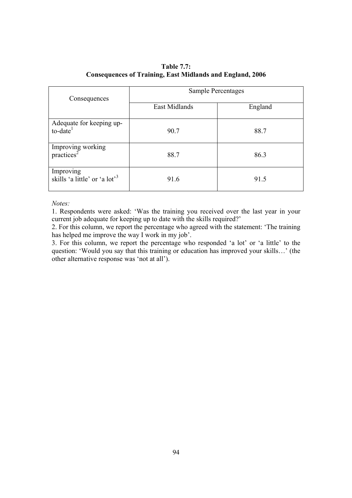# **Table 7.7: Consequences of Training, East Midlands and England, 2006**

| Consequences                                           | Sample Percentages |         |  |
|--------------------------------------------------------|--------------------|---------|--|
|                                                        | East Midlands      | England |  |
| Adequate for keeping up-<br>$to$ -date <sup>1</sup>    | 90.7               | 88.7    |  |
| Improving working<br>practices <sup>2</sup>            | 88.7               | 86.3    |  |
| Improving<br>skills 'a little' or 'a lot' <sup>3</sup> | 91.6               | 91.5    |  |

#### *Notes:*

1. Respondents were asked: 'Was the training you received over the last year in your current job adequate for keeping up to date with the skills required?'

2. For this column, we report the percentage who agreed with the statement: 'The training has helped me improve the way I work in my job'.

3. For this column, we report the percentage who responded 'a lot' or 'a little' to the question: 'Would you say that this training or education has improved your skills…' (the other alternative response was 'not at all').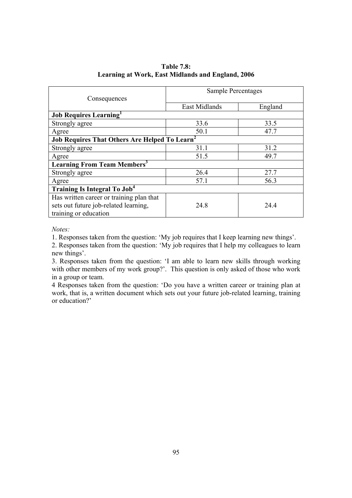| Consequences                                         | <b>Sample Percentages</b> |         |  |
|------------------------------------------------------|---------------------------|---------|--|
|                                                      | East Midlands             | England |  |
| <b>Job Requires Learning</b>                         |                           |         |  |
| Strongly agree                                       | 33.6                      | 33.5    |  |
| Agree                                                | 50.1                      | 47.7    |  |
| <b>Job Requires That Others Are Helped To Learn'</b> |                           |         |  |
| Strongly agree                                       | 31.1                      | 31.2    |  |
| Agree                                                | 51.5                      | 49.7    |  |
| <b>Learning From Team Members<sup>3</sup></b>        |                           |         |  |
| Strongly agree                                       | 26.4                      | 27.7    |  |
| Agree                                                | 57.1                      | 56.3    |  |
| <b>Training Is Integral To Job<sup>4</sup></b>       |                           |         |  |
| Has written career or training plan that             |                           |         |  |
| sets out future job-related learning,                | 24.8                      | 24.4    |  |
| training or education                                |                           |         |  |

# **Table 7.8: Learning at Work, East Midlands and England, 2006**

*Notes:* 

1. Responses taken from the question: 'My job requires that I keep learning new things'.

2. Responses taken from the question: 'My job requires that I help my colleagues to learn new things'.

3. Responses taken from the question: 'I am able to learn new skills through working with other members of my work group?'. This question is only asked of those who work in a group or team.

4 Responses taken from the question: 'Do you have a written career or training plan at work, that is, a written document which sets out your future job-related learning, training or education?'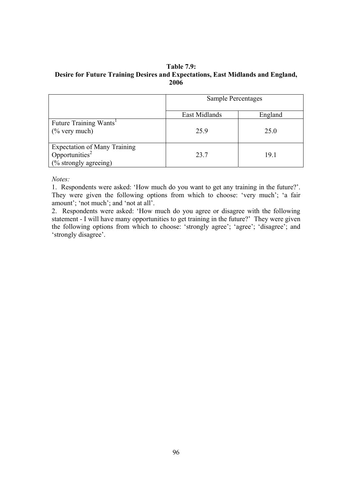#### **Table 7.9: Desire for Future Training Desires and Expectations, East Midlands and England, 2006**

|                                                                                     | Sample Percentages |         |
|-------------------------------------------------------------------------------------|--------------------|---------|
|                                                                                     | East Midlands      | England |
| Future Training Wants <sup>1</sup><br>$(\%$ very much)                              | 259                | 25.0    |
| Expectation of Many Training<br>Opportunities <sup>2</sup><br>(% strongly agreeing) | 23.7               | 19.1    |

*Notes:* 

1. Respondents were asked: 'How much do you want to get any training in the future?'. They were given the following options from which to choose: 'very much'; 'a fair amount'; 'not much'; and 'not at all'.

2. Respondents were asked: 'How much do you agree or disagree with the following statement - I will have many opportunities to get training in the future?' They were given the following options from which to choose: 'strongly agree'; 'agree'; 'disagree'; and 'strongly disagree'.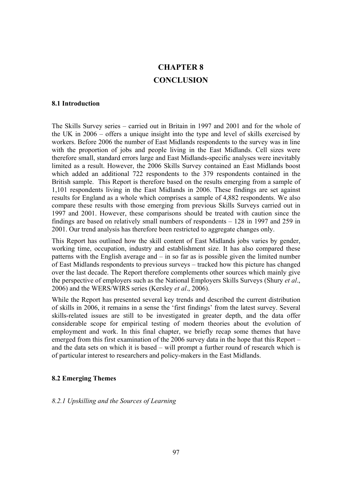# **CHAPTER 8 CONCLUSION**

#### **8.1 Introduction**

The Skills Survey series – carried out in Britain in 1997 and 2001 and for the whole of the UK in 2006 – offers a unique insight into the type and level of skills exercised by workers. Before 2006 the number of East Midlands respondents to the survey was in line with the proportion of jobs and people living in the East Midlands. Cell sizes were therefore small, standard errors large and East Midlands-specific analyses were inevitably limited as a result. However, the 2006 Skills Survey contained an East Midlands boost which added an additional 722 respondents to the 379 respondents contained in the British sample. This Report is therefore based on the results emerging from a sample of 1,101 respondents living in the East Midlands in 2006. These findings are set against results for England as a whole which comprises a sample of 4,882 respondents. We also compare these results with those emerging from previous Skills Surveys carried out in 1997 and 2001. However, these comparisons should be treated with caution since the findings are based on relatively small numbers of respondents – 128 in 1997 and 259 in 2001. Our trend analysis has therefore been restricted to aggregate changes only.

This Report has outlined how the skill content of East Midlands jobs varies by gender, working time, occupation, industry and establishment size. It has also compared these patterns with the English average and – in so far as is possible given the limited number of East Midlands respondents to previous surveys – tracked how this picture has changed over the last decade. The Report therefore complements other sources which mainly give the perspective of employers such as the National Employers Skills Surveys (Shury *et al*., 2006) and the WERS/WIRS series (Kersley *et al*., 2006).

While the Report has presented several key trends and described the current distribution of skills in 2006, it remains in a sense the 'first findings' from the latest survey. Several skills-related issues are still to be investigated in greater depth, and the data offer considerable scope for empirical testing of modern theories about the evolution of employment and work. In this final chapter, we briefly recap some themes that have emerged from this first examination of the 2006 survey data in the hope that this Report – and the data sets on which it is based – will prompt a further round of research which is of particular interest to researchers and policy-makers in the East Midlands.

#### **8.2 Emerging Themes**

#### *8.2.1 Upskilling and the Sources of Learning*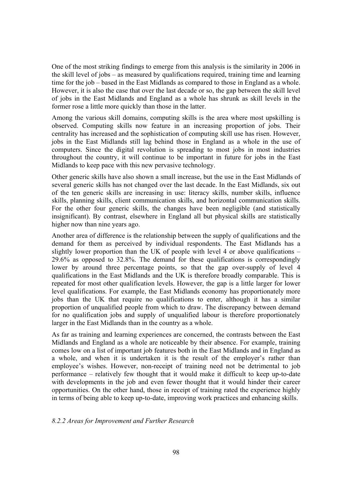One of the most striking findings to emerge from this analysis is the similarity in 2006 in the skill level of jobs – as measured by qualifications required, training time and learning time for the job – based in the East Midlands as compared to those in England as a whole. However, it is also the case that over the last decade or so, the gap between the skill level of jobs in the East Midlands and England as a whole has shrunk as skill levels in the former rose a little more quickly than those in the latter.

Among the various skill domains, computing skills is the area where most upskilling is observed. Computing skills now feature in an increasing proportion of jobs. Their centrality has increased and the sophistication of computing skill use has risen. However, jobs in the East Midlands still lag behind those in England as a whole in the use of computers. Since the digital revolution is spreading to most jobs in most industries throughout the country, it will continue to be important in future for jobs in the East Midlands to keep pace with this new pervasive technology.

Other generic skills have also shown a small increase, but the use in the East Midlands of several generic skills has not changed over the last decade. In the East Midlands, six out of the ten generic skills are increasing in use: literacy skills, number skills, influence skills, planning skills, client communication skills, and horizontal communication skills. For the other four generic skills, the changes have been negligible (and statistically insignificant). By contrast, elsewhere in England all but physical skills are statistically higher now than nine years ago.

Another area of difference is the relationship between the supply of qualifications and the demand for them as perceived by individual respondents. The East Midlands has a slightly lower proportion than the UK of people with level 4 or above qualifications – 29.6% as opposed to 32.8%. The demand for these qualifications is correspondingly lower by around three percentage points, so that the gap over-supply of level 4 qualifications in the East Midlands and the UK is therefore broadly comparable. This is repeated for most other qualification levels. However, the gap is a little larger for lower level qualifications. For example, the East Midlands economy has proportionately more jobs than the UK that require no qualifications to enter, although it has a similar proportion of unqualified people from which to draw. The discrepancy between demand for no qualification jobs and supply of unqualified labour is therefore proportionately larger in the East Midlands than in the country as a whole.

As far as training and learning experiences are concerned, the contrasts between the East Midlands and England as a whole are noticeable by their absence. For example, training comes low on a list of important job features both in the East Midlands and in England as a whole, and when it is undertaken it is the result of the employer's rather than employee's wishes. However, non-receipt of training need not be detrimental to job performance – relatively few thought that it would make it difficult to keep up-to-date with developments in the job and even fewer thought that it would hinder their career opportunities. On the other hand, those in receipt of training rated the experience highly in terms of being able to keep up-to-date, improving work practices and enhancing skills.

#### *8.2.2 Areas for Improvement and Further Research*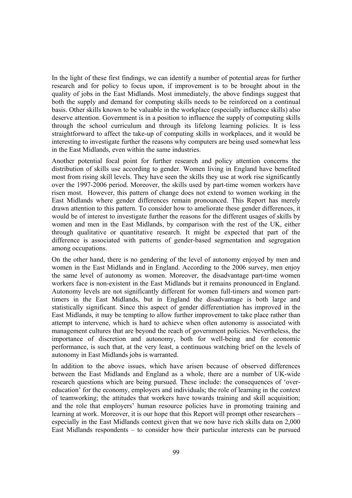In the light of these first findings, we can identify a number of potential areas for further research and for policy to focus upon, if improvement is to be brought about in the quality of jobs in the East Midlands. Most immediately, the above findings suggest that both the supply and demand for computing skills needs to be reinforced on a continual basis. Other skills known to be valuable in the workplace (especially influence skills) also deserve attention. Government is in a position to influence the supply of computing skills through the school curriculum and through its lifelong learning policies. It is less straightforward to affect the take-up of computing skills in workplaces, and it would be interesting to investigate further the reasons why computers are being used somewhat less in the East Midlands, even within the same industries.

Another potential focal point for further research and policy attention concerns the distribution of skills use according to gender. Women living in England have benefited most from rising skill levels. They have seen the skills they use at work rise significantly over the 1997-2006 period. Moreover, the skills used by part-time women workers have risen most. However, this pattern of change does not extend to women working in the East Midlands where gender differences remain pronounced. This Report has merely drawn attention to this pattern. To consider how to ameliorate these gender differences, it would be of interest to investigate further the reasons for the different usages of skills by women and men in the East Midlands, by comparison with the rest of the UK, either through qualitative or quantitative research. It might be expected that part of the difference is associated with patterns of gender-based segmentation and segregation among occupations.

On the other hand, there is no gendering of the level of autonomy enjoyed by men and women in the East Midlands and in England. According to the 2006 survey, men enjoy the same level of autonomy as women. Moreover, the disadvantage part-time women workers face is non-existent in the East Midlands but it remains pronounced in England. Autonomy levels are not significantly different for women full-timers and women parttimers in the East Midlands, but in England the disadvantage is both large and statistically significant. Since this aspect of gender differentiation has improved in the East Midlands, it may be tempting to allow further improvement to take place rather than attempt to intervene, which is hard to achieve when often autonomy is associated with management cultures that are beyond the reach of government policies. Nevertheless, the importance of discretion and autonomy, both for well-being and for economic performance, is such that, at the very least, a continuous watching brief on the levels of autonomy in East Midlands jobs is warranted.

In addition to the above issues, which have arisen because of observed differences between the East Midlands and England as a whole, there are a number of UK-wide research questions which are being pursued. These include: the consequences of 'overeducation' for the economy, employers and individuals; the role of learning in the context of teamworking; the attitudes that workers have towards training and skill acquisition; and the role that employers' human resource policies have in promoting training and learning at work. Moreover, it is our hope that this Report will prompt other researchers – especially in the East Midlands context given that we now have rich skills data on 2,000 East Midlands respondents – to consider how their particular interests can be pursued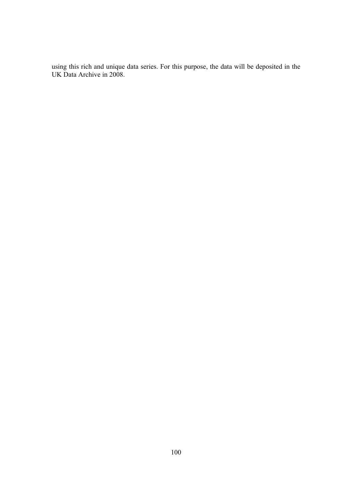using this rich and unique data series. For this purpose, the data will be deposited in the UK Data Archive in 2008.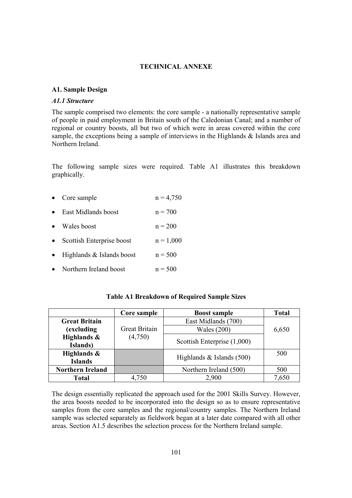#### **TECHNICAL ANNEXE**

#### **A1. Sample Design**

#### *A1.1 Structure*

The sample comprised two elements: the core sample - a nationally representative sample of people in paid employment in Britain south of the Caledonian Canal; and a number of regional or country boosts, all but two of which were in areas covered within the core sample, the exceptions being a sample of interviews in the Highlands & Islands area and Northern Ireland.

The following sample sizes were required. Table A1 illustrates this breakdown graphically.

- Core sample  $n = 4.750$
- East Midlands boost  $n = 700$
- Wales boost  $n = 200$
- Scottish Enterprise boost  $n = 1,000$
- Highlands  $&$  Islands boost  $n = 500$
- Northern Ireland boost  $n = 500$

#### **Table A1 Breakdown of Required Sample Sizes**

|                         | Core sample          | <b>Boost sample</b>         | <b>Total</b> |
|-------------------------|----------------------|-----------------------------|--------------|
| <b>Great Britain</b>    |                      | East Midlands (700)         |              |
| (excluding              | <b>Great Britain</b> | Wales $(200)$               | 6,650        |
| Highlands &             | (4,750)              | Scottish Enterprise (1,000) |              |
| Islands)                |                      |                             |              |
| Highlands &             |                      | Highlands $&$ Islands (500) | 500          |
| <b>Islands</b>          |                      |                             |              |
| <b>Northern Ireland</b> |                      | Northern Ireland (500)      | 500          |
| <b>Total</b>            | 4,750                | 2,900                       | 7,650        |

The design essentially replicated the approach used for the 2001 Skills Survey. However, the area boosts needed to be incorporated into the design so as to ensure representative samples from the core samples and the regional/country samples. The Northern Ireland sample was selected separately as fieldwork began at a later date compared with all other areas. Section A1.5 describes the selection process for the Northern Ireland sample.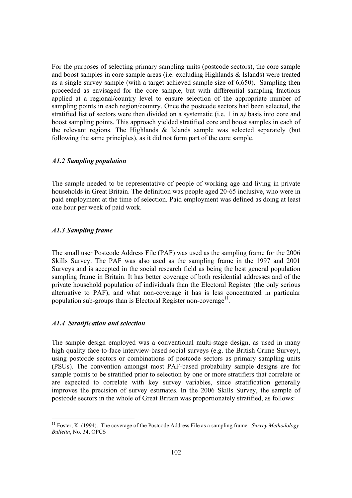For the purposes of selecting primary sampling units (postcode sectors), the core sample and boost samples in core sample areas (i.e. excluding Highlands & Islands) were treated as a single survey sample (with a target achieved sample size of 6,650). Sampling then proceeded as envisaged for the core sample, but with differential sampling fractions applied at a regional/country level to ensure selection of the appropriate number of sampling points in each region/country. Once the postcode sectors had been selected, the stratified list of sectors were then divided on a systematic (i.e. 1 in *n)* basis into core and boost sampling points. This approach yielded stratified core and boost samples in each of the relevant regions. The Highlands & Islands sample was selected separately (but following the same principles), as it did not form part of the core sample.

#### *A1.2 Sampling population*

The sample needed to be representative of people of working age and living in private households in Great Britain. The definition was people aged 20-65 inclusive, who were in paid employment at the time of selection. Paid employment was defined as doing at least one hour per week of paid work.

#### *A1.3 Sampling frame*

The small user Postcode Address File (PAF) was used as the sampling frame for the 2006 Skills Survey. The PAF was also used as the sampling frame in the 1997 and 2001 Surveys and is accepted in the social research field as being the best general population sampling frame in Britain. It has better coverage of both residential addresses and of the private household population of individuals than the Electoral Register (the only serious alternative to PAF), and what non-coverage it has is less concentrated in particular population sub-groups than is Electoral Register non-coverage $11$ .

#### *A1.4 Stratification and selection*

The sample design employed was a conventional multi-stage design, as used in many high quality face-to-face interview-based social surveys (e.g. the British Crime Survey), using postcode sectors or combinations of postcode sectors as primary sampling units (PSUs). The convention amongst most PAF-based probability sample designs are for sample points to be stratified prior to selection by one or more stratifiers that correlate or are expected to correlate with key survey variables, since stratification generally improves the precision of survey estimates. In the 2006 Skills Survey, the sample of postcode sectors in the whole of Great Britain was proportionately stratified, as follows:

<sup>&</sup>lt;sup>11</sup> Foster, K. (1994). The coverage of the Postcode Address File as a sampling frame. *Survey Methodology Bulletin*, No. 34, OPCS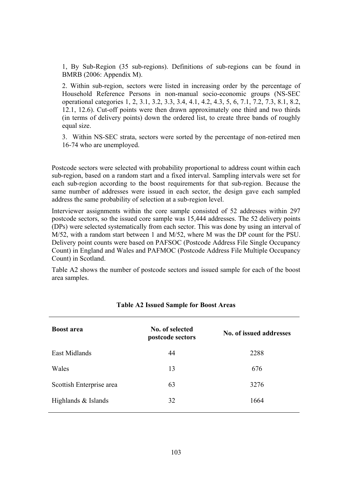1, By Sub-Region (35 sub-regions). Definitions of sub-regions can be found in BMRB (2006: Appendix M).

2. Within sub-region, sectors were listed in increasing order by the percentage of Household Reference Persons in non-manual socio-economic groups (NS-SEC operational categories 1, 2, 3.1, 3.2, 3.3, 3.4, 4.1, 4.2, 4.3, 5, 6, 7.1, 7.2, 7.3, 8.1, 8.2, 12.1, 12.6). Cut-off points were then drawn approximately one third and two thirds (in terms of delivery points) down the ordered list, to create three bands of roughly equal size.

3. Within NS-SEC strata, sectors were sorted by the percentage of non-retired men 16-74 who are unemployed.

Postcode sectors were selected with probability proportional to address count within each sub-region, based on a random start and a fixed interval. Sampling intervals were set for each sub-region according to the boost requirements for that sub-region. Because the same number of addresses were issued in each sector, the design gave each sampled address the same probability of selection at a sub-region level.

Interviewer assignments within the core sample consisted of 52 addresses within 297 postcode sectors, so the issued core sample was 15,444 addresses. The 52 delivery points (DPs) were selected systematically from each sector. This was done by using an interval of M/52, with a random start between 1 and M/52, where M was the DP count for the PSU. Delivery point counts were based on PAFSOC (Postcode Address File Single Occupancy Count) in England and Wales and PAFMOC (Postcode Address File Multiple Occupancy Count) in Scotland.

Table A2 shows the number of postcode sectors and issued sample for each of the boost area samples.

| <b>Boost area</b>        | No. of selected<br>postcode sectors | No. of issued addresses |
|--------------------------|-------------------------------------|-------------------------|
| East Midlands            | 44                                  | 2288                    |
| Wales                    | 13                                  | 676                     |
| Scottish Enterprise area | 63                                  | 3276                    |
| Highlands & Islands      | 32                                  | 1664                    |

#### **Table A2 Issued Sample for Boost Areas**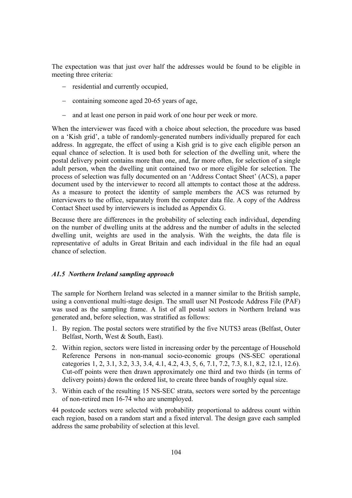The expectation was that just over half the addresses would be found to be eligible in meeting three criteria:

- − residential and currently occupied,
- − containing someone aged 20-65 years of age,
- − and at least one person in paid work of one hour per week or more.

When the interviewer was faced with a choice about selection, the procedure was based on a 'Kish grid', a table of randomly-generated numbers individually prepared for each address. In aggregate, the effect of using a Kish grid is to give each eligible person an equal chance of selection. It is used both for selection of the dwelling unit, where the postal delivery point contains more than one, and, far more often, for selection of a single adult person, when the dwelling unit contained two or more eligible for selection. The process of selection was fully documented on an 'Address Contact Sheet' (ACS), a paper document used by the interviewer to record all attempts to contact those at the address. As a measure to protect the identity of sample members the ACS was returned by interviewers to the office, separately from the computer data file. A copy of the Address Contact Sheet used by interviewers is included as Appendix G.

Because there are differences in the probability of selecting each individual, depending on the number of dwelling units at the address and the number of adults in the selected dwelling unit, weights are used in the analysis. With the weights, the data file is representative of adults in Great Britain and each individual in the file had an equal chance of selection.

#### *A1.5 Northern Ireland sampling approach*

The sample for Northern Ireland was selected in a manner similar to the British sample, using a conventional multi-stage design. The small user NI Postcode Address File (PAF) was used as the sampling frame. A list of all postal sectors in Northern Ireland was generated and, before selection, was stratified as follows:

- 1. By region. The postal sectors were stratified by the five NUTS3 areas (Belfast, Outer Belfast, North, West & South, East).
- 2. Within region, sectors were listed in increasing order by the percentage of Household Reference Persons in non-manual socio-economic groups (NS-SEC operational categories 1, 2, 3.1, 3.2, 3.3, 3.4, 4.1, 4.2, 4.3, 5, 6, 7.1, 7.2, 7.3, 8.1, 8.2, 12.1, 12.6). Cut-off points were then drawn approximately one third and two thirds (in terms of delivery points) down the ordered list, to create three bands of roughly equal size.
- 3. Within each of the resulting 15 NS-SEC strata, sectors were sorted by the percentage of non-retired men 16-74 who are unemployed.

44 postcode sectors were selected with probability proportional to address count within each region, based on a random start and a fixed interval. The design gave each sampled address the same probability of selection at this level.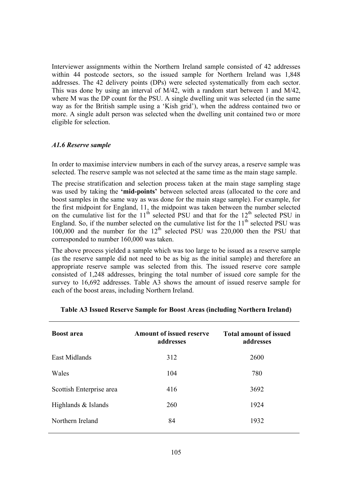Interviewer assignments within the Northern Ireland sample consisted of 42 addresses within 44 postcode sectors, so the issued sample for Northern Ireland was 1,848 addresses. The 42 delivery points (DPs) were selected systematically from each sector. This was done by using an interval of M/42, with a random start between 1 and M/42, where M was the DP count for the PSU. A single dwelling unit was selected (in the same way as for the British sample using a 'Kish grid'), when the address contained two or more. A single adult person was selected when the dwelling unit contained two or more eligible for selection.

#### *A1.6 Reserve sample*

In order to maximise interview numbers in each of the survey areas, a reserve sample was selected. The reserve sample was not selected at the same time as the main stage sample.

The precise stratification and selection process taken at the main stage sampling stage was used by taking the **'mid-points'** between selected areas (allocated to the core and boost samples in the same way as was done for the main stage sample). For example, for the first midpoint for England, 11, the midpoint was taken between the number selected on the cumulative list for the  $11<sup>th</sup>$  selected PSU and that for the  $12<sup>th</sup>$  selected PSU in England. So, if the number selected on the cumulative list for the  $11<sup>th</sup>$  selected PSU was 100,000 and the number for the  $12<sup>th</sup>$  selected PSU was 220,000 then the PSU that corresponded to number 160,000 was taken.

The above process yielded a sample which was too large to be issued as a reserve sample (as the reserve sample did not need to be as big as the initial sample) and therefore an appropriate reserve sample was selected from this. The issued reserve core sample consisted of 1,248 addresses, bringing the total number of issued core sample for the survey to 16,692 addresses. Table A3 shows the amount of issued reserve sample for each of the boost areas, including Northern Ireland.

| <b>Boost area</b>        | <b>Amount of issued reserve</b><br>addresses | <b>Total amount of issued</b><br>addresses |
|--------------------------|----------------------------------------------|--------------------------------------------|
| East Midlands            | 312                                          | 2600                                       |
| Wales                    | 104                                          | 780                                        |
| Scottish Enterprise area | 416                                          | 3692                                       |
| Highlands & Islands      | 260                                          | 1924                                       |
| Northern Ireland         | 84                                           | 1932                                       |

#### **Table A3 Issued Reserve Sample for Boost Areas (including Northern Ireland)**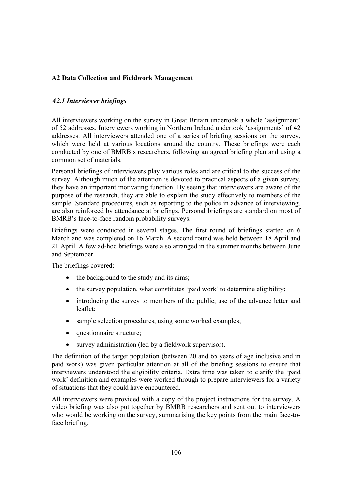# **A2 Data Collection and Fieldwork Management**

## *A2.1 Interviewer briefings*

All interviewers working on the survey in Great Britain undertook a whole 'assignment' of 52 addresses. Interviewers working in Northern Ireland undertook 'assignments' of 42 addresses. All interviewers attended one of a series of briefing sessions on the survey, which were held at various locations around the country. These briefings were each conducted by one of BMRB's researchers, following an agreed briefing plan and using a common set of materials.

Personal briefings of interviewers play various roles and are critical to the success of the survey. Although much of the attention is devoted to practical aspects of a given survey, they have an important motivating function. By seeing that interviewers are aware of the purpose of the research, they are able to explain the study effectively to members of the sample. Standard procedures, such as reporting to the police in advance of interviewing, are also reinforced by attendance at briefings. Personal briefings are standard on most of BMRB's face-to-face random probability surveys.

Briefings were conducted in several stages. The first round of briefings started on 6 March and was completed on 16 March. A second round was held between 18 April and 21 April. A few ad-hoc briefings were also arranged in the summer months between June and September.

The briefings covered:

- the background to the study and its aims:
- the survey population, what constitutes 'paid work' to determine eligibility;
- introducing the survey to members of the public, use of the advance letter and leaflet;
- sample selection procedures, using some worked examples;
- questionnaire structure;
- survey administration (led by a fieldwork supervisor).

The definition of the target population (between 20 and 65 years of age inclusive and in paid work) was given particular attention at all of the briefing sessions to ensure that interviewers understood the eligibility criteria. Extra time was taken to clarify the 'paid work' definition and examples were worked through to prepare interviewers for a variety of situations that they could have encountered.

All interviewers were provided with a copy of the project instructions for the survey. A video briefing was also put together by BMRB researchers and sent out to interviewers who would be working on the survey, summarising the key points from the main face-toface briefing.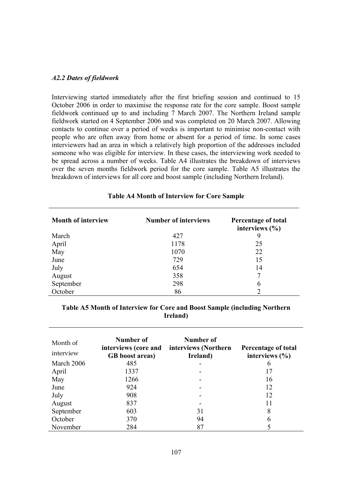#### *A2.2 Dates of fieldwork*

Interviewing started immediately after the first briefing session and continued to 15 October 2006 in order to maximise the response rate for the core sample. Boost sample fieldwork continued up to and including 7 March 2007. The Northern Ireland sample fieldwork started on 4 September 2006 and was completed on 20 March 2007. Allowing contacts to continue over a period of weeks is important to minimise non-contact with people who are often away from home or absent for a period of time. In some cases interviewers had an area in which a relatively high proportion of the addresses included someone who was eligible for interview. In these cases, the interviewing work needed to be spread across a number of weeks. Table A4 illustrates the breakdown of interviews over the seven months fieldwork period for the core sample. Table A5 illustrates the breakdown of interviews for all core and boost sample (including Northern Ireland).

| <b>Month of interview</b> | <b>Number of interviews</b> | Percentage of total<br>interviews $(\% )$ |
|---------------------------|-----------------------------|-------------------------------------------|
| March                     | 427                         | 9                                         |
| April                     | 1178                        | 25                                        |
| May                       | 1070                        | 22                                        |
| June                      | 729                         | 15                                        |
| July                      | 654                         | 14                                        |
| August                    | 358                         |                                           |
| September                 | 298                         | 6                                         |
| October                   | 86                          |                                           |

#### **Table A4 Month of Interview for Core Sample**

# **Table A5 Month of Interview for Core and Boost Sample (including Northern Ireland)**

| Month of<br>interview | Number of<br>interviews (core and<br><b>GB</b> boost areas) | Number of<br>interviews (Northern<br>Ireland) | Percentage of total<br>interviews $(\% )$ |
|-----------------------|-------------------------------------------------------------|-----------------------------------------------|-------------------------------------------|
| March 2006            | 485                                                         |                                               | 6                                         |
| April                 | 1337                                                        |                                               | 17                                        |
| May                   | 1266                                                        |                                               | 16                                        |
| June                  | 924                                                         |                                               | 12                                        |
| July                  | 908                                                         |                                               | 12                                        |
| August                | 837                                                         |                                               | 11                                        |
| September             | 603                                                         | 31                                            | 8                                         |
| October               | 370                                                         | 94                                            | 6                                         |
| November              | 284                                                         | 87                                            |                                           |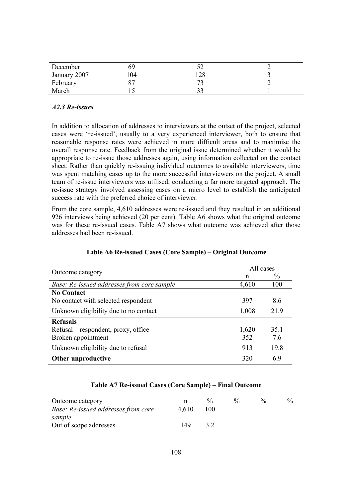| December     | לט  |     |  |
|--------------|-----|-----|--|
| January 2007 | .04 | 128 |  |
| February     |     | ר ר |  |
| March        |     |     |  |

# *A2.3 Re-issues*

In addition to allocation of addresses to interviewers at the outset of the project, selected cases were 're-issued', usually to a very experienced interviewer, both to ensure that reasonable response rates were achieved in more difficult areas and to maximise the overall response rate. Feedback from the original issue determined whether it would be appropriate to re-issue those addresses again, using information collected on the contact sheet. Rather than quickly re-issuing individual outcomes to available interviewers, time was spent matching cases up to the more successful interviewers on the project. A small team of re-issue interviewers was utilised, conducting a far more targeted approach. The re-issue strategy involved assessing cases on a micro level to establish the anticipated success rate with the preferred choice of interviewer.

From the core sample, 4,610 addresses were re-issued and they resulted in an additional 926 interviews being achieved (20 per cent). Table A6 shows what the original outcome was for these re-issued cases. Table A7 shows what outcome was achieved after those addresses had been re-issued.

| Outcome category                           | All cases |               |  |  |
|--------------------------------------------|-----------|---------------|--|--|
|                                            | n         | $\frac{0}{0}$ |  |  |
| Base: Re-issued addresses from core sample | 4,610     | 100           |  |  |
| <b>No Contact</b>                          |           |               |  |  |
| No contact with selected respondent        | 397       | 8.6           |  |  |
| Unknown eligibility due to no contact      | 1,008     | 21.9          |  |  |
| <b>Refusals</b>                            |           |               |  |  |
| Refusal – respondent, proxy, office        | 1,620     | 35.1          |  |  |
| Broken appointment                         | 352       | 7.6           |  |  |
| Unknown eligibility due to refusal         | 913       | 19.8          |  |  |
| Other unproductive                         | 320       | 69            |  |  |

## **Table A6 Re-issued Cases (Core Sample) – Original Outcome**

### **Table A7 Re-issued Cases (Core Sample) – Final Outcome**

| Outcome category                    |       |     | $\mathbf{0}_{\alpha}$ | $\sqrt{\alpha}$ |  |
|-------------------------------------|-------|-----|-----------------------|-----------------|--|
| Base: Re-issued addresses from core | 4.610 | 100 |                       |                 |  |
| sample                              |       |     |                       |                 |  |
| Out of scope addresses              | 149   |     |                       |                 |  |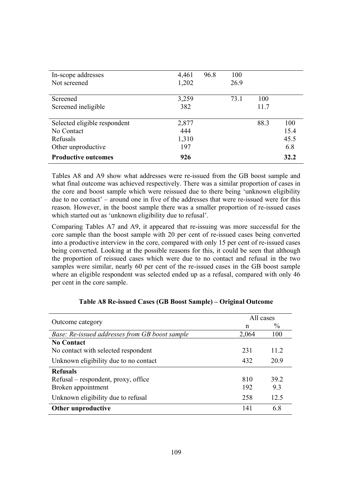| In-scope addresses           | 4,461 | 96.8 | 100  |      |      |
|------------------------------|-------|------|------|------|------|
| Not screened                 | 1,202 |      | 26.9 |      |      |
|                              |       |      |      |      |      |
| Screened                     | 3,259 |      | 73.1 | 100  |      |
| Screened ineligible          | 382   |      |      | 11.7 |      |
|                              |       |      |      |      |      |
| Selected eligible respondent | 2,877 |      |      | 88.3 | 100  |
| No Contact                   | 444   |      |      |      | 15.4 |
| Refusals                     | 1,310 |      |      |      | 45.5 |
| Other unproductive           | 197   |      |      |      | 6.8  |
| <b>Productive outcomes</b>   | 926   |      |      |      | 32.2 |

Tables A8 and A9 show what addresses were re-issued from the GB boost sample and what final outcome was achieved respectively. There was a similar proportion of cases in the core and boost sample which were reissued due to there being 'unknown eligibility due to no contact' – around one in five of the addresses that were re-issued were for this reason. However, in the boost sample there was a smaller proportion of re-issued cases which started out as 'unknown eligibility due to refusal'.

Comparing Tables A7 and A9, it appeared that re-issuing was more successful for the core sample than the boost sample with 20 per cent of re-issued cases being converted into a productive interview in the core, compared with only 15 per cent of re-issued cases being converted. Looking at the possible reasons for this, it could be seen that although the proportion of reissued cases which were due to no contact and refusal in the two samples were similar, nearly 60 per cent of the re-issued cases in the GB boost sample where an eligible respondent was selected ended up as a refusal, compared with only 46 per cent in the core sample.

| Outcome category                               | All cases |               |  |
|------------------------------------------------|-----------|---------------|--|
|                                                | n         | $\frac{0}{0}$ |  |
| Base: Re-issued addresses from GB boost sample | 2,064     | 100           |  |
| <b>No Contact</b>                              |           |               |  |
| No contact with selected respondent            | 231       | 11.2          |  |
| Unknown eligibility due to no contact          | 432       | 20.9          |  |
| <b>Refusals</b>                                |           |               |  |
| Refusal – respondent, proxy, office            | 810       | 39.2          |  |
| Broken appointment                             | 192       | 9.3           |  |
| Unknown eligibility due to refusal             | 258       | 12.5          |  |
| Other unproductive                             | 141       | 68            |  |

### **Table A8 Re-issued Cases (GB Boost Sample) – Original Outcome**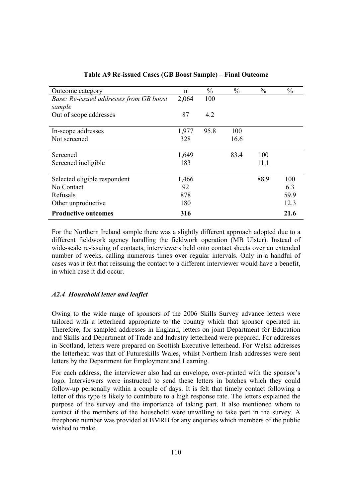| Outcome category                        | n     | $\frac{0}{0}$ | $\frac{0}{0}$ | $\frac{0}{0}$ | $\frac{0}{0}$ |
|-----------------------------------------|-------|---------------|---------------|---------------|---------------|
| Base: Re-issued addresses from GB boost | 2,064 | 100           |               |               |               |
| sample                                  |       |               |               |               |               |
| Out of scope addresses                  | 87    | 4.2           |               |               |               |
|                                         | 1,977 | 95.8          | 100           |               |               |
| In-scope addresses                      |       |               |               |               |               |
| Not screened                            | 328   |               | 16.6          |               |               |
|                                         |       |               |               |               |               |
| Screened                                | 1,649 |               | 83.4          | 100           |               |
| Screened ineligible                     | 183   |               |               | 11.1          |               |
|                                         |       |               |               |               |               |
| Selected eligible respondent            | 1,466 |               |               | 88.9          | 100           |
| No Contact                              | 92    |               |               |               | 6.3           |
| Refusals                                | 878   |               |               |               | 59.9          |
| Other unproductive                      | 180   |               |               |               | 12.3          |
| <b>Productive outcomes</b>              | 316   |               |               |               | 21.6          |

## **Table A9 Re-issued Cases (GB Boost Sample) – Final Outcome**

For the Northern Ireland sample there was a slightly different approach adopted due to a different fieldwork agency handling the fieldwork operation (MB Ulster). Instead of wide-scale re-issuing of contacts, interviewers held onto contact sheets over an extended number of weeks, calling numerous times over regular intervals. Only in a handful of cases was it felt that reissuing the contact to a different interviewer would have a benefit, in which case it did occur.

# *A2.4 Household letter and leaflet*

Owing to the wide range of sponsors of the 2006 Skills Survey advance letters were tailored with a letterhead appropriate to the country which that sponsor operated in. Therefore, for sampled addresses in England, letters on joint Department for Education and Skills and Department of Trade and Industry letterhead were prepared. For addresses in Scotland, letters were prepared on Scottish Executive letterhead. For Welsh addresses the letterhead was that of Futureskills Wales, whilst Northern Irish addresses were sent letters by the Department for Employment and Learning.

For each address, the interviewer also had an envelope, over-printed with the sponsor's logo. Interviewers were instructed to send these letters in batches which they could follow-up personally within a couple of days. It is felt that timely contact following a letter of this type is likely to contribute to a high response rate. The letters explained the purpose of the survey and the importance of taking part. It also mentioned whom to contact if the members of the household were unwilling to take part in the survey. A freephone number was provided at BMRB for any enquiries which members of the public wished to make.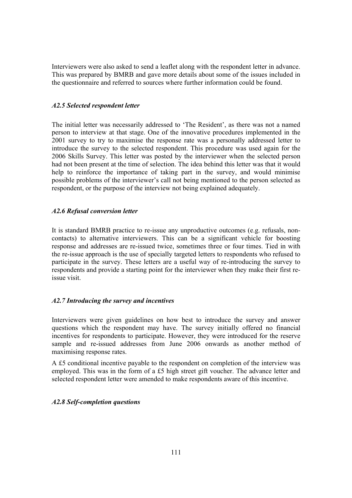Interviewers were also asked to send a leaflet along with the respondent letter in advance. This was prepared by BMRB and gave more details about some of the issues included in the questionnaire and referred to sources where further information could be found.

# *A2.5 Selected respondent letter*

The initial letter was necessarily addressed to 'The Resident', as there was not a named person to interview at that stage. One of the innovative procedures implemented in the 2001 survey to try to maximise the response rate was a personally addressed letter to introduce the survey to the selected respondent. This procedure was used again for the 2006 Skills Survey. This letter was posted by the interviewer when the selected person had not been present at the time of selection. The idea behind this letter was that it would help to reinforce the importance of taking part in the survey, and would minimise possible problems of the interviewer's call not being mentioned to the person selected as respondent, or the purpose of the interview not being explained adequately.

# *A2.6 Refusal conversion letter*

It is standard BMRB practice to re-issue any unproductive outcomes (e.g. refusals, noncontacts) to alternative interviewers. This can be a significant vehicle for boosting response and addresses are re-issued twice, sometimes three or four times. Tied in with the re-issue approach is the use of specially targeted letters to respondents who refused to participate in the survey. These letters are a useful way of re-introducing the survey to respondents and provide a starting point for the interviewer when they make their first reissue visit.

# *A2.7 Introducing the survey and incentives*

Interviewers were given guidelines on how best to introduce the survey and answer questions which the respondent may have. The survey initially offered no financial incentives for respondents to participate. However, they were introduced for the reserve sample and re-issued addresses from June 2006 onwards as another method of maximising response rates.

A £5 conditional incentive payable to the respondent on completion of the interview was employed. This was in the form of a £5 high street gift voucher. The advance letter and selected respondent letter were amended to make respondents aware of this incentive.

# *A2.8 Self-completion questions*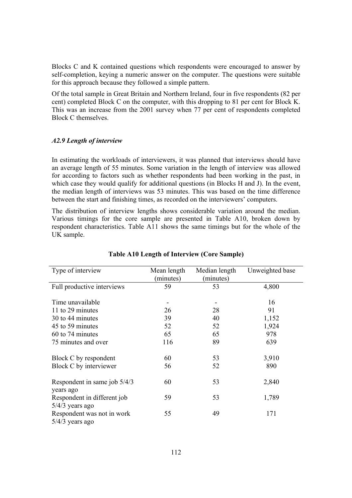Blocks C and K contained questions which respondents were encouraged to answer by self-completion, keying a numeric answer on the computer. The questions were suitable for this approach because they followed a simple pattern.

Of the total sample in Great Britain and Northern Ireland, four in five respondents (82 per cent) completed Block C on the computer, with this dropping to 81 per cent for Block K. This was an increase from the 2001 survey when 77 per cent of respondents completed Block C themselves.

## *A2.9 Length of interview*

In estimating the workloads of interviewers, it was planned that interviews should have an average length of 55 minutes. Some variation in the length of interview was allowed for according to factors such as whether respondents had been working in the past, in which case they would qualify for additional questions (in Blocks H and J). In the event, the median length of interviews was 53 minutes. This was based on the time difference between the start and finishing times, as recorded on the interviewers' computers.

The distribution of interview lengths shows considerable variation around the median. Various timings for the core sample are presented in Table A10, broken down by respondent characteristics. Table A11 shows the same timings but for the whole of the UK sample.

| Type of interview                                | Mean length<br>(minutes) | Median length<br>(minutes) | Unweighted base |
|--------------------------------------------------|--------------------------|----------------------------|-----------------|
| Full productive interviews                       | 59                       | 53                         | 4,800           |
| Time unavailable                                 |                          |                            | 16              |
| 11 to 29 minutes                                 | 26                       | 28                         | 91              |
| 30 to 44 minutes                                 | 39                       | 40                         | 1,152           |
| 45 to 59 minutes                                 | 52                       | 52                         | 1,924           |
| 60 to 74 minutes                                 | 65                       | 65                         | 978             |
| 75 minutes and over                              | 116                      | 89                         | 639             |
| Block C by respondent                            | 60                       | 53                         | 3,910           |
| Block C by interviewer                           | 56                       | 52                         | 890             |
| Respondent in same job 5/4/3<br>years ago        | 60                       | 53                         | 2,840           |
| Respondent in different job<br>$5/4/3$ years ago | 59                       | 53                         | 1,789           |
| Respondent was not in work<br>$5/4/3$ years ago  | 55                       | 49                         | 171             |

#### **Table A10 Length of Interview (Core Sample)**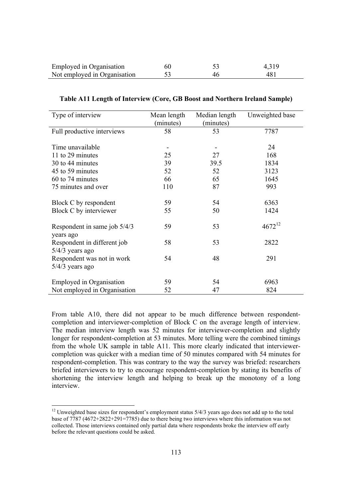| Employed in Organisation     | 60 |    | 4,319 |
|------------------------------|----|----|-------|
| Not employed in Organisation |    | 46 | -481  |

| Type of interview               | Mean length | Median length | Unweighted base |
|---------------------------------|-------------|---------------|-----------------|
|                                 | (minutes)   | (minutes)     |                 |
| Full productive interviews      | 58          | 53            | 7787            |
|                                 |             |               |                 |
| Time unavailable                |             |               | 24              |
| 11 to 29 minutes                | 25          | 27            | 168             |
| 30 to 44 minutes                | 39          | 39.5          | 1834            |
| 45 to 59 minutes                | 52          | 52            | 3123            |
| 60 to 74 minutes                | 66          | 65            | 1645            |
| 75 minutes and over             | 110         | 87            | 993             |
|                                 |             |               |                 |
| Block C by respondent           | 59          | 54            | 6363            |
| Block C by interviewer          | 55          | 50            | 1424            |
|                                 |             |               |                 |
| Respondent in same job 5/4/3    | 59          | 53            | $4672^{12}$     |
| years ago                       |             |               |                 |
| Respondent in different job     | 58          | 53            | 2822            |
| $5/4/3$ years ago               |             |               |                 |
| Respondent was not in work      | 54          | 48            | 291             |
| $5/4/3$ years ago               |             |               |                 |
| <b>Employed in Organisation</b> | 59          | 54            | 6963            |
| Not employed in Organisation    | 52          | 47            | 824             |

#### **Table A11 Length of Interview (Core, GB Boost and Northern Ireland Sample)**

From table A10, there did not appear to be much difference between respondentcompletion and interviewer-completion of Block C on the average length of interview. The median interview length was 52 minutes for interviewer-completion and slightly longer for respondent-completion at 53 minutes. More telling were the combined timings from the whole UK sample in table A11. This more clearly indicated that interviewercompletion was quicker with a median time of 50 minutes compared with 54 minutes for respondent-completion. This was contrary to the way the survey was briefed: researchers briefed interviewers to try to encourage respondent-completion by stating its benefits of shortening the interview length and helping to break up the monotony of a long interview.

 $12$  Unweighted base sizes for respondent's employment status  $5/4/3$  years ago does not add up to the total base of 7787 (4672+2822+291=7785) due to there being two interviews where this information was not collected. Those interviews contained only partial data where respondents broke the interview off early before the relevant questions could be asked.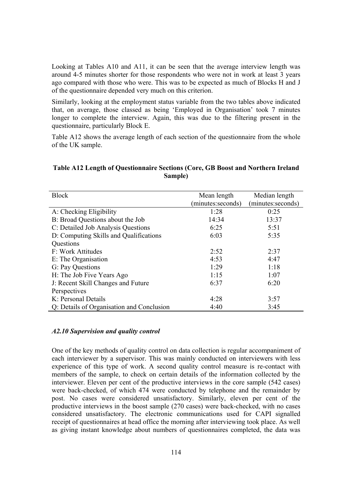Looking at Tables A10 and A11, it can be seen that the average interview length was around 4-5 minutes shorter for those respondents who were not in work at least 3 years ago compared with those who were. This was to be expected as much of Blocks H and J of the questionnaire depended very much on this criterion.

Similarly, looking at the employment status variable from the two tables above indicated that, on average, those classed as being 'Employed in Organisation' took 7 minutes longer to complete the interview. Again, this was due to the filtering present in the questionnaire, particularly Block E.

Table A12 shows the average length of each section of the questionnaire from the whole of the UK sample.

# **Table A12 Length of Questionnaire Sections (Core, GB Boost and Northern Ireland Sample)**

| <b>Block</b>                              | Mean length        | Median length      |
|-------------------------------------------|--------------------|--------------------|
|                                           | (minutes: seconds) | (minutes: seconds) |
| A: Checking Eligibility                   | 1:28               | 0:25               |
| B: Broad Questions about the Job          | 14:34              | 13:37              |
| C: Detailed Job Analysis Questions        | 6:25               | 5:51               |
| D: Computing Skills and Qualifications    | 6:03               | 5:35               |
| Questions                                 |                    |                    |
| F: Work Attitudes                         | 2:52               | 2:37               |
| E: The Organisation                       | 4:53               | 4:47               |
| G: Pay Questions                          | 1:29               | 1:18               |
| H: The Job Five Years Ago                 | 1:15               | 1:07               |
| J: Recent Skill Changes and Future        | 6:37               | 6:20               |
| Perspectives                              |                    |                    |
| K: Personal Details                       | 4:28               | 3:57               |
| Q: Details of Organisation and Conclusion | 4:40               | 3:45               |

#### *A2.10 Supervision and quality control*

One of the key methods of quality control on data collection is regular accompaniment of each interviewer by a supervisor. This was mainly conducted on interviewers with less experience of this type of work. A second quality control measure is re-contact with members of the sample, to check on certain details of the information collected by the interviewer. Eleven per cent of the productive interviews in the core sample (542 cases) were back-checked, of which 474 were conducted by telephone and the remainder by post. No cases were considered unsatisfactory. Similarly, eleven per cent of the productive interviews in the boost sample (270 cases) were back-checked, with no cases considered unsatisfactory. The electronic communications used for CAPI signalled receipt of questionnaires at head office the morning after interviewing took place. As well as giving instant knowledge about numbers of questionnaires completed, the data was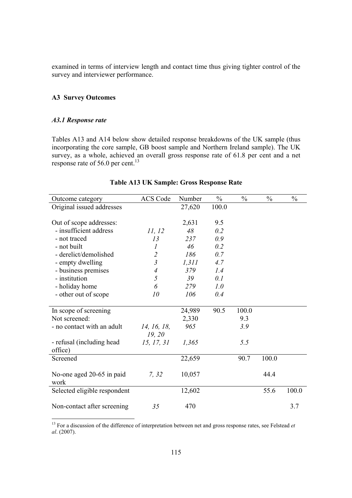examined in terms of interview length and contact time thus giving tighter control of the survey and interviewer performance.

# **A3 Survey Outcomes**

# *A3.1 Response rate*

Tables A13 and A14 below show detailed response breakdowns of the UK sample (thus incorporating the core sample, GB boost sample and Northern Ireland sample). The UK survey, as a whole, achieved an overall gross response rate of 61.8 per cent and a net response rate of 56.0 per cent.<sup>13</sup>

| Outcome category                       | <b>ACS Code</b>      | Number | $\frac{0}{0}$ | $\frac{0}{0}$ | $\frac{0}{0}$ | $\frac{0}{0}$ |
|----------------------------------------|----------------------|--------|---------------|---------------|---------------|---------------|
| Original issued addresses              |                      | 27,620 | 100.0         |               |               |               |
|                                        |                      |        |               |               |               |               |
| Out of scope addresses:                |                      | 2,631  | 9.5           |               |               |               |
| - insufficient address                 | 11, 12               | 48     | 0.2           |               |               |               |
| - not traced                           | 13                   | 237    | 0.9           |               |               |               |
| - not built                            | 1                    | 46     | 0.2           |               |               |               |
| - derelict/demolished                  | $\overline{c}$       | 186    | 0.7           |               |               |               |
| - empty dwelling                       | $\mathfrak{Z}$       | 1,311  | 4.7           |               |               |               |
| - business premises                    | $\overline{A}$       | 379    | 1.4           |               |               |               |
| - institution                          | 5                    | 39     | 0.1           |               |               |               |
| - holiday home                         | 6                    | 279    | 1.0           |               |               |               |
| - other out of scope                   | 10                   | 106    | 0.4           |               |               |               |
|                                        |                      |        | 90.5          | 100.0         |               |               |
| In scope of screening<br>Not screened: |                      | 24,989 |               | 9.3           |               |               |
|                                        |                      | 2,330  |               |               |               |               |
| - no contact with an adult             | 14, 16, 18,          | 965    |               | 3.9           |               |               |
| - refusal (including head              | 19, 20<br>15, 17, 31 | 1,365  |               | 5.5           |               |               |
| office)                                |                      |        |               |               |               |               |
| Screened                               |                      | 22,659 |               | 90.7          | 100.0         |               |
|                                        |                      |        |               |               |               |               |
| No-one aged 20-65 in paid<br>work      | 7, 32                | 10,057 |               |               | 44.4          |               |
| Selected eligible respondent           |                      | 12,602 |               |               | 55.6          | 100.0         |
| Non-contact after screening            | 35                   | 470    |               |               |               | 3.7           |

#### **Table A13 UK Sample: Gross Response Rate**

<sup>13</sup> For a discussion of the difference of interpretation between net and gross response rates, see Felstead *et al*. (2007).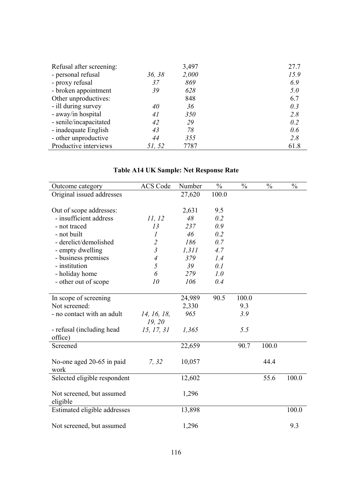| Refusal after screening: |        | 3,497 | 27.7 |
|--------------------------|--------|-------|------|
| - personal refusal       | 36, 38 | 2,000 | 15.9 |
| - proxy refusal          | 37     | 869   | 6.9  |
| - broken appointment     | 39     | 628   | 5.0  |
| Other unproductives:     |        | 848   | 6.7  |
| - ill during survey      | 40     | 36    | 0.3  |
| - away/in hospital       | 41     | 350   | 2.8  |
| - senile/incapacitated   | 42     | 29    | 0.2  |
| - inadequate English     | 43     | 78    | 0.6  |
| - other unproductive     | 44     | 355   | 2.8  |
| Productive interviews    | 51, 52 | 7787  | 61.8 |
|                          |        |       |      |

| <b>Table A14 UK Sample: Net Response Rate</b> |  |  |  |
|-----------------------------------------------|--|--|--|
|-----------------------------------------------|--|--|--|

| Outcome category                  | <b>ACS Code</b>  | Number | $\frac{0}{0}$ | $\frac{0}{0}$ | $\frac{0}{0}$ | $\frac{0}{0}$ |
|-----------------------------------|------------------|--------|---------------|---------------|---------------|---------------|
| Original issued addresses         |                  | 27,620 | 100.0         |               |               |               |
|                                   |                  |        |               |               |               |               |
| Out of scope addresses:           |                  | 2,631  | 9.5           |               |               |               |
| - insufficient address            | 11, 12           | 48     | 0.2           |               |               |               |
| - not traced                      | 13               | 237    | 0.9           |               |               |               |
| - not built                       | $\boldsymbol{l}$ | 46     | 0.2           |               |               |               |
| - derelict/demolished             | $\overline{2}$   | 186    | 0.7           |               |               |               |
| - empty dwelling                  | $\mathfrak{Z}$   | 1,311  | 4.7           |               |               |               |
| - business premises               | $\overline{4}$   | 379    | 1.4           |               |               |               |
| - institution                     | 5                | 39     | 0.1           |               |               |               |
| - holiday home                    | 6                | 279    | 1.0           |               |               |               |
| - other out of scope              | 10               | 106    | 0.4           |               |               |               |
|                                   |                  |        |               |               |               |               |
| In scope of screening             |                  | 24,989 | 90.5          | 100.0         |               |               |
| Not screened:                     |                  | 2,330  |               | 9.3           |               |               |
| - no contact with an adult        | 14, 16, 18,      | 965    |               | 3.9           |               |               |
|                                   | 19, 20           |        |               |               |               |               |
| - refusal (including head)        | 15, 17, 31       | 1,365  |               | 5.5           |               |               |
| office)                           |                  |        |               |               |               |               |
| Screened                          |                  | 22,659 |               | 90.7          | 100.0         |               |
|                                   |                  |        |               |               |               |               |
|                                   | 7, 32            | 10,057 |               |               | 44.4          |               |
| No-one aged 20-65 in paid<br>work |                  |        |               |               |               |               |
|                                   |                  |        |               |               |               |               |
| Selected eligible respondent      |                  | 12,602 |               |               | 55.6          | 100.0         |
|                                   |                  |        |               |               |               |               |
| Not screened, but assumed         |                  | 1,296  |               |               |               |               |
| eligible                          |                  |        |               |               |               |               |
| Estimated eligible addresses      |                  | 13,898 |               |               |               | 100.0         |
|                                   |                  |        |               |               |               |               |
| Not screened, but assumed         |                  | 1,296  |               |               |               | 9.3           |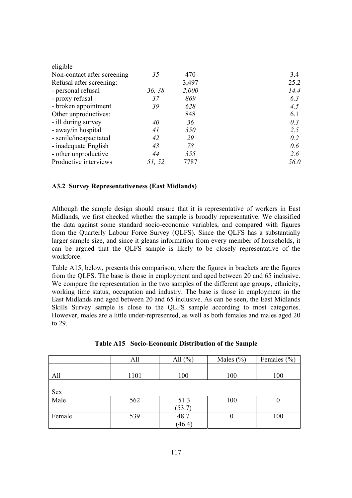| eligible                    |        |       |      |
|-----------------------------|--------|-------|------|
| Non-contact after screening | 35     | 470   | 3.4  |
| Refusal after screening:    |        | 3,497 | 25.2 |
| - personal refusal          | 36, 38 | 2,000 | 14.4 |
| - proxy refusal             | 37     | 869   | 6.3  |
| - broken appointment        | 39     | 628   | 4.5  |
| Other unproductives:        |        | 848   | 6.1  |
| - ill during survey         | 40     | 36    | 0.3  |
| - away/in hospital          | 41     | 350   | 2.5  |
| - senile/incapacitated      | 42     | 29    | 0.2  |
| - inadequate English        | 43     | 78    | 0.6  |
| - other unproductive        | 44     | 355   | 2.6  |
| Productive interviews       | 51, 52 | 7787  | 56.0 |

# **A3.2 Survey Representativeness (East Midlands)**

Although the sample design should ensure that it is representative of workers in East Midlands, we first checked whether the sample is broadly representative. We classified the data against some standard socio-economic variables, and compared with figures from the Quarterly Labour Force Survey (QLFS). Since the QLFS has a substantially larger sample size, and since it gleans information from every member of households, it can be argued that the QLFS sample is likely to be closely representative of the workforce<sup>1</sup>

Table A15, below, presents this comparison, where the figures in brackets are the figures from the QLFS. The base is those in employment and aged between 20 and 65 inclusive. We compare the representation in the two samples of the different age groups, ethnicity, working time status, occupation and industry. The base is those in employment in the East Midlands and aged between 20 and 65 inclusive. As can be seen, the East Midlands Skills Survey sample is close to the QLFS sample according to most categories. However, males are a little under-represented, as well as both females and males aged 20 to 29.

|        | All  | All $(\% )$ | Males $(\% )$ | Females $(\% )$ |
|--------|------|-------------|---------------|-----------------|
|        |      |             |               |                 |
| All    | 1101 | 100         | 100           | 100             |
|        |      |             |               |                 |
| Sex    |      |             |               |                 |
| Male   | 562  | 51.3        | 100           | U               |
|        |      | (53.7)      |               |                 |
| Female | 539  | 48.7        | U             | 100             |
|        |      | (46.4)      |               |                 |

|  | Table A15 Socio-Economic Distribution of the Sample |  |  |  |
|--|-----------------------------------------------------|--|--|--|
|--|-----------------------------------------------------|--|--|--|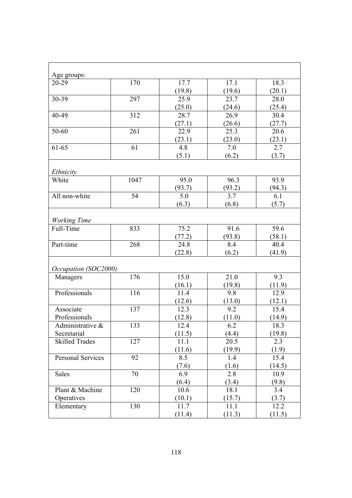| Age groups:              |      |        |         |        |
|--------------------------|------|--------|---------|--------|
| 20-29                    | 170  | 17.7   | 17.1    | 18.3   |
|                          |      | (19.8) | (19.6)  | (20.1) |
| 30-39                    | 297  | 25.9   | 23.7    | 28.0   |
|                          |      | (25.0) | (24.6)  | (25.4) |
| 40-49                    | 312  | 28.7   | 26.9    | 30.4   |
|                          |      | (27.1) | (26.6)  | (27.7) |
| 50-60                    | 261  | 22.9   | 25.3    | 20.6   |
|                          |      | (23.1) | (23.0)  | (23.1) |
| 61-65                    | 61   | 4.8    | $7.0\,$ | 2.7    |
|                          |      | (5.1)  | (6.2)   | (3.7)  |
| Ethnicity                |      |        |         |        |
| White                    | 1047 | 95.0   | 96.3    | 93.9   |
|                          |      | (93.7) | (93.2)  | (94.3) |
| All non-white            | 54   | 5.0    | 3.7     | 6.1    |
|                          |      | (6.3)  | (6.8)   | (5.7)  |
|                          |      |        |         |        |
| <b>Working Time</b>      |      |        |         |        |
| Full-Time                | 833  | 75.2   | 91.6    | 59.6   |
|                          |      | (77.2) | (93.8)  | (58.1) |
| Part-time                | 268  | 24.8   | 8.4     | 40.4   |
|                          |      | (22.8) | (6.2)   | (41.9) |
| Occupation (SOC2000)     |      |        |         |        |
| Managers                 | 176  | 15.0   | 21.0    | 9.3    |
|                          |      | (16.1) | (19.8)  | (11.9) |
| Professionals            | 116  | 11.4   | 9.8     | 12.9   |
|                          |      | (12.6) | (13.0)  | (12.1) |
| Associate                | 137  | 12.3   | 9.2     | 15.4   |
| Professionals            |      | (12.8) | (11.0)  | (14.9) |
| Administrative &         | 133  | 12.4   | 6.2     | 18.3   |
| Secretarial              |      | (11.5) | (4.4)   | (19.8) |
| <b>Skilled Trades</b>    | 127  | 11.1   | 20.5    | 2.3    |
|                          |      | (11.6) | (19.9)  | (1.9)  |
| <b>Personal Services</b> | 92   | 8.5    | 1.4     | 15.4   |
|                          |      | (7.6)  | (1.6)   | (14.5) |
| Sales                    | 70   | 6.9    | 2.8     | 10.9   |
|                          |      | (6.4)  | (3.4)   | (9.8)  |
| Plant & Machine          | 120  | 10.6   | 18.1    | 3.4    |
| Operatives               |      | (10.1) | (15.7)  | (3.7)  |
| Elementary               | 130  | 11.7   | 11.1    | 12.2   |
|                          |      | (11.4) | (11.3)  | (11.5) |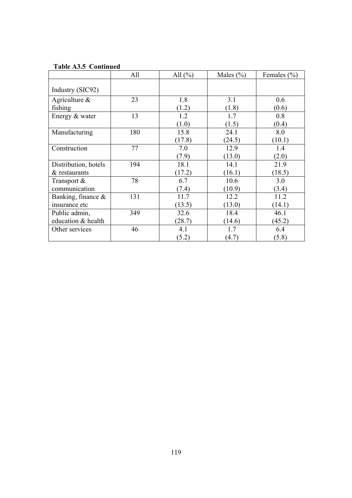|                       | All | All $(\% )$ | Males $(\% )$ | Females $(\% )$ |
|-----------------------|-----|-------------|---------------|-----------------|
| Industry (SIC92)      |     |             |               |                 |
| Agriculture $\&$      | 23  | 1.8         | 3.1           | 0.6             |
| fishing               |     | (1.2)       | (1.8)         | (0.6)           |
| Energy & water        | 13  | 1.2         | 1.7           | 0.8             |
|                       |     | (1.0)       | (1.5)         | (0.4)           |
| Manufacturing         | 180 | 15.8        | 24.1          | 8.0             |
|                       |     | (17.8)      | (24.5)        | (10.1)          |
| Construction          | 77  | 7.0         | 12.9          | 1.4             |
|                       |     | (7.9)       | (13.0)        | (2.0)           |
| Distribution, hotels  | 194 | 18.1        | 14.1          | 21.9            |
| $&$ restaurants       |     | (17.2)      | (16.1)        | (18.5)          |
| Transport &           | 78  | 6.7         | 10.6          | 3.0             |
| communication         |     | (7.4)       | (10.9)        | (3.4)           |
| Banking, finance $\&$ | 131 | 11.7        | 12.2          | 11.2            |
| insurance etc         |     | (13.5)      | (13.0)        | (14.1)          |
| Public admin,         | 349 | 32.6        | 18.4          | 46.1            |
| education & health    |     | (28.7)      | (14.6)        | (45.2)          |
| Other services        | 46  | 4.1         | 1.7           | 6.4             |
|                       |     | (5.2)       | (4.7)         | (5.8)           |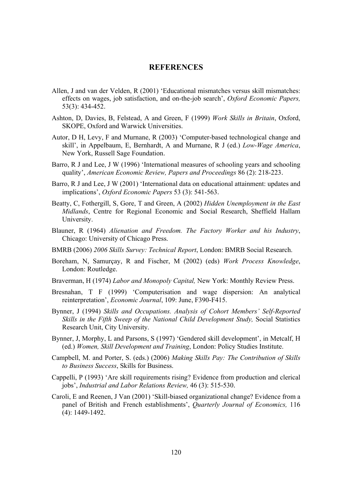# **REFERENCES**

- Allen, J and van der Velden, R (2001) 'Educational mismatches versus skill mismatches: effects on wages, job satisfaction, and on-the-job search', *Oxford Economic Papers,* 53(3): 434-452.
- Ashton, D, Davies, B, Felstead, A and Green, F (1999) *Work Skills in Britain*, Oxford, SKOPE, Oxford and Warwick Universities.
- Autor, D H, Levy, F and Murnane, R (2003) 'Computer-based technological change and skill', in Appelbaum, E, Bernhardt, A and Murnane, R J (ed.) *Low-Wage America*, New York, Russell Sage Foundation.
- Barro, R J and Lee, J W (1996) 'International measures of schooling years and schooling quality', *American Economic Review, Papers and Proceedings* 86 (2): 218-223.
- Barro, R J and Lee, J W (2001) 'International data on educational attainment: updates and implications', *Oxford Economic Papers* 53 (3): 541-563.
- Beatty, C, Fothergill, S, Gore, T and Green, A (2002) *Hidden Unemployment in the East Midlands*, Centre for Regional Economic and Social Research, Sheffield Hallam University.
- Blauner, R (1964) *Alienation and Freedom. The Factory Worker and his Industry*, Chicago: University of Chicago Press.
- BMRB (2006) *2006 Skills Survey: Technical Report*, London: BMRB Social Research.
- Boreham, N, Samurçay, R and Fischer, M (2002) (eds) *Work Process Knowledge*, London: Routledge.
- Braverman, H (1974) *Labor and Monopoly Capital,* New York: Monthly Review Press.
- Bresnahan, T F (1999) 'Computerisation and wage dispersion: An analytical reinterpretation', *Economic Journal*, 109: June, F390-F415.
- Bynner, J (1994) *Skills and Occupations. Analysis of Cohort Members' Self-Reported Skills in the Fifth Sweep of the National Child Development Study,* Social Statistics Research Unit, City University.
- Bynner, J, Morphy, L and Parsons, S (1997) 'Gendered skill development', in Metcalf, H (ed.) *Women, Skill Development and Training*, London: Policy Studies Institute.
- Campbell, M. and Porter, S. (eds.) (2006) *Making Skills Pay: The Contribution of Skills to Business Success*, Skills for Business.
- Cappelli, P (1993) 'Are skill requirements rising? Evidence from production and clerical jobs', *Industrial and Labor Relations Review,* 46 (3): 515-530.
- Caroli, E and Reenen, J Van (2001) 'Skill-biased organizational change? Evidence from a panel of British and French establishments', *Quarterly Journal of Economics,* 116 (4): 1449-1492.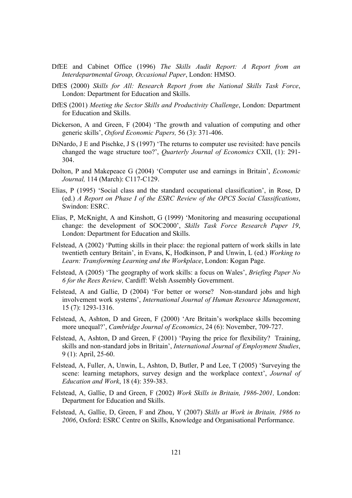- DfEE and Cabinet Office (1996) *The Skills Audit Report: A Report from an Interdepartmental Group, Occasional Paper*, London: HMSO.
- DfES (2000) *Skills for All: Research Report from the National Skills Task Force*, London: Department for Education and Skills.
- DfES (2001) *Meeting the Sector Skills and Productivity Challenge*, London: Department for Education and Skills.
- Dickerson, A and Green, F (2004) 'The growth and valuation of computing and other generic skills', *Oxford Economic Papers,* 56 (3): 371-406.
- DiNardo, J E and Pischke, J S (1997) 'The returns to computer use revisited: have pencils changed the wage structure too?', *Quarterly Journal of Economics* CXII, (1): 291- 304.
- Dolton, P and Makepeace G (2004) 'Computer use and earnings in Britain', *Economic Journal,* 114 (March): C117-C129.
- Elias, P (1995) 'Social class and the standard occupational classification', in Rose, D (ed.) *A Report on Phase I of the ESRC Review of the OPCS Social Classifications*, Swindon: ESRC.
- Elias, P, McKnight, A and Kinshott, G (1999) 'Monitoring and measuring occupational change: the development of SOC2000', *Skills Task Force Research Paper 19*, London: Department for Education and Skills.
- Felstead, A (2002) 'Putting skills in their place: the regional pattern of work skills in late twentieth century Britain', in Evans, K, Hodkinson, P and Unwin, L (ed.) *Working to Learn: Transforming Learning and the Workplace*, London: Kogan Page.
- Felstead, A (2005) 'The geography of work skills: a focus on Wales', *Briefing Paper No 6 for the Rees Review,* Cardiff: Welsh Assembly Government.
- Felstead, A and Gallie, D (2004) 'For better or worse? Non-standard jobs and high involvement work systems', *International Journal of Human Resource Management*, 15 (7): 1293-1316.
- Felstead, A, Ashton, D and Green, F (2000) 'Are Britain's workplace skills becoming more unequal?', *Cambridge Journal of Economics*, 24 (6): November, 709-727.
- Felstead, A, Ashton, D and Green, F (2001) 'Paying the price for flexibility? Training, skills and non-standard jobs in Britain', *International Journal of Employment Studies*, 9 (1): April, 25-60.
- Felstead, A, Fuller, A, Unwin, L, Ashton, D, Butler, P and Lee, T (2005) 'Surveying the scene: learning metaphors, survey design and the workplace context', *Journal of Education and Work*, 18 (4): 359-383.
- Felstead, A, Gallie, D and Green, F (2002) *Work Skills in Britain, 1986-2001,* London: Department for Education and Skills.
- Felstead, A, Gallie, D, Green, F and Zhou, Y (2007) *Skills at Work in Britain, 1986 to 2006*, Oxford: ESRC Centre on Skills, Knowledge and Organisational Performance.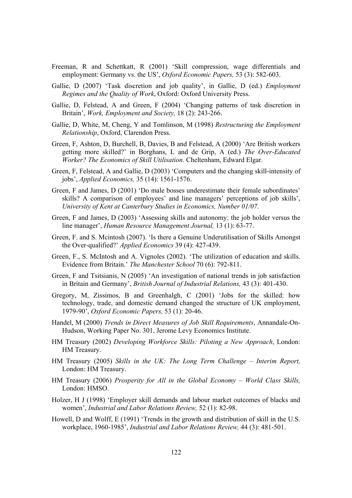- Freeman, R and Schettkatt, R (2001) 'Skill compression, wage differentials and employment: Germany vs. the US', *Oxford Economic Papers,* 53 (3): 582-603.
- Gallie, D (2007) 'Task discretion and job quality', in Gallie, D (ed.) *Employment Regimes and the Quality of Work*, Oxford: Oxford University Press.
- Gallie, D, Felstead, A and Green, F (2004) 'Changing patterns of task discretion in Britain', *Work, Employment and Society,* 18 (2): 243-266.
- Gallie, D, White, M, Cheng, Y and Tomlinson, M (1998) *Restructuring the Employment Relationship*, Oxford, Clarendon Press.
- Green, F, Ashton, D, Burchell, B, Davies, B and Felstead, A (2000) 'Are British workers getting more skilled?' in Borghans, L and de Grip, A (ed.) *The Over-Educated Worker? The Economics of Skill Utilisation*. Cheltenham, Edward Elgar.
- Green, F, Felstead, A and Gallie, D (2003) 'Computers and the changing skill-intensity of jobs', *Applied Economics,* 35 (14): 1561-1576.
- Green, F and James, D (2001) 'Do male bosses underestimate their female subordinates' skills? A comparison of employees' and line managers' perceptions of job skills', *University of Kent at Canterbury Studies in Economics, Number 01/07*.
- Green, F and James, D (2003) 'Assessing skills and autonomy: the job holder versus the line manager', *Human Resource Management Journal,* 13 (1): 63-77.
- Green, F. and S. Mcintosh (2007). 'Is there a Genuine Underutilisation of Skills Amongst the Over-qualified?' *Applied Economics* 39 (4): 427-439.
- Green, F., S. McIntosh and A. Vignoles (2002). 'The utilization of education and skills. Evidence from Britain.' *The Manchester School* 70 (6): 792-811.
- Green, F and Tsitsianis, N (2005) 'An investigation of national trends in job satisfaction in Britain and Germany', *British Journal of Industrial Relations,* 43 (3): 401-430.
- Gregory, M, Zissimos, B and Greenhalgh, C (2001) 'Jobs for the skilled: how technology, trade, and domestic demand changed the structure of UK employment, 1979-90', *Oxford Economic Papers,* 53 (1): 20-46.
- Handel, M (2000) *Trends in Direct Measures of Job Skill Requirements*, Annandale-On-Hudson, Working Paper No. 301, Jerome Levy Economics Institute.
- HM Treasury (2002) *Developing Workforce Skills: Piloting a New Approach*, London: HM Treasury.
- HM Treasury (2005) *Skills in the UK: The Long Term Challenge Interim Report,*  London: HM Treasury.
- HM Treasury (2006) *Prosperity for All in the Global Economy World Class Skills,*  London: HMSO.
- Holzer, H J (1998) 'Employer skill demands and labour market outcomes of blacks and women', *Industrial and Labor Relations Review,* 52 (1): 82-98.
- Howell, D and Wolff, E (1991) 'Trends in the growth and distribution of skill in the U.S. workplace, 1960-1985', *Industrial and Labor Relations Review,* 44 (3): 481-501.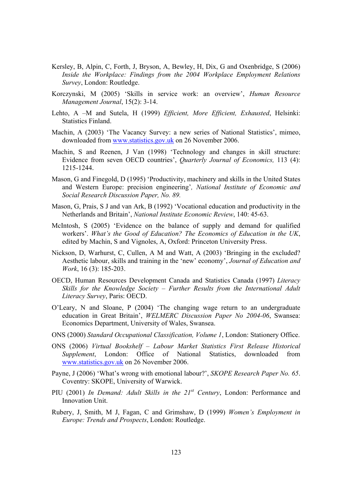- Kersley, B, Alpin, C, Forth, J, Bryson, A, Bewley, H, Dix, G and Oxenbridge, S (2006) *Inside the Workplace: Findings from the 2004 Workplace Employment Relations Survey*, London: Routledge.
- Korczynski, M (2005) 'Skills in service work: an overview', *Human Resource Management Journal*, 15(2): 3-14.
- Lehto, A –M and Sutela, H (1999) *Efficient, More Efficient, Exhausted*, Helsinki: Statistics Finland.
- Machin, A (2003) 'The Vacancy Survey: a new series of National Statistics', mimeo, downloaded from www.statistics.gov.uk on 26 November 2006.
- Machin, S and Reenen, J Van (1998) 'Technology and changes in skill structure: Evidence from seven OECD countries', *Quarterly Journal of Economics,* 113 (4): 1215-1244.
- Mason, G and Finegold, D (1995) 'Productivity, machinery and skills in the United States and Western Europe: precision engineering'*, National Institute of Economic and Social Research Discussion Paper, No. 89.*
- Mason, G, Prais, S J and van Ark, B (1992) 'Vocational education and productivity in the Netherlands and Britain', *National Institute Economic Review*, 140: 45-63.
- McIntosh, S (2005) 'Evidence on the balance of supply and demand for qualified workers'. *What's the Good of Education? The Economics of Education in the UK*, edited by Machin, S and Vignoles, A, Oxford: Princeton University Press.
- Nickson, D, Warhurst, C, Cullen, A M and Watt, A (2003) 'Bringing in the excluded? Aesthetic labour, skills and training in the 'new' economy', *Journal of Education and Work*, 16 (3): 185-203.
- OECD, Human Resources Development Canada and Statistics Canada (1997) *Literacy Skills for the Knowledge Society – Further Results from the International Adult Literacy Survey*, Paris: OECD.
- O'Leary, N and Sloane, P (2004) 'The changing wage return to an undergraduate education in Great Britain', *WELMERC Discussion Paper No 2004-06*, Swansea: Economics Department, University of Wales, Swansea.
- ONS (2000) *Standard Occupational Classification, Volume 1*, London: Stationery Office.
- ONS (2006) *Virtual Bookshelf Labour Market Statistics First Release Historical Supplement*, London: Office of National Statistics, downloaded from www.statistics.gov.uk on 26 November 2006.
- Payne, J (2006) 'What's wrong with emotional labour?', *SKOPE Research Paper No. 65*. Coventry: SKOPE, University of Warwick.
- PIU (2001) *In Demand: Adult Skills in the 21st Century*, London: Performance and Innovation Unit.
- Rubery, J, Smith, M J, Fagan, C and Grimshaw, D (1999) *Women's Employment in Europe: Trends and Prospects*, London: Routledge.